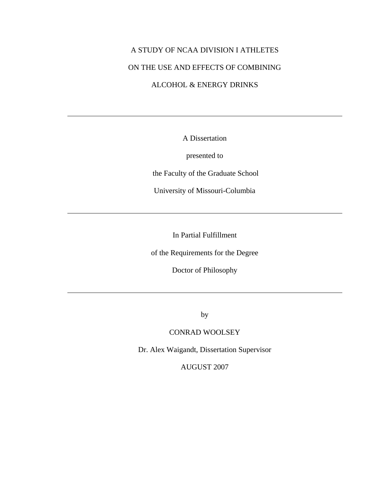# A STUDY OF NCAA DIVISION I ATHLETES ON THE USE AND EFFECTS OF COMBINING ALCOHOL & ENERGY DRINKS

A Dissertation

presented to

the Faculty of the Graduate School

University of Missouri-Columbia

In Partial Fulfillment

of the Requirements for the Degree

Doctor of Philosophy

by

# CONRAD WOOLSEY

Dr. Alex Waigandt, Dissertation Supervisor

AUGUST 2007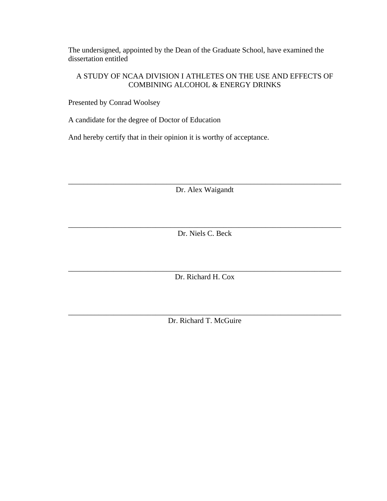The undersigned, appointed by the Dean of the Graduate School, have examined the dissertation entitled

# A STUDY OF NCAA DIVISION I ATHLETES ON THE USE AND EFFECTS OF COMBINING ALCOHOL & ENERGY DRINKS

Presented by Conrad Woolsey

A candidate for the degree of Doctor of Education

And hereby certify that in their opinion it is worthy of acceptance.

\_\_\_\_\_\_\_\_\_\_\_\_\_\_\_\_\_\_\_\_\_\_\_\_\_\_\_\_\_\_\_\_\_\_\_\_\_\_\_\_\_\_\_\_\_\_\_\_\_\_\_\_\_\_\_\_\_\_\_\_\_\_\_\_\_\_\_\_\_\_\_\_ Dr. Alex Waigandt

\_\_\_\_\_\_\_\_\_\_\_\_\_\_\_\_\_\_\_\_\_\_\_\_\_\_\_\_\_\_\_\_\_\_\_\_\_\_\_\_\_\_\_\_\_\_\_\_\_\_\_\_\_\_\_\_\_\_\_\_\_\_\_\_\_\_\_\_\_\_\_\_ Dr. Niels C. Beck

\_\_\_\_\_\_\_\_\_\_\_\_\_\_\_\_\_\_\_\_\_\_\_\_\_\_\_\_\_\_\_\_\_\_\_\_\_\_\_\_\_\_\_\_\_\_\_\_\_\_\_\_\_\_\_\_\_\_\_\_\_\_\_\_\_\_\_\_\_\_\_\_ Dr. Richard H. Cox

\_\_\_\_\_\_\_\_\_\_\_\_\_\_\_\_\_\_\_\_\_\_\_\_\_\_\_\_\_\_\_\_\_\_\_\_\_\_\_\_\_\_\_\_\_\_\_\_\_\_\_\_\_\_\_\_\_\_\_\_\_\_\_\_\_\_\_\_\_\_\_\_ Dr. Richard T. McGuire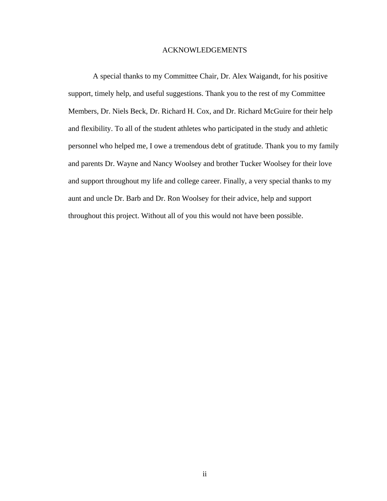# ACKNOWLEDGEMENTS

 A special thanks to my Committee Chair, Dr. Alex Waigandt, for his positive support, timely help, and useful suggestions. Thank you to the rest of my Committee Members, Dr. Niels Beck, Dr. Richard H. Cox, and Dr. Richard McGuire for their help and flexibility. To all of the student athletes who participated in the study and athletic personnel who helped me, I owe a tremendous debt of gratitude. Thank you to my family and parents Dr. Wayne and Nancy Woolsey and brother Tucker Woolsey for their love and support throughout my life and college career. Finally, a very special thanks to my aunt and uncle Dr. Barb and Dr. Ron Woolsey for their advice, help and support throughout this project. Without all of you this would not have been possible.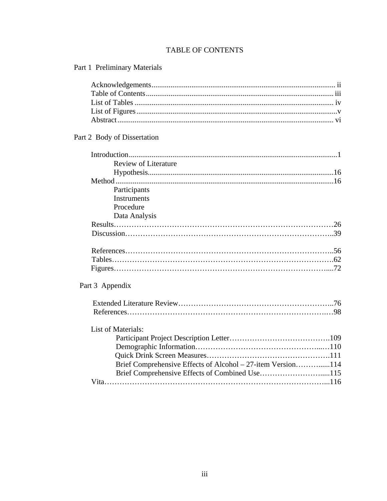# TABLE OF CONTENTS

Part 1 Preliminary Materials

| Part 2 Body of Dissertation                                 |
|-------------------------------------------------------------|
|                                                             |
| <b>Review of Literature</b>                                 |
|                                                             |
|                                                             |
| Participants                                                |
| Instruments                                                 |
| Procedure                                                   |
| Data Analysis                                               |
|                                                             |
|                                                             |
|                                                             |
|                                                             |
|                                                             |
| Part 3 Appendix                                             |
|                                                             |
|                                                             |
| List of Materials:                                          |
|                                                             |
|                                                             |
|                                                             |
| Brief Comprehensive Effects of Alcohol – 27-item Version114 |
| Brief Comprehensive Effects of Combined Use115              |
|                                                             |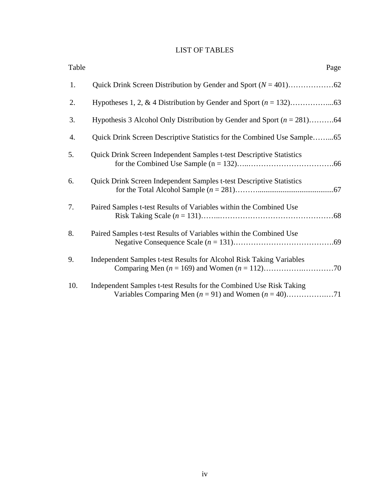# LIST OF TABLES

| Table | Page                                                                        |
|-------|-----------------------------------------------------------------------------|
| 1.    |                                                                             |
| 2.    |                                                                             |
| 3.    | Hypothesis 3 Alcohol Only Distribution by Gender and Sport $(n = 281)$ 64   |
| 4.    | Quick Drink Screen Descriptive Statistics for the Combined Use Sample65     |
| 5.    | <b>Quick Drink Screen Independent Samples t-test Descriptive Statistics</b> |
| 6.    | Quick Drink Screen Independent Samples t-test Descriptive Statistics        |
| 7.    | Paired Samples t-test Results of Variables within the Combined Use          |
| 8.    | Paired Samples t-test Results of Variables within the Combined Use          |
| 9.    | Independent Samples t-test Results for Alcohol Risk Taking Variables        |
| 10.   | Independent Samples t-test Results for the Combined Use Risk Taking         |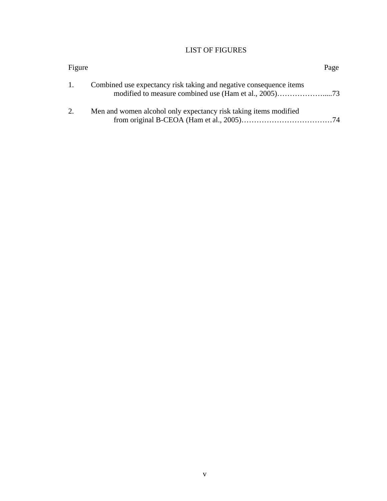# LIST OF FIGURES

| Figure |                                                                    | Page |
|--------|--------------------------------------------------------------------|------|
| 1.     | Combined use expectancy risk taking and negative consequence items |      |
| 2.     | Men and women alcohol only expectancy risk taking items modified   |      |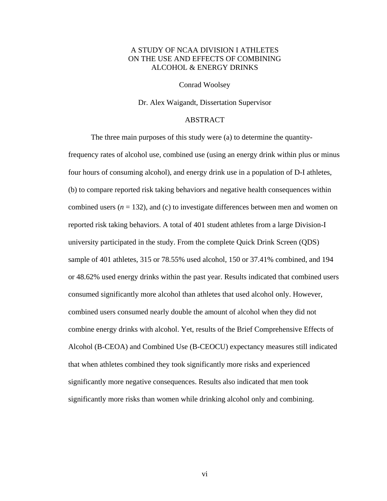# A STUDY OF NCAA DIVISION I ATHLETES ON THE USE AND EFFECTS OF COMBINING ALCOHOL & ENERGY DRINKS

#### Conrad Woolsey

Dr. Alex Waigandt, Dissertation Supervisor

# ABSTRACT

The three main purposes of this study were (a) to determine the quantityfrequency rates of alcohol use, combined use (using an energy drink within plus or minus four hours of consuming alcohol), and energy drink use in a population of D-I athletes, (b) to compare reported risk taking behaviors and negative health consequences within combined users  $(n = 132)$ , and  $(c)$  to investigate differences between men and women on reported risk taking behaviors. A total of 401 student athletes from a large Division-I university participated in the study. From the complete Quick Drink Screen (QDS) sample of 401 athletes, 315 or 78.55% used alcohol, 150 or 37.41% combined, and 194 or 48.62% used energy drinks within the past year. Results indicated that combined users consumed significantly more alcohol than athletes that used alcohol only. However, combined users consumed nearly double the amount of alcohol when they did not combine energy drinks with alcohol. Yet, results of the Brief Comprehensive Effects of Alcohol (B-CEOA) and Combined Use (B-CEOCU) expectancy measures still indicated that when athletes combined they took significantly more risks and experienced significantly more negative consequences. Results also indicated that men took significantly more risks than women while drinking alcohol only and combining.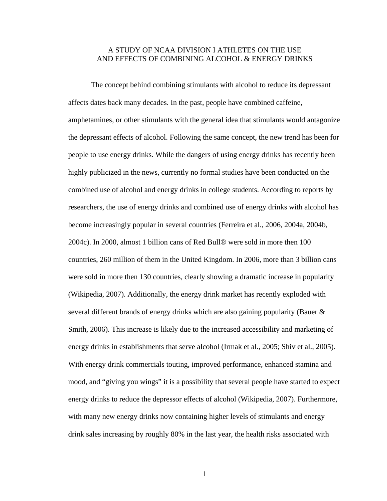# A STUDY OF NCAA DIVISION I ATHLETES ON THE USE AND EFFECTS OF COMBINING ALCOHOL & ENERGY DRINKS

The concept behind combining stimulants with alcohol to reduce its depressant affects dates back many decades. In the past, people have combined caffeine, amphetamines, or other stimulants with the general idea that stimulants would antagonize the depressant effects of alcohol. Following the same concept, the new trend has been for people to use energy drinks. While the dangers of using energy drinks has recently been highly publicized in the news, currently no formal studies have been conducted on the combined use of alcohol and energy drinks in college students. According to reports by researchers, the use of energy drinks and combined use of energy drinks with alcohol has become increasingly popular in several countries (Ferreira et al., 2006, 2004a, 2004b, 2004c). In 2000, almost 1 billion cans of Red Bull® were sold in more then 100 countries, 260 million of them in the United Kingdom. In 2006, more than 3 billion cans were sold in more then 130 countries, clearly showing a dramatic increase in popularity (Wikipedia, 2007). Additionally, the energy drink market has recently exploded with several different brands of energy drinks which are also gaining popularity (Bauer & Smith, 2006). This increase is likely due to the increased accessibility and marketing of energy drinks in establishments that serve alcohol (Irmak et al., 2005; Shiv et al., 2005). With energy drink commercials touting, improved performance, enhanced stamina and mood, and "giving you wings" it is a possibility that several people have started to expect energy drinks to reduce the depressor effects of alcohol (Wikipedia, 2007). Furthermore, with many new energy drinks now containing higher levels of stimulants and energy drink sales increasing by roughly 80% in the last year, the health risks associated with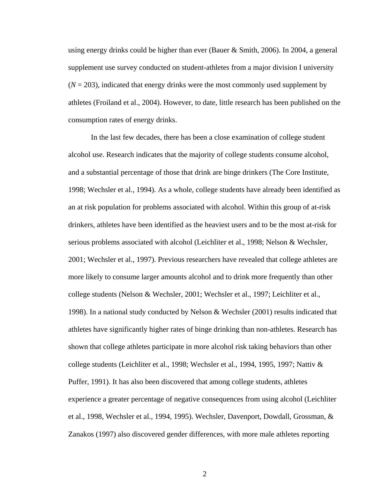using energy drinks could be higher than ever (Bauer & Smith, 2006). In 2004, a general supplement use survey conducted on student-athletes from a major division I university  $(N = 203)$ , indicated that energy drinks were the most commonly used supplement by athletes (Froiland et al., 2004). However, to date, little research has been published on the consumption rates of energy drinks.

In the last few decades, there has been a close examination of college student alcohol use. Research indicates that the majority of college students consume alcohol, and a substantial percentage of those that drink are binge drinkers (The Core Institute, 1998; Wechsler et al., 1994). As a whole, college students have already been identified as an at risk population for problems associated with alcohol. Within this group of at-risk drinkers, athletes have been identified as the heaviest users and to be the most at-risk for serious problems associated with alcohol (Leichliter et al., 1998; Nelson & Wechsler, 2001; Wechsler et al., 1997). Previous researchers have revealed that college athletes are more likely to consume larger amounts alcohol and to drink more frequently than other college students (Nelson & Wechsler, 2001; Wechsler et al., 1997; Leichliter et al., 1998). In a national study conducted by Nelson & Wechsler (2001) results indicated that athletes have significantly higher rates of binge drinking than non-athletes. Research has shown that college athletes participate in more alcohol risk taking behaviors than other college students (Leichliter et al., 1998; Wechsler et al., 1994, 1995, 1997; Nattiv & Puffer, 1991). It has also been discovered that among college students, athletes experience a greater percentage of negative consequences from using alcohol (Leichliter et al., 1998, Wechsler et al., 1994, 1995). Wechsler, Davenport, Dowdall, Grossman, & Zanakos (1997) also discovered gender differences, with more male athletes reporting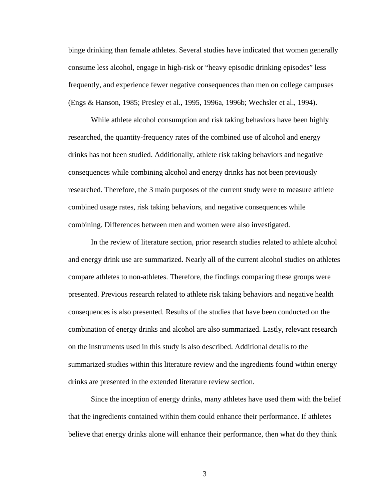binge drinking than female athletes. Several studies have indicated that women generally consume less alcohol, engage in high-risk or "heavy episodic drinking episodes" less frequently, and experience fewer negative consequences than men on college campuses (Engs & Hanson, 1985; Presley et al., 1995, 1996a, 1996b; Wechsler et al., 1994).

While athlete alcohol consumption and risk taking behaviors have been highly researched, the quantity-frequency rates of the combined use of alcohol and energy drinks has not been studied. Additionally, athlete risk taking behaviors and negative consequences while combining alcohol and energy drinks has not been previously researched. Therefore, the 3 main purposes of the current study were to measure athlete combined usage rates, risk taking behaviors, and negative consequences while combining. Differences between men and women were also investigated.

In the review of literature section, prior research studies related to athlete alcohol and energy drink use are summarized. Nearly all of the current alcohol studies on athletes compare athletes to non-athletes. Therefore, the findings comparing these groups were presented. Previous research related to athlete risk taking behaviors and negative health consequences is also presented. Results of the studies that have been conducted on the combination of energy drinks and alcohol are also summarized. Lastly, relevant research on the instruments used in this study is also described. Additional details to the summarized studies within this literature review and the ingredients found within energy drinks are presented in the extended literature review section.

Since the inception of energy drinks, many athletes have used them with the belief that the ingredients contained within them could enhance their performance. If athletes believe that energy drinks alone will enhance their performance, then what do they think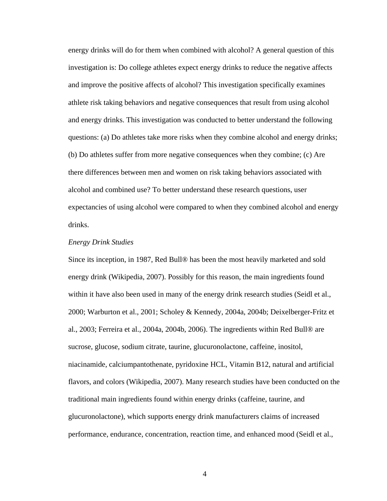energy drinks will do for them when combined with alcohol? A general question of this investigation is: Do college athletes expect energy drinks to reduce the negative affects and improve the positive affects of alcohol? This investigation specifically examines athlete risk taking behaviors and negative consequences that result from using alcohol and energy drinks. This investigation was conducted to better understand the following questions: (a) Do athletes take more risks when they combine alcohol and energy drinks; (b) Do athletes suffer from more negative consequences when they combine; (c) Are there differences between men and women on risk taking behaviors associated with alcohol and combined use? To better understand these research questions, user expectancies of using alcohol were compared to when they combined alcohol and energy drinks.

#### *Energy Drink Studies*

Since its inception, in 1987, Red Bull® has been the most heavily marketed and sold energy drink (Wikipedia, 2007). Possibly for this reason, the main ingredients found within it have also been used in many of the energy drink research studies (Seidl et al., 2000; Warburton et al., 2001; Scholey & Kennedy, 2004a, 2004b; Deixelberger-Fritz et al., 2003; Ferreira et al., 2004a, 2004b, 2006). The ingredients within Red Bull® are [sucrose,](http://en.wikipedia.org/wiki/Sucrose) [glucose,](http://en.wikipedia.org/wiki/Glucose) [sodium citrate,](http://en.wikipedia.org/wiki/Sodium_citrate) [taurine](http://en.wikipedia.org/wiki/Taurine), [glucuronolactone,](http://en.wikipedia.org/wiki/Glucuronolactone) [caffeine](http://en.wikipedia.org/wiki/Caffeine), [inositol](http://en.wikipedia.org/wiki/Inositol), [niacinamide,](http://en.wikipedia.org/wiki/Niacinamide) [calciumpantothenate,](http://en.wikipedia.org/w/index.php?title=Calciumpantothenate&action=edit) [pyridoxine HCL,](http://en.wikipedia.org/wiki/Pyridoxine_HCL) [Vitamin B12](http://en.wikipedia.org/wiki/Vitamin_B12), [natural and artificial](http://en.wikipedia.org/w/index.php?title=Natural_and_artificial_flavors&action=edit)  [flavors](http://en.wikipedia.org/w/index.php?title=Natural_and_artificial_flavors&action=edit), and [colors](http://en.wikipedia.org/wiki/Colors) (Wikipedia, 2007). Many research studies have been conducted on the traditional main ingredients found within energy drinks (caffeine, taurine, and glucuronolactone), which supports energy drink manufacturers claims of increased performance, endurance, concentration, reaction time, and enhanced mood (Seidl et al.,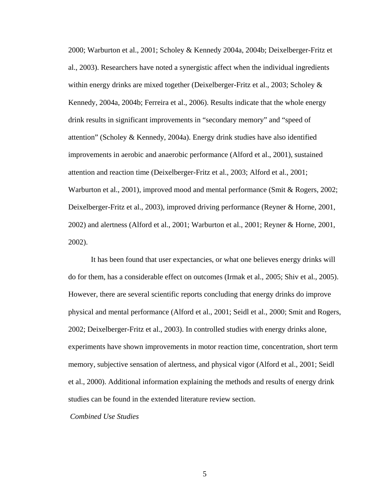2000; Warburton et al., 2001; Scholey & Kennedy 2004a, 2004b; Deixelberger-Fritz et al., 2003). Researchers have noted a synergistic affect when the individual ingredients within energy drinks are mixed together (Deixelberger-Fritz et al., 2003; Scholey  $\&$ Kennedy, 2004a, 2004b; Ferreira et al., 2006). Results indicate that the whole energy drink results in significant improvements in "secondary memory" and "speed of attention" (Scholey & Kennedy, 2004a). Energy drink studies have also identified improvements in aerobic and anaerobic performance (Alford et al., 2001), sustained attention and reaction time (Deixelberger-Fritz et al., 2003; Alford et al., 2001; Warburton et al., 2001), improved mood and mental performance (Smit & Rogers, 2002; Deixelberger-Fritz et al., 2003), improved driving performance (Reyner & Horne, 2001, 2002) and alertness (Alford et al., 2001; Warburton et al., 2001; Reyner & Horne, 2001, 2002).

It has been found that user expectancies, or what one believes energy drinks will do for them, has a considerable effect on outcomes (Irmak et al., 2005; Shiv et al., 2005). However, there are several scientific reports concluding that energy drinks do improve physical and mental performance (Alford et al., 2001; Seidl et al., 2000; Smit and Rogers, 2002; Deixelberger-Fritz et al., 2003). In controlled studies with energy drinks alone, experiments have shown improvements in motor reaction time, concentration, short term memory, subjective sensation of alertness, and physical vigor (Alford et al., 2001; Seidl et al., 2000). Additional information explaining the methods and results of energy drink studies can be found in the extended literature review section.

 *Combined Use Studies*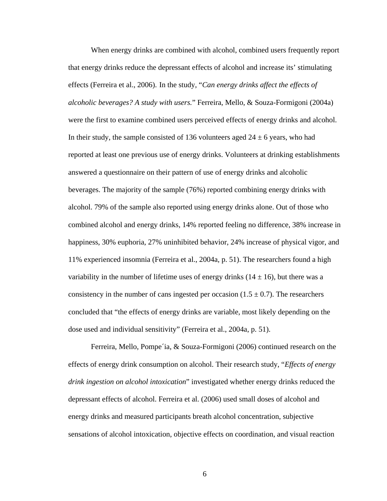When energy drinks are combined with alcohol, combined users frequently report that energy drinks reduce the depressant effects of alcohol and increase its' stimulating effects (Ferreira et al., 2006). In the study, "*Can energy drinks affect the effects of alcoholic beverages? A study with users.*" Ferreira, Mello, & Souza-Formigoni (2004a) were the first to examine combined users perceived effects of energy drinks and alcohol. In their study, the sample consisted of 136 volunteers aged  $24 \pm 6$  years, who had reported at least one previous use of energy drinks. Volunteers at drinking establishments answered a questionnaire on their pattern of use of energy drinks and alcoholic beverages. The majority of the sample (76%) reported combining energy drinks with alcohol. 79% of the sample also reported using energy drinks alone. Out of those who combined alcohol and energy drinks, 14% reported feeling no difference, 38% increase in happiness, 30% euphoria, 27% uninhibited behavior, 24% increase of physical vigor, and 11% experienced insomnia (Ferreira et al., 2004a, p. 51). The researchers found a high variability in the number of lifetime uses of energy drinks  $(14 \pm 16)$ , but there was a consistency in the number of cans ingested per occasion  $(1.5 \pm 0.7)$ . The researchers concluded that "the effects of energy drinks are variable, most likely depending on the dose used and individual sensitivity" (Ferreira et al., 2004a, p. 51).

Ferreira, Mello, Pompe´ia, & Souza-Formigoni (2006) continued research on the effects of energy drink consumption on alcohol. Their research study, "*Effects of energy drink ingestion on alcohol intoxication*" investigated whether energy drinks reduced the depressant effects of alcohol. Ferreira et al. (2006) used small doses of alcohol and energy drinks and measured participants breath alcohol concentration, subjective sensations of alcohol intoxication, objective effects on coordination, and visual reaction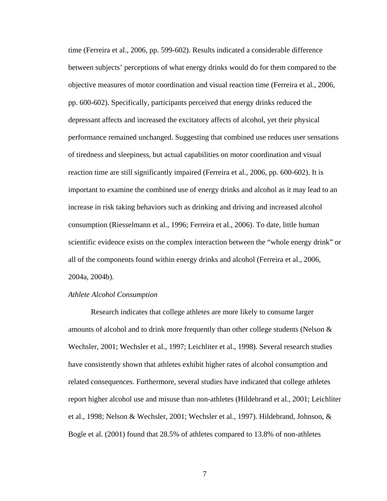time (Ferreira et al., 2006, pp. 599-602). Results indicated a considerable difference between subjects' perceptions of what energy drinks would do for them compared to the objective measures of motor coordination and visual reaction time (Ferreira et al., 2006, pp. 600-602). Specifically, participants perceived that energy drinks reduced the depressant affects and increased the excitatory affects of alcohol, yet their physical performance remained unchanged. Suggesting that combined use reduces user sensations of tiredness and sleepiness, but actual capabilities on motor coordination and visual reaction time are still significantly impaired (Ferreira et al., 2006, pp. 600-602). It is important to examine the combined use of energy drinks and alcohol as it may lead to an increase in risk taking behaviors such as drinking and driving and increased alcohol consumption (Riesselmann et al., 1996; Ferreira et al., 2006). To date, little human scientific evidence exists on the complex interaction between the "whole energy drink" or all of the components found within energy drinks and alcohol (Ferreira et al., 2006, 2004a, 2004b).

#### *Athlete Alcohol Consumption*

Research indicates that college athletes are more likely to consume larger amounts of alcohol and to drink more frequently than other college students (Nelson & Wechsler, 2001; Wechsler et al., 1997; Leichliter et al., 1998). Several research studies have consistently shown that athletes exhibit higher rates of alcohol consumption and related consequences. Furthermore, several studies have indicated that college athletes report higher alcohol use and misuse than non-athletes (Hildebrand et al., 2001; Leichliter et al., 1998; Nelson & Wechsler, 2001; Wechsler et al., 1997). Hildebrand, Johnson, & Bogle et al. (2001) found that 28.5% of athletes compared to 13.8% of non-athletes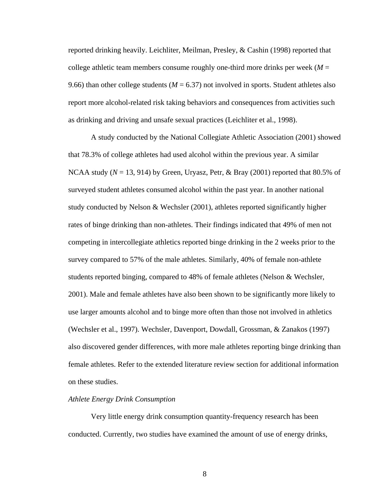reported drinking heavily. Leichliter, Meilman, Presley, & Cashin (1998) reported that college athletic team members consume roughly one-third more drinks per week  $(M =$ 9.66) than other college students ( $M = 6.37$ ) not involved in sports. Student athletes also report more alcohol-related risk taking behaviors and consequences from activities such as drinking and driving and unsafe sexual practices (Leichliter et al., 1998).

A study conducted by the National Collegiate Athletic Association (2001) showed that 78.3% of college athletes had used alcohol within the previous year. A similar NCAA study ( $N = 13$ , 914) by Green, Uryasz, Petr, & Bray (2001) reported that 80.5% of surveyed student athletes consumed alcohol within the past year. In another national study conducted by Nelson & Wechsler (2001), athletes reported significantly higher rates of binge drinking than non-athletes. Their findings indicated that 49% of men not competing in intercollegiate athletics reported binge drinking in the 2 weeks prior to the survey compared to 57% of the male athletes. Similarly, 40% of female non-athlete students reported binging, compared to 48% of female athletes (Nelson & Wechsler, 2001). Male and female athletes have also been shown to be significantly more likely to use larger amounts alcohol and to binge more often than those not involved in athletics (Wechsler et al., 1997). Wechsler, Davenport, Dowdall, Grossman, & Zanakos (1997) also discovered gender differences, with more male athletes reporting binge drinking than female athletes. Refer to the extended literature review section for additional information on these studies.

#### *Athlete Energy Drink Consumption*

Very little energy drink consumption quantity-frequency research has been conducted. Currently, two studies have examined the amount of use of energy drinks,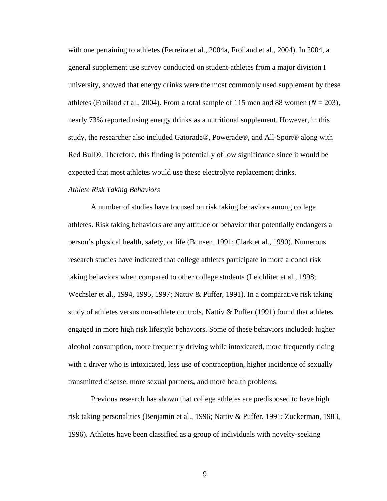with one pertaining to athletes (Ferreira et al., 2004a, Froiland et al., 2004). In 2004, a general supplement use survey conducted on student-athletes from a major division I university, showed that energy drinks were the most commonly used supplement by these athletes (Froiland et al., 2004). From a total sample of 115 men and 88 women ( $N = 203$ ), nearly 73% reported using energy drinks as a nutritional supplement. However, in this study, the researcher also included Gatorade®, Powerade®, and All-Sport® along with Red Bull®. Therefore, this finding is potentially of low significance since it would be expected that most athletes would use these electrolyte replacement drinks.

#### *Athlete Risk Taking Behaviors*

A number of studies have focused on risk taking behaviors among college athletes. Risk taking behaviors are any attitude or behavior that potentially endangers a person's physical health, safety, or life (Bunsen, 1991; Clark et al., 1990). Numerous research studies have indicated that college athletes participate in more alcohol risk taking behaviors when compared to other college students (Leichliter et al., 1998; Wechsler et al., 1994, 1995, 1997; Nattiv & Puffer, 1991). In a comparative risk taking study of athletes versus non-athlete controls, Nattiv  $\&$  Puffer (1991) found that athletes engaged in more high risk lifestyle behaviors. Some of these behaviors included: higher alcohol consumption, more frequently driving while intoxicated, more frequently riding with a driver who is intoxicated, less use of contraception, higher incidence of sexually transmitted disease, more sexual partners, and more health problems.

Previous research has shown that college athletes are predisposed to have high risk taking personalities (Benjamin et al., 1996; Nattiv & Puffer, 1991; Zuckerman, 1983, 1996). Athletes have been classified as a group of individuals with novelty-seeking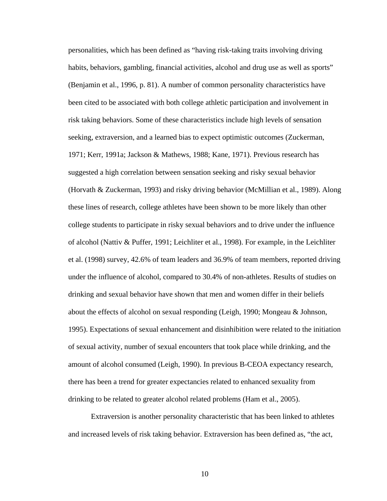personalities, which has been defined as "having risk-taking traits involving driving habits, behaviors, gambling, financial activities, alcohol and drug use as well as sports" (Benjamin et al., 1996, p. 81). A number of common personality characteristics have been cited to be associated with both college athletic participation and involvement in risk taking behaviors. Some of these characteristics include high levels of sensation seeking, extraversion, and a learned bias to expect optimistic outcomes (Zuckerman, 1971; Kerr, 1991a; Jackson & Mathews, 1988; Kane, 1971). Previous research has suggested a high correlation between sensation seeking and risky sexual behavior (Horvath & Zuckerman, 1993) and risky driving behavior (McMillian et al., 1989). Along these lines of research, college athletes have been shown to be more likely than other college students to participate in risky sexual behaviors and to drive under the influence of alcohol (Nattiv & Puffer, 1991; Leichliter et al., 1998). For example, in the Leichliter et al. (1998) survey, 42.6% of team leaders and 36.9% of team members, reported driving under the influence of alcohol, compared to 30.4% of non-athletes. Results of studies on drinking and sexual behavior have shown that men and women differ in their beliefs about the effects of alcohol on sexual responding (Leigh, 1990; Mongeau & Johnson, 1995). Expectations of sexual enhancement and disinhibition were related to the initiation of sexual activity, number of sexual encounters that took place while drinking, and the amount of alcohol consumed (Leigh, 1990). In previous B-CEOA expectancy research, there has been a trend for greater expectancies related to enhanced sexuality from drinking to be related to greater alcohol related problems (Ham et al., 2005).

Extraversion is another personality characteristic that has been linked to athletes and increased levels of risk taking behavior. Extraversion has been defined as, "the act,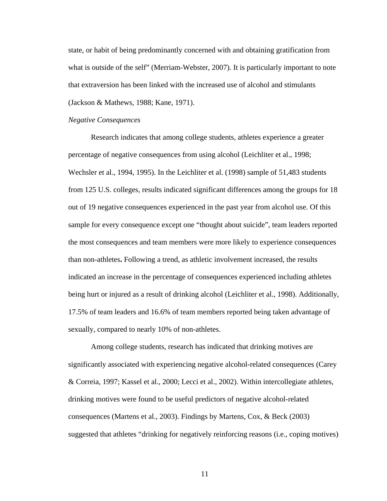state, or habit of being predominantly concerned with and obtaining gratification from what is outside of the self" (Merriam-Webster, 2007). It is particularly important to note that extraversion has been linked with the increased use of alcohol and stimulants (Jackson & Mathews, 1988; Kane, 1971).

#### *Negative Consequences*

Research indicates that among college students, athletes experience a greater percentage of negative consequences from using alcohol (Leichliter et al., 1998; Wechsler et al., 1994, 1995). In the Leichliter et al. (1998) sample of 51,483 students from 125 U.S. colleges, results indicated significant differences among the groups for 18 out of 19 negative consequences experienced in the past year from alcohol use. Of this sample for every consequence except one "thought about suicide", team leaders reported the most consequences and team members were more likely to experience consequences than non-athletes**.** Following a trend, as athletic involvement increased, the results indicated an increase in the percentage of consequences experienced including athletes being hurt or injured as a result of drinking alcohol (Leichliter et al., 1998). Additionally, 17.5% of team leaders and 16.6% of team members reported being taken advantage of sexually, compared to nearly 10% of non-athletes.

Among college students, research has indicated that drinking motives are significantly associated with experiencing negative alcohol-related consequences (Carey & Correia, 1997; Kassel et al., 2000; Lecci et al., 2002). Within intercollegiate athletes, drinking motives were found to be useful predictors of negative alcohol-related consequences (Martens et al., 2003). Findings by Martens, Cox, & Beck (2003) suggested that athletes "drinking for negatively reinforcing reasons (i.e., coping motives)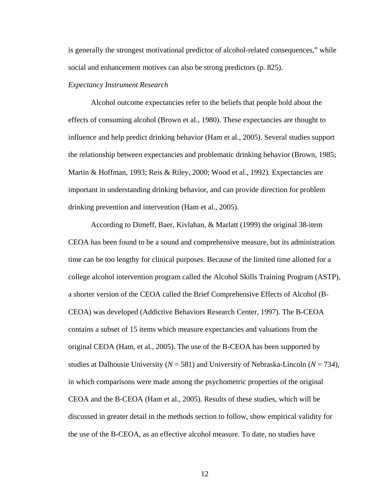is generally the strongest motivational predictor of alcohol-related consequences," while social and enhancement motives can also be strong predictors (p. 825).

#### *Expectancy Instrument Research*

Alcohol outcome expectancies refer to the beliefs that people hold about the effects of consuming alcohol (Brown et al., 1980). These expectancies are thought to influence and help predict drinking behavior (Ham et al., 2005). Several studies support the relationship between expectancies and problematic drinking behavior (Brown, 1985; Martin & Hoffman, 1993; Reis & Riley, 2000; Wood et al., 1992). Expectancies are important in understanding drinking behavior, and can provide direction for problem drinking prevention and intervention (Ham et al., 2005).

According to Dimeff, Baer, Kivlahan, & Marlatt (1999) the original 38-item CEOA has been found to be a sound and comprehensive measure, but its administration time can be too lengthy for clinical purposes. Because of the limited time allotted for a college alcohol intervention program called the Alcohol Skills Training Program (ASTP), a shorter version of the CEOA called the Brief Comprehensive Effects of Alcohol (B-CEOA) was developed (Addictive Behaviors Research Center, 1997). The B-CEOA contains a subset of 15 items which measure expectancies and valuations from the original CEOA (Ham, et al., 2005). The use of the B-CEOA has been supported by studies at Dalhousie University (*N* = 581) and University of Nebraska-Lincoln (*N* = 734), in which comparisons were made among the psychometric properties of the original CEOA and the B-CEOA (Ham et al., 2005). Results of these studies, which will be discussed in greater detail in the methods section to follow, show empirical validity for the use of the B-CEOA, as an effective alcohol measure. To date, no studies have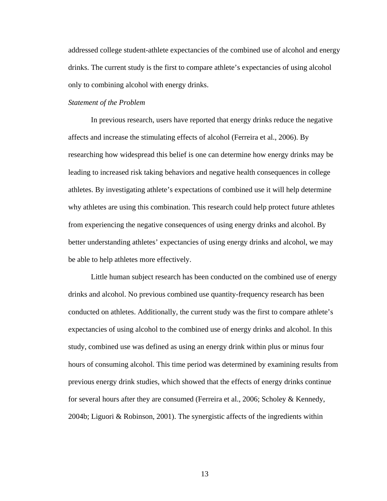addressed college student-athlete expectancies of the combined use of alcohol and energy drinks. The current study is the first to compare athlete's expectancies of using alcohol only to combining alcohol with energy drinks.

#### *Statement of the Problem*

In previous research, users have reported that energy drinks reduce the negative affects and increase the stimulating effects of alcohol (Ferreira et al., 2006). By researching how widespread this belief is one can determine how energy drinks may be leading to increased risk taking behaviors and negative health consequences in college athletes. By investigating athlete's expectations of combined use it will help determine why athletes are using this combination. This research could help protect future athletes from experiencing the negative consequences of using energy drinks and alcohol. By better understanding athletes' expectancies of using energy drinks and alcohol, we may be able to help athletes more effectively.

Little human subject research has been conducted on the combined use of energy drinks and alcohol. No previous combined use quantity-frequency research has been conducted on athletes. Additionally, the current study was the first to compare athlete's expectancies of using alcohol to the combined use of energy drinks and alcohol. In this study, combined use was defined as using an energy drink within plus or minus four hours of consuming alcohol. This time period was determined by examining results from previous energy drink studies, which showed that the effects of energy drinks continue for several hours after they are consumed (Ferreira et al., 2006; Scholey & Kennedy, 2004b; Liguori & Robinson, 2001). The synergistic affects of the ingredients within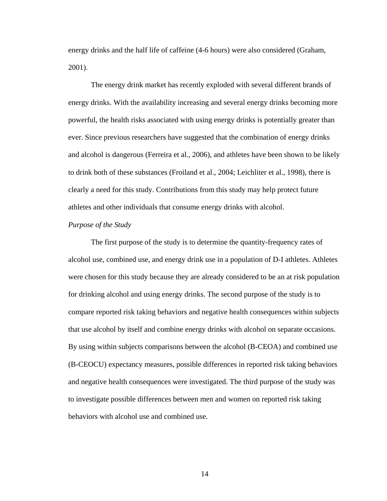energy drinks and the half life of caffeine (4-6 hours) were also considered (Graham, 2001).

The energy drink market has recently exploded with several different brands of energy drinks. With the availability increasing and several energy drinks becoming more powerful, the health risks associated with using energy drinks is potentially greater than ever. Since previous researchers have suggested that the combination of energy drinks and alcohol is dangerous (Ferreira et al., 2006), and athletes have been shown to be likely to drink both of these substances (Froiland et al., 2004; Leichliter et al., 1998), there is clearly a need for this study. Contributions from this study may help protect future athletes and other individuals that consume energy drinks with alcohol.

#### *Purpose of the Study*

The first purpose of the study is to determine the quantity-frequency rates of alcohol use, combined use, and energy drink use in a population of D-I athletes. Athletes were chosen for this study because they are already considered to be an at risk population for drinking alcohol and using energy drinks. The second purpose of the study is to compare reported risk taking behaviors and negative health consequences within subjects that use alcohol by itself and combine energy drinks with alcohol on separate occasions. By using within subjects comparisons between the alcohol (B-CEOA) and combined use (B-CEOCU) expectancy measures, possible differences in reported risk taking behaviors and negative health consequences were investigated. The third purpose of the study was to investigate possible differences between men and women on reported risk taking behaviors with alcohol use and combined use.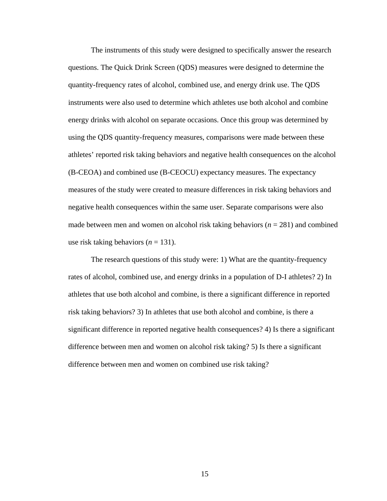The instruments of this study were designed to specifically answer the research questions. The Quick Drink Screen (QDS) measures were designed to determine the quantity-frequency rates of alcohol, combined use, and energy drink use. The QDS instruments were also used to determine which athletes use both alcohol and combine energy drinks with alcohol on separate occasions. Once this group was determined by using the QDS quantity-frequency measures, comparisons were made between these athletes' reported risk taking behaviors and negative health consequences on the alcohol (B-CEOA) and combined use (B-CEOCU) expectancy measures. The expectancy measures of the study were created to measure differences in risk taking behaviors and negative health consequences within the same user. Separate comparisons were also made between men and women on alcohol risk taking behaviors  $(n = 281)$  and combined use risk taking behaviors  $(n = 131)$ .

The research questions of this study were: 1) What are the quantity-frequency rates of alcohol, combined use, and energy drinks in a population of D-I athletes? 2) In athletes that use both alcohol and combine, is there a significant difference in reported risk taking behaviors? 3) In athletes that use both alcohol and combine, is there a significant difference in reported negative health consequences? 4) Is there a significant difference between men and women on alcohol risk taking? 5) Is there a significant difference between men and women on combined use risk taking?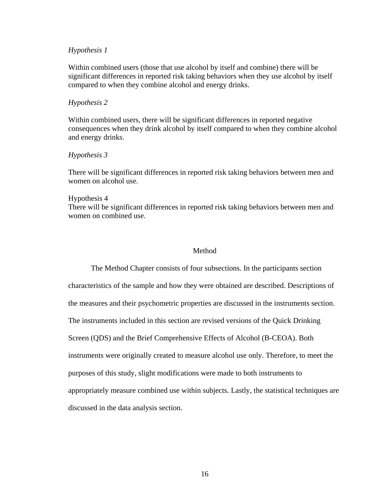#### *Hypothesis 1*

Within combined users (those that use alcohol by itself and combine) there will be significant differences in reported risk taking behaviors when they use alcohol by itself compared to when they combine alcohol and energy drinks.

#### *Hypothesis 2*

Within combined users, there will be significant differences in reported negative consequences when they drink alcohol by itself compared to when they combine alcohol and energy drinks.

#### *Hypothesis 3*

There will be significant differences in reported risk taking behaviors between men and women on alcohol use.

#### Hypothesis 4

There will be significant differences in reported risk taking behaviors between men and women on combined use.

## Method

The Method Chapter consists of four subsections. In the participants section characteristics of the sample and how they were obtained are described. Descriptions of the measures and their psychometric properties are discussed in the instruments section. The instruments included in this section are revised versions of the Quick Drinking Screen (QDS) and the Brief Comprehensive Effects of Alcohol (B-CEOA). Both instruments were originally created to measure alcohol use only. Therefore, to meet the purposes of this study, slight modifications were made to both instruments to appropriately measure combined use within subjects. Lastly, the statistical techniques are discussed in the data analysis section.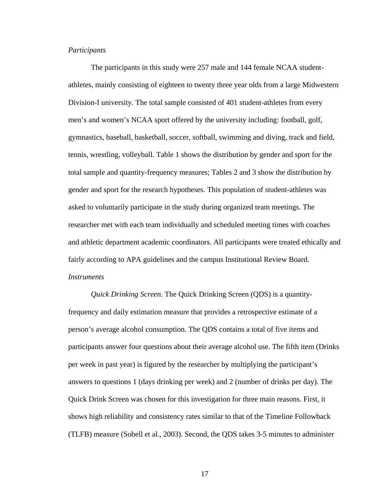# *Participants*

 The participants in this study were 257 male and 144 female NCAA studentathletes, mainly consisting of eighteen to twenty three year olds from a large Midwestern Division-I university. The total sample consisted of 401 student-athletes from every men's and women's NCAA sport offered by the university including: football, golf, gymnastics, baseball, basketball, soccer, softball, swimming and diving, track and field, tennis, wrestling, volleyball. Table 1 shows the distribution by gender and sport for the total sample and quantity-frequency measures; Tables 2 and 3 show the distribution by gender and sport for the research hypotheses. This population of student-athletes was asked to voluntarily participate in the study during organized team meetings. The researcher met with each team individually and scheduled meeting times with coaches and athletic department academic coordinators. All participants were treated ethically and fairly according to APA guidelines and the campus Institutional Review Board. *Instruments*

*Quick Drinking Screen*. The Quick Drinking Screen (QDS) is a quantityfrequency and daily estimation measure that provides a retrospective estimate of a person's average alcohol consumption. The QDS contains a total of five items and participants answer four questions about their average alcohol use. The fifth item (Drinks per week in past year) is figured by the researcher by multiplying the participant's answers to questions 1 (days drinking per week) and 2 (number of drinks per day). The Quick Drink Screen was chosen for this investigation for three main reasons. First, it shows high reliability and consistency rates similar to that of the Timeline Followback (TLFB) measure (Sobell et al., 2003). Second, the QDS takes 3-5 minutes to administer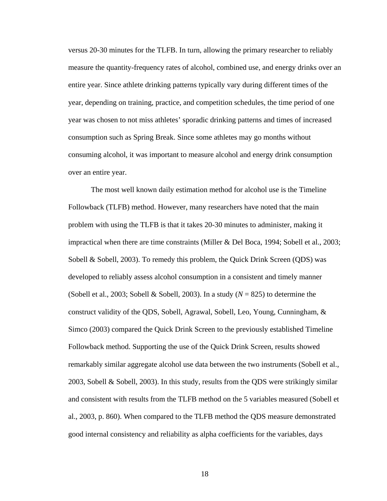versus 20-30 minutes for the TLFB. In turn, allowing the primary researcher to reliably measure the quantity-frequency rates of alcohol, combined use, and energy drinks over an entire year. Since athlete drinking patterns typically vary during different times of the year, depending on training, practice, and competition schedules, the time period of one year was chosen to not miss athletes' sporadic drinking patterns and times of increased consumption such as Spring Break. Since some athletes may go months without consuming alcohol, it was important to measure alcohol and energy drink consumption over an entire year.

The most well known daily estimation method for alcohol use is the Timeline Followback (TLFB) method. However, many researchers have noted that the main problem with using the TLFB is that it takes 20-30 minutes to administer, making it impractical when there are time constraints (Miller & Del Boca, 1994; Sobell et al., 2003; Sobell & Sobell, 2003). To remedy this problem, the Quick Drink Screen (QDS) was developed to reliably assess alcohol consumption in a consistent and timely manner (Sobell et al., 2003; Sobell & Sobell, 2003). In a study (*N* = 825) to determine the construct validity of the QDS, Sobell, Agrawal, Sobell, Leo, Young, Cunningham, & Simco (2003) compared the Quick Drink Screen to the previously established Timeline Followback method. Supporting the use of the Quick Drink Screen, results showed remarkably similar aggregate alcohol use data between the two instruments (Sobell et al., 2003, Sobell & Sobell, 2003). In this study, results from the QDS were strikingly similar and consistent with results from the TLFB method on the 5 variables measured (Sobell et al., 2003, p. 860). When compared to the TLFB method the QDS measure demonstrated good internal consistency and reliability as alpha coefficients for the variables, days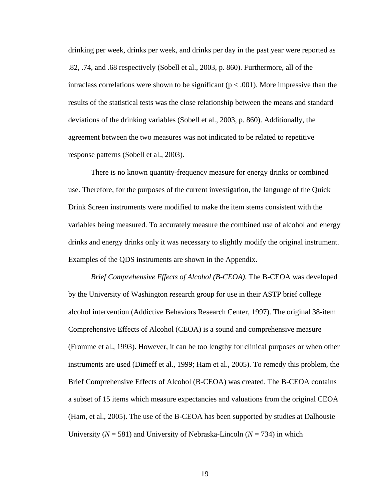drinking per week, drinks per week, and drinks per day in the past year were reported as .82, .74, and .68 respectively (Sobell et al., 2003, p. 860). Furthermore, all of the intraclass correlations were shown to be significant ( $p < .001$ ). More impressive than the results of the statistical tests was the close relationship between the means and standard deviations of the drinking variables (Sobell et al., 2003, p. 860). Additionally, the agreement between the two measures was not indicated to be related to repetitive response patterns (Sobell et al., 2003).

There is no known quantity-frequency measure for energy drinks or combined use. Therefore, for the purposes of the current investigation, the language of the Quick Drink Screen instruments were modified to make the item stems consistent with the variables being measured. To accurately measure the combined use of alcohol and energy drinks and energy drinks only it was necessary to slightly modify the original instrument. Examples of the QDS instruments are shown in the Appendix.

*Brief Comprehensive Effects of Alcohol (B-CEOA).* The B-CEOA was developed by the University of Washington research group for use in their ASTP brief college alcohol intervention (Addictive Behaviors Research Center, 1997). The original 38-item Comprehensive Effects of Alcohol (CEOA) is a sound and comprehensive measure (Fromme et al., 1993). However, it can be too lengthy for clinical purposes or when other instruments are used (Dimeff et al., 1999; Ham et al., 2005). To remedy this problem, the Brief Comprehensive Effects of Alcohol (B-CEOA) was created. The B-CEOA contains a subset of 15 items which measure expectancies and valuations from the original CEOA (Ham, et al., 2005). The use of the B-CEOA has been supported by studies at Dalhousie University ( $N = 581$ ) and University of Nebraska-Lincoln ( $N = 734$ ) in which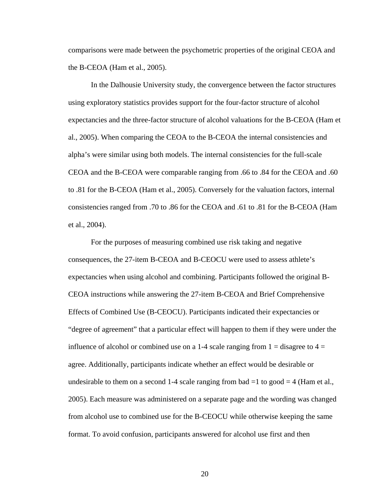comparisons were made between the psychometric properties of the original CEOA and the B-CEOA (Ham et al., 2005).

In the Dalhousie University study, the convergence between the factor structures using exploratory statistics provides support for the four-factor structure of alcohol expectancies and the three-factor structure of alcohol valuations for the B-CEOA (Ham et al., 2005). When comparing the CEOA to the B-CEOA the internal consistencies and alpha's were similar using both models. The internal consistencies for the full-scale CEOA and the B-CEOA were comparable ranging from .66 to .84 for the CEOA and .60 to .81 for the B-CEOA (Ham et al., 2005). Conversely for the valuation factors, internal consistencies ranged from .70 to .86 for the CEOA and .61 to .81 for the B-CEOA (Ham et al., 2004).

For the purposes of measuring combined use risk taking and negative consequences, the 27-item B-CEOA and B-CEOCU were used to assess athlete's expectancies when using alcohol and combining. Participants followed the original B-CEOA instructions while answering the 27-item B-CEOA and Brief Comprehensive Effects of Combined Use (B-CEOCU). Participants indicated their expectancies or "degree of agreement" that a particular effect will happen to them if they were under the influence of alcohol or combined use on a 1-4 scale ranging from  $1 =$  disagree to  $4 =$ agree. Additionally, participants indicate whether an effect would be desirable or undesirable to them on a second 1-4 scale ranging from bad  $=1$  to good  $= 4$  (Ham et al., 2005). Each measure was administered on a separate page and the wording was changed from alcohol use to combined use for the B-CEOCU while otherwise keeping the same format. To avoid confusion, participants answered for alcohol use first and then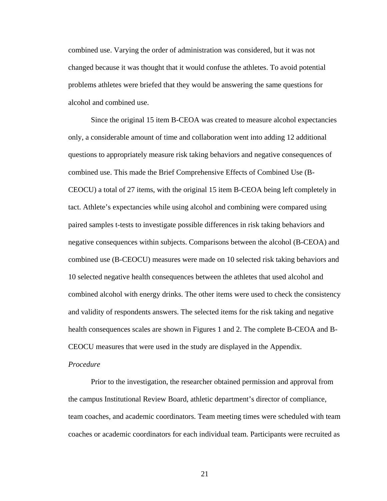combined use. Varying the order of administration was considered, but it was not changed because it was thought that it would confuse the athletes. To avoid potential problems athletes were briefed that they would be answering the same questions for alcohol and combined use.

Since the original 15 item B-CEOA was created to measure alcohol expectancies only, a considerable amount of time and collaboration went into adding 12 additional questions to appropriately measure risk taking behaviors and negative consequences of combined use. This made the Brief Comprehensive Effects of Combined Use (B-CEOCU) a total of 27 items, with the original 15 item B-CEOA being left completely in tact. Athlete's expectancies while using alcohol and combining were compared using paired samples t-tests to investigate possible differences in risk taking behaviors and negative consequences within subjects. Comparisons between the alcohol (B-CEOA) and combined use (B-CEOCU) measures were made on 10 selected risk taking behaviors and 10 selected negative health consequences between the athletes that used alcohol and combined alcohol with energy drinks. The other items were used to check the consistency and validity of respondents answers. The selected items for the risk taking and negative health consequences scales are shown in Figures 1 and 2. The complete B-CEOA and B-CEOCU measures that were used in the study are displayed in the Appendix.

## *Procedure*

 Prior to the investigation, the researcher obtained permission and approval from the campus Institutional Review Board, athletic department's director of compliance, team coaches, and academic coordinators. Team meeting times were scheduled with team coaches or academic coordinators for each individual team. Participants were recruited as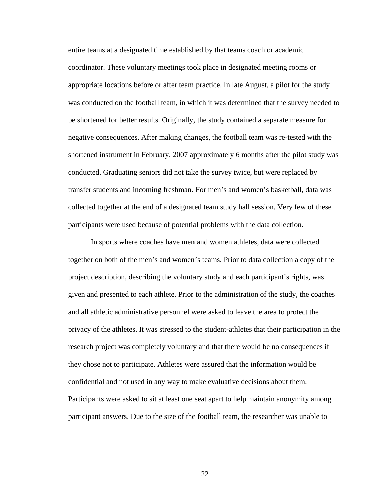entire teams at a designated time established by that teams coach or academic coordinator. These voluntary meetings took place in designated meeting rooms or appropriate locations before or after team practice. In late August, a pilot for the study was conducted on the football team, in which it was determined that the survey needed to be shortened for better results. Originally, the study contained a separate measure for negative consequences. After making changes, the football team was re-tested with the shortened instrument in February, 2007 approximately 6 months after the pilot study was conducted. Graduating seniors did not take the survey twice, but were replaced by transfer students and incoming freshman. For men's and women's basketball, data was collected together at the end of a designated team study hall session. Very few of these participants were used because of potential problems with the data collection.

In sports where coaches have men and women athletes, data were collected together on both of the men's and women's teams. Prior to data collection a copy of the project description, describing the voluntary study and each participant's rights, was given and presented to each athlete. Prior to the administration of the study, the coaches and all athletic administrative personnel were asked to leave the area to protect the privacy of the athletes. It was stressed to the student-athletes that their participation in the research project was completely voluntary and that there would be no consequences if they chose not to participate. Athletes were assured that the information would be confidential and not used in any way to make evaluative decisions about them. Participants were asked to sit at least one seat apart to help maintain anonymity among participant answers. Due to the size of the football team, the researcher was unable to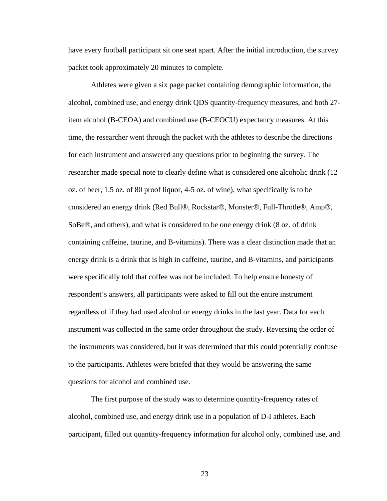have every football participant sit one seat apart. After the initial introduction, the survey packet took approximately 20 minutes to complete.

Athletes were given a six page packet containing demographic information, the alcohol, combined use, and energy drink QDS quantity-frequency measures, and both 27 item alcohol (B-CEOA) and combined use (B-CEOCU) expectancy measures. At this time, the researcher went through the packet with the athletes to describe the directions for each instrument and answered any questions prior to beginning the survey. The researcher made special note to clearly define what is considered one alcoholic drink (12 oz. of beer, 1.5 oz. of 80 proof liquor, 4-5 oz. of wine), what specifically is to be considered an energy drink (Red Bull®, Rockstar®, Monster®, Full-Throtle®, Amp®, SoBe®, and others), and what is considered to be one energy drink (8 oz. of drink containing caffeine, taurine, and B-vitamins). There was a clear distinction made that an energy drink is a drink that is high in caffeine, taurine, and B-vitamins, and participants were specifically told that coffee was not be included. To help ensure honesty of respondent's answers, all participants were asked to fill out the entire instrument regardless of if they had used alcohol or energy drinks in the last year. Data for each instrument was collected in the same order throughout the study. Reversing the order of the instruments was considered, but it was determined that this could potentially confuse to the participants. Athletes were briefed that they would be answering the same questions for alcohol and combined use.

The first purpose of the study was to determine quantity-frequency rates of alcohol, combined use, and energy drink use in a population of D-I athletes. Each participant, filled out quantity-frequency information for alcohol only, combined use, and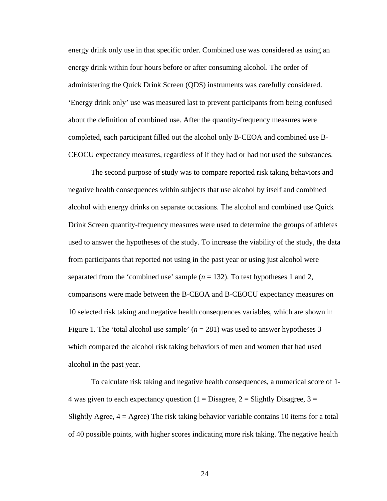energy drink only use in that specific order. Combined use was considered as using an energy drink within four hours before or after consuming alcohol. The order of administering the Quick Drink Screen (QDS) instruments was carefully considered. 'Energy drink only' use was measured last to prevent participants from being confused about the definition of combined use. After the quantity-frequency measures were completed, each participant filled out the alcohol only B-CEOA and combined use B-CEOCU expectancy measures, regardless of if they had or had not used the substances.

The second purpose of study was to compare reported risk taking behaviors and negative health consequences within subjects that use alcohol by itself and combined alcohol with energy drinks on separate occasions. The alcohol and combined use Quick Drink Screen quantity-frequency measures were used to determine the groups of athletes used to answer the hypotheses of the study. To increase the viability of the study, the data from participants that reported not using in the past year or using just alcohol were separated from the 'combined use' sample  $(n = 132)$ . To test hypotheses 1 and 2, comparisons were made between the B-CEOA and B-CEOCU expectancy measures on 10 selected risk taking and negative health consequences variables, which are shown in Figure 1. The 'total alcohol use sample'  $(n = 281)$  was used to answer hypotheses 3 which compared the alcohol risk taking behaviors of men and women that had used alcohol in the past year.

To calculate risk taking and negative health consequences, a numerical score of 1- 4 was given to each expectancy question ( $1 = Disagree$ ,  $2 = S$ lightly Disagree,  $3 =$ Slightly Agree,  $4 =$  Agree) The risk taking behavior variable contains 10 items for a total of 40 possible points, with higher scores indicating more risk taking. The negative health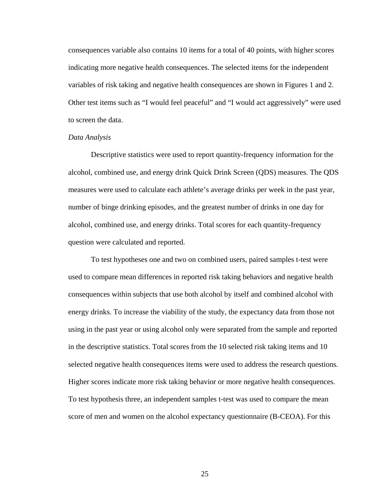consequences variable also contains 10 items for a total of 40 points, with higher scores indicating more negative health consequences. The selected items for the independent variables of risk taking and negative health consequences are shown in Figures 1 and 2. Other test items such as "I would feel peaceful" and "I would act aggressively" were used to screen the data.

# *Data Analysis*

Descriptive statistics were used to report quantity-frequency information for the alcohol, combined use, and energy drink Quick Drink Screen (QDS) measures. The QDS measures were used to calculate each athlete's average drinks per week in the past year, number of binge drinking episodes, and the greatest number of drinks in one day for alcohol, combined use, and energy drinks. Total scores for each quantity-frequency question were calculated and reported.

To test hypotheses one and two on combined users, paired samples t-test were used to compare mean differences in reported risk taking behaviors and negative health consequences within subjects that use both alcohol by itself and combined alcohol with energy drinks. To increase the viability of the study, the expectancy data from those not using in the past year or using alcohol only were separated from the sample and reported in the descriptive statistics. Total scores from the 10 selected risk taking items and 10 selected negative health consequences items were used to address the research questions. Higher scores indicate more risk taking behavior or more negative health consequences. To test hypothesis three, an independent samples t-test was used to compare the mean score of men and women on the alcohol expectancy questionnaire (B-CEOA). For this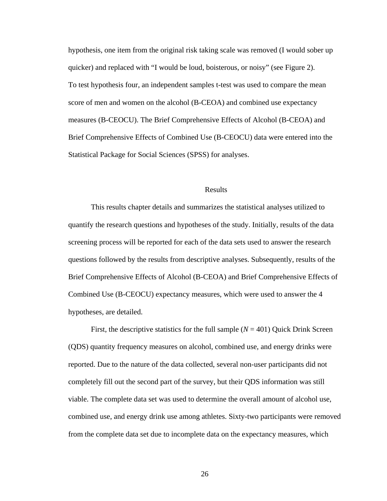hypothesis, one item from the original risk taking scale was removed (I would sober up quicker) and replaced with "I would be loud, boisterous, or noisy" (see Figure 2). To test hypothesis four, an independent samples t-test was used to compare the mean score of men and women on the alcohol (B-CEOA) and combined use expectancy measures (B-CEOCU). The Brief Comprehensive Effects of Alcohol (B-CEOA) and Brief Comprehensive Effects of Combined Use (B-CEOCU) data were entered into the Statistical Package for Social Sciences (SPSS) for analyses.

## Results

This results chapter details and summarizes the statistical analyses utilized to quantify the research questions and hypotheses of the study. Initially, results of the data screening process will be reported for each of the data sets used to answer the research questions followed by the results from descriptive analyses. Subsequently, results of the Brief Comprehensive Effects of Alcohol (B-CEOA) and Brief Comprehensive Effects of Combined Use (B-CEOCU) expectancy measures, which were used to answer the 4 hypotheses, are detailed.

First, the descriptive statistics for the full sample (*N* = 401) Quick Drink Screen (QDS) quantity frequency measures on alcohol, combined use, and energy drinks were reported. Due to the nature of the data collected, several non-user participants did not completely fill out the second part of the survey, but their QDS information was still viable. The complete data set was used to determine the overall amount of alcohol use, combined use, and energy drink use among athletes. Sixty-two participants were removed from the complete data set due to incomplete data on the expectancy measures, which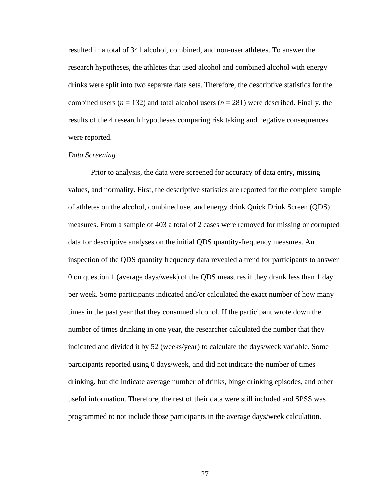resulted in a total of 341 alcohol, combined, and non-user athletes. To answer the research hypotheses, the athletes that used alcohol and combined alcohol with energy drinks were split into two separate data sets. Therefore, the descriptive statistics for the combined users  $(n = 132)$  and total alcohol users  $(n = 281)$  were described. Finally, the results of the 4 research hypotheses comparing risk taking and negative consequences were reported.

#### *Data Screening*

 Prior to analysis, the data were screened for accuracy of data entry, missing values, and normality. First, the descriptive statistics are reported for the complete sample of athletes on the alcohol, combined use, and energy drink Quick Drink Screen (QDS) measures. From a sample of 403 a total of 2 cases were removed for missing or corrupted data for descriptive analyses on the initial QDS quantity-frequency measures. An inspection of the QDS quantity frequency data revealed a trend for participants to answer 0 on question 1 (average days/week) of the QDS measures if they drank less than 1 day per week. Some participants indicated and/or calculated the exact number of how many times in the past year that they consumed alcohol. If the participant wrote down the number of times drinking in one year, the researcher calculated the number that they indicated and divided it by 52 (weeks/year) to calculate the days/week variable. Some participants reported using 0 days/week, and did not indicate the number of times drinking, but did indicate average number of drinks, binge drinking episodes, and other useful information. Therefore, the rest of their data were still included and SPSS was programmed to not include those participants in the average days/week calculation.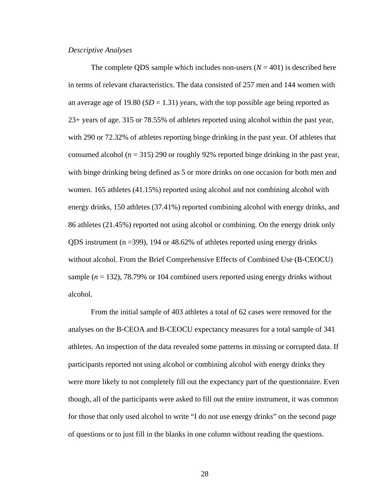#### *Descriptive Analyses*

The complete QDS sample which includes non-users  $(N = 401)$  is described here in terms of relevant characteristics. The data consisted of 257 men and 144 women with an average age of 19.80 ( $SD = 1.31$ ) years, with the top possible age being reported as 23+ years of age. 315 or 78.55% of athletes reported using alcohol within the past year, with 290 or 72.32% of athletes reporting binge drinking in the past year. Of athletes that consumed alcohol ( $n = 315$ ) 290 or roughly 92% reported binge drinking in the past year, with binge drinking being defined as 5 or more drinks on one occasion for both men and women. 165 athletes (41.15%) reported using alcohol and not combining alcohol with energy drinks, 150 athletes (37.41%) reported combining alcohol with energy drinks, and 86 athletes (21.45%) reported not using alcohol or combining. On the energy drink only QDS instrument ( $n = 399$ ), 194 or 48.62% of athletes reported using energy drinks without alcohol. From the Brief Comprehensive Effects of Combined Use (B-CEOCU) sample  $(n = 132)$ , 78.79% or 104 combined users reported using energy drinks without alcohol.

From the initial sample of 403 athletes a total of 62 cases were removed for the analyses on the B-CEOA and B-CEOCU expectancy measures for a total sample of 341 athletes. An inspection of the data revealed some patterns in missing or corrupted data. If participants reported not using alcohol or combining alcohol with energy drinks they were more likely to not completely fill out the expectancy part of the questionnaire. Even though, all of the participants were asked to fill out the entire instrument, it was common for those that only used alcohol to write "I do not use energy drinks" on the second page of questions or to just fill in the blanks in one column without reading the questions.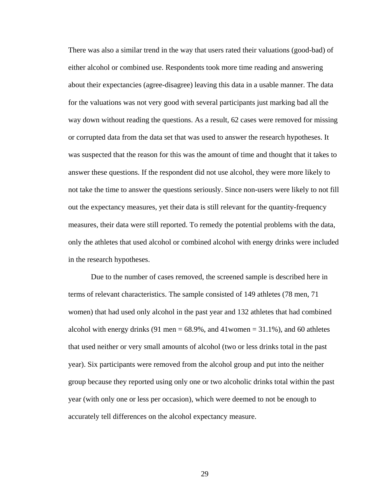There was also a similar trend in the way that users rated their valuations (good-bad) of either alcohol or combined use. Respondents took more time reading and answering about their expectancies (agree-disagree) leaving this data in a usable manner. The data for the valuations was not very good with several participants just marking bad all the way down without reading the questions. As a result, 62 cases were removed for missing or corrupted data from the data set that was used to answer the research hypotheses. It was suspected that the reason for this was the amount of time and thought that it takes to answer these questions. If the respondent did not use alcohol, they were more likely to not take the time to answer the questions seriously. Since non-users were likely to not fill out the expectancy measures, yet their data is still relevant for the quantity-frequency measures, their data were still reported. To remedy the potential problems with the data, only the athletes that used alcohol or combined alcohol with energy drinks were included in the research hypotheses.

Due to the number of cases removed, the screened sample is described here in terms of relevant characteristics. The sample consisted of 149 athletes (78 men, 71 women) that had used only alcohol in the past year and 132 athletes that had combined alcohol with energy drinks (91 men  $= 68.9\%$ , and 41 women  $= 31.1\%$ ), and 60 athletes that used neither or very small amounts of alcohol (two or less drinks total in the past year). Six participants were removed from the alcohol group and put into the neither group because they reported using only one or two alcoholic drinks total within the past year (with only one or less per occasion), which were deemed to not be enough to accurately tell differences on the alcohol expectancy measure.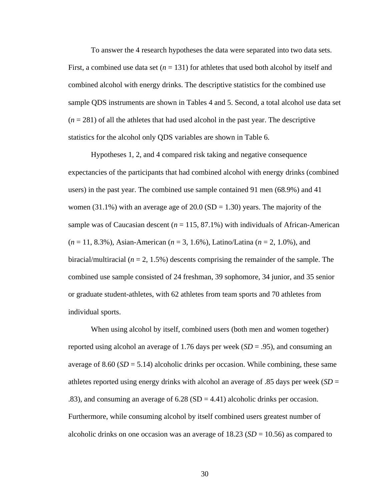To answer the 4 research hypotheses the data were separated into two data sets. First, a combined use data set  $(n = 131)$  for athletes that used both alcohol by itself and combined alcohol with energy drinks. The descriptive statistics for the combined use sample QDS instruments are shown in Tables 4 and 5. Second, a total alcohol use data set  $(n = 281)$  of all the athletes that had used alcohol in the past year. The descriptive statistics for the alcohol only QDS variables are shown in Table 6.

Hypotheses 1, 2, and 4 compared risk taking and negative consequence expectancies of the participants that had combined alcohol with energy drinks (combined users) in the past year. The combined use sample contained 91 men (68.9%) and 41 women (31.1%) with an average age of 20.0 (SD = 1.30) years. The majority of the sample was of Caucasian descent  $(n = 115, 87.1\%)$  with individuals of African-American (*n* = 11, 8.3%), Asian-American (*n* = 3, 1.6%), Latino/Latina (*n* = 2, 1.0%), and biracial/multiracial (*n* = 2, 1.5%) descents comprising the remainder of the sample. The combined use sample consisted of 24 freshman, 39 sophomore, 34 junior, and 35 senior or graduate student-athletes, with 62 athletes from team sports and 70 athletes from individual sports.

When using alcohol by itself, combined users (both men and women together) reported using alcohol an average of 1.76 days per week (*SD* = .95), and consuming an average of 8.60  $(SD = 5.14)$  alcoholic drinks per occasion. While combining, these same athletes reported using energy drinks with alcohol an average of .85 days per week (*SD* = .83), and consuming an average of  $6.28$  (SD = 4.41) alcoholic drinks per occasion. Furthermore, while consuming alcohol by itself combined users greatest number of alcoholic drinks on one occasion was an average of 18.23 (*SD* = 10.56) as compared to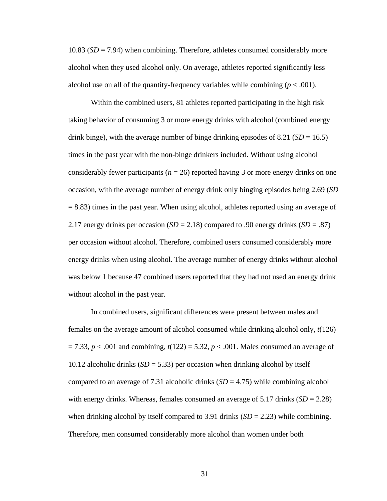10.83 (*SD* = 7.94) when combining. Therefore, athletes consumed considerably more alcohol when they used alcohol only. On average, athletes reported significantly less alcohol use on all of the quantity-frequency variables while combining  $(p < .001)$ .

Within the combined users, 81 athletes reported participating in the high risk taking behavior of consuming 3 or more energy drinks with alcohol (combined energy drink binge), with the average number of binge drinking episodes of  $8.21$  (*SD* = 16.5) times in the past year with the non-binge drinkers included. Without using alcohol considerably fewer participants ( $n = 26$ ) reported having 3 or more energy drinks on one occasion, with the average number of energy drink only binging episodes being 2.69 (*SD*  $= 8.83$ ) times in the past year. When using alcohol, athletes reported using an average of 2.17 energy drinks per occasion  $(SD = 2.18)$  compared to .90 energy drinks  $(SD = .87)$ per occasion without alcohol. Therefore, combined users consumed considerably more energy drinks when using alcohol. The average number of energy drinks without alcohol was below 1 because 47 combined users reported that they had not used an energy drink without alcohol in the past year.

In combined users, significant differences were present between males and females on the average amount of alcohol consumed while drinking alcohol only, *t*(126) = 7.33, *p* < .001 and combining, *t*(122) = 5.32, *p* < .001. Males consumed an average of 10.12 alcoholic drinks (*SD* = 5.33) per occasion when drinking alcohol by itself compared to an average of 7.31 alcoholic drinks  $(SD = 4.75)$  while combining alcohol with energy drinks. Whereas, females consumed an average of 5.17 drinks (*SD* = 2.28) when drinking alcohol by itself compared to 3.91 drinks  $(SD = 2.23)$  while combining. Therefore, men consumed considerably more alcohol than women under both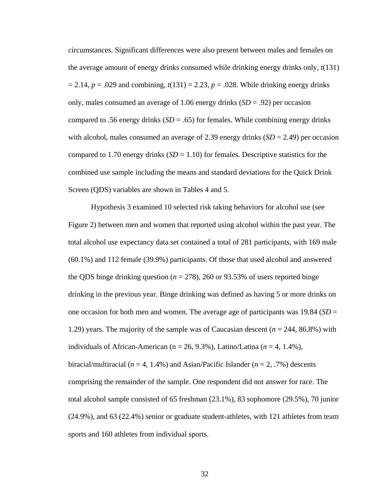circumstances. Significant differences were also present between males and females on the average amount of energy drinks consumed while drinking energy drinks only, *t*(131)  $= 2.14$ ,  $p = .029$  and combining,  $t(131) = 2.23$ ,  $p = .028$ . While drinking energy drinks only, males consumed an average of 1.06 energy drinks (*SD* = .92) per occasion compared to .56 energy drinks  $(SD = .65)$  for females. While combining energy drinks with alcohol, males consumed an average of 2.39 energy drinks  $(SD = 2.49)$  per occasion compared to 1.70 energy drinks  $(SD = 1.10)$  for females. Descriptive statistics for the combined use sample including the means and standard deviations for the Quick Drink Screen (QDS) variables are shown in Tables 4 and 5.

Hypothesis 3 examined 10 selected risk taking behaviors for alcohol use (see Figure 2) between men and women that reported using alcohol within the past year. The total alcohol use expectancy data set contained a total of 281 participants, with 169 male (60.1%) and 112 female (39.9%) participants. Of those that used alcohol and answered the QDS binge drinking question ( $n = 278$ ), 260 or 93.53% of users reported binge drinking in the previous year. Binge drinking was defined as having 5 or more drinks on one occasion for both men and women. The average age of participants was 19.84 (*SD* = 1.29) years. The majority of the sample was of Caucasian descent (*n* = 244, 86.8%) with individuals of African-American ( $n = 26, 9.3\%$ ), Latino/Latina ( $n = 4, 1.4\%$ ), biracial/multiracial  $(n = 4, 1.4\%)$  and Asian/Pacific Islander  $(n = 2, 7\%)$  descents comprising the remainder of the sample. One respondent did not answer for race. The total alcohol sample consisted of 65 freshman (23.1%), 83 sophomore (29.5%), 70 junior (24.9%), and 63 (22.4%) senior or graduate student-athletes, with 121 athletes from team sports and 160 athletes from individual sports.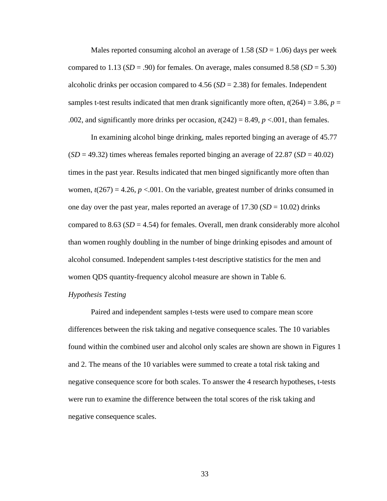Males reported consuming alcohol an average of  $1.58$  ( $SD = 1.06$ ) days per week compared to 1.13 ( $SD = .90$ ) for females. On average, males consumed 8.58 ( $SD = 5.30$ ) alcoholic drinks per occasion compared to 4.56 (*SD* = 2.38) for females. Independent samples t-test results indicated that men drank significantly more often,  $t(264) = 3.86$ ,  $p =$ .002, and significantly more drinks per occasion,  $t(242) = 8.49$ ,  $p < .001$ , than females.

In examining alcohol binge drinking, males reported binging an average of 45.77  $(SD = 49.32)$  times whereas females reported binging an average of 22.87 (*SD* = 40.02) times in the past year. Results indicated that men binged significantly more often than women,  $t(267) = 4.26$ ,  $p < .001$ . On the variable, greatest number of drinks consumed in one day over the past year, males reported an average of  $17.30$  ( $SD = 10.02$ ) drinks compared to 8.63 ( $SD = 4.54$ ) for females. Overall, men drank considerably more alcohol than women roughly doubling in the number of binge drinking episodes and amount of alcohol consumed. Independent samples t-test descriptive statistics for the men and women QDS quantity-frequency alcohol measure are shown in Table 6.

#### *Hypothesis Testing*

Paired and independent samples t-tests were used to compare mean score differences between the risk taking and negative consequence scales. The 10 variables found within the combined user and alcohol only scales are shown are shown in Figures 1 and 2. The means of the 10 variables were summed to create a total risk taking and negative consequence score for both scales. To answer the 4 research hypotheses, t-tests were run to examine the difference between the total scores of the risk taking and negative consequence scales.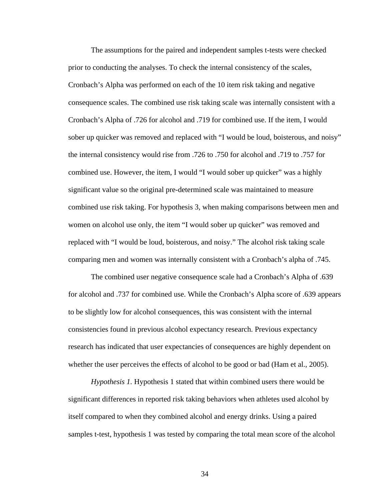The assumptions for the paired and independent samples t-tests were checked prior to conducting the analyses. To check the internal consistency of the scales, Cronbach's Alpha was performed on each of the 10 item risk taking and negative consequence scales. The combined use risk taking scale was internally consistent with a Cronbach's Alpha of .726 for alcohol and .719 for combined use. If the item, I would sober up quicker was removed and replaced with "I would be loud, boisterous, and noisy" the internal consistency would rise from .726 to .750 for alcohol and .719 to .757 for combined use. However, the item, I would "I would sober up quicker" was a highly significant value so the original pre-determined scale was maintained to measure combined use risk taking. For hypothesis 3, when making comparisons between men and women on alcohol use only, the item "I would sober up quicker" was removed and replaced with "I would be loud, boisterous, and noisy." The alcohol risk taking scale comparing men and women was internally consistent with a Cronbach's alpha of .745.

 The combined user negative consequence scale had a Cronbach's Alpha of .639 for alcohol and .737 for combined use. While the Cronbach's Alpha score of .639 appears to be slightly low for alcohol consequences, this was consistent with the internal consistencies found in previous alcohol expectancy research. Previous expectancy research has indicated that user expectancies of consequences are highly dependent on whether the user perceives the effects of alcohol to be good or bad (Ham et al., 2005).

*Hypothesis 1.* Hypothesis 1 stated that within combined users there would be significant differences in reported risk taking behaviors when athletes used alcohol by itself compared to when they combined alcohol and energy drinks. Using a paired samples t-test, hypothesis 1 was tested by comparing the total mean score of the alcohol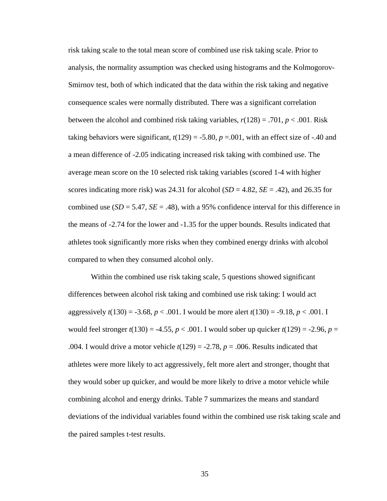risk taking scale to the total mean score of combined use risk taking scale. Prior to analysis, the normality assumption was checked using histograms and the Kolmogorov-Smirnov test, both of which indicated that the data within the risk taking and negative consequence scales were normally distributed. There was a significant correlation between the alcohol and combined risk taking variables, *r*(128) = .701, *p* < .001. Risk taking behaviors were significant,  $t(129) = -5.80$ ,  $p = .001$ , with an effect size of  $-.40$  and a mean difference of -2.05 indicating increased risk taking with combined use. The average mean score on the 10 selected risk taking variables (scored 1-4 with higher scores indicating more risk) was 24.31 for alcohol  $(SD = 4.82, SE = .42)$ , and 26.35 for combined use  $(SD = 5.47, SE = .48)$ , with a 95% confidence interval for this difference in the means of -2.74 for the lower and -1.35 for the upper bounds. Results indicated that athletes took significantly more risks when they combined energy drinks with alcohol compared to when they consumed alcohol only.

Within the combined use risk taking scale, 5 questions showed significant differences between alcohol risk taking and combined use risk taking: I would act aggressively  $t(130) = -3.68$ ,  $p < .001$ . I would be more alert  $t(130) = -9.18$ ,  $p < .001$ . I would feel stronger  $t(130) = -4.55$ ,  $p < .001$ . I would sober up quicker  $t(129) = -2.96$ ,  $p =$ .004. I would drive a motor vehicle  $t(129) = -2.78$ ,  $p = .006$ . Results indicated that athletes were more likely to act aggressively, felt more alert and stronger, thought that they would sober up quicker, and would be more likely to drive a motor vehicle while combining alcohol and energy drinks. Table 7 summarizes the means and standard deviations of the individual variables found within the combined use risk taking scale and the paired samples t-test results.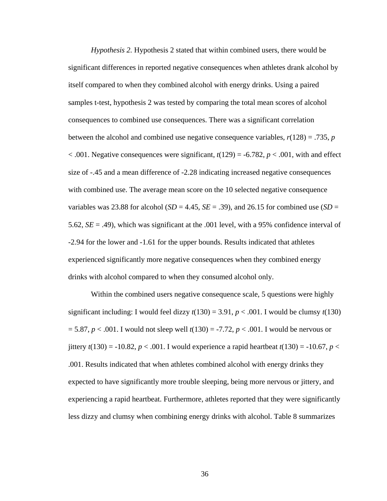*Hypothesis 2.* Hypothesis 2 stated that within combined users, there would be significant differences in reported negative consequences when athletes drank alcohol by itself compared to when they combined alcohol with energy drinks. Using a paired samples t-test, hypothesis 2 was tested by comparing the total mean scores of alcohol consequences to combined use consequences. There was a significant correlation between the alcohol and combined use negative consequence variables,  $r(128) = .735$ ,  $p$  $< .001$ . Negative consequences were significant,  $t(129) = -6.782$ ,  $p < .001$ , with and effect size of -.45 and a mean difference of -2.28 indicating increased negative consequences with combined use. The average mean score on the 10 selected negative consequence variables was 23.88 for alcohol (*SD* = 4.45, *SE* = .39), and 26.15 for combined use (*SD* = 5.62, *SE* = .49), which was significant at the .001 level, with a 95% confidence interval of -2.94 for the lower and -1.61 for the upper bounds. Results indicated that athletes experienced significantly more negative consequences when they combined energy drinks with alcohol compared to when they consumed alcohol only.

Within the combined users negative consequence scale, 5 questions were highly significant including: I would feel dizzy  $t(130) = 3.91$ ,  $p < .001$ . I would be clumsy  $t(130)$ = 5.87, *p* < .001. I would not sleep well *t*(130) = -7.72, *p* < .001. I would be nervous or jittery  $t(130) = -10.82$ ,  $p < .001$ . I would experience a rapid heartbeat  $t(130) = -10.67$ ,  $p <$ .001. Results indicated that when athletes combined alcohol with energy drinks they expected to have significantly more trouble sleeping, being more nervous or jittery, and experiencing a rapid heartbeat. Furthermore, athletes reported that they were significantly less dizzy and clumsy when combining energy drinks with alcohol. Table 8 summarizes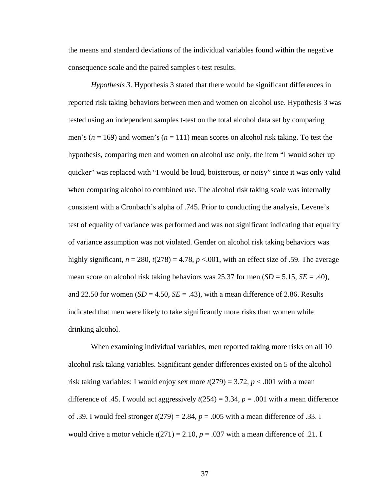the means and standard deviations of the individual variables found within the negative consequence scale and the paired samples t-test results.

*Hypothesis 3*. Hypothesis 3 stated that there would be significant differences in reported risk taking behaviors between men and women on alcohol use. Hypothesis 3 was tested using an independent samples t-test on the total alcohol data set by comparing men's (*n* = 169) and women's (*n* = 111) mean scores on alcohol risk taking. To test the hypothesis, comparing men and women on alcohol use only, the item "I would sober up quicker" was replaced with "I would be loud, boisterous, or noisy" since it was only valid when comparing alcohol to combined use. The alcohol risk taking scale was internally consistent with a Cronbach's alpha of .745. Prior to conducting the analysis, Levene's test of equality of variance was performed and was not significant indicating that equality of variance assumption was not violated. Gender on alcohol risk taking behaviors was highly significant,  $n = 280$ ,  $t(278) = 4.78$ ,  $p < .001$ , with an effect size of .59. The average mean score on alcohol risk taking behaviors was 25.37 for men (*SD* = 5.15, *SE* = .40), and 22.50 for women  $(SD = 4.50, SE = .43)$ , with a mean difference of 2.86. Results indicated that men were likely to take significantly more risks than women while drinking alcohol.

 When examining individual variables, men reported taking more risks on all 10 alcohol risk taking variables. Significant gender differences existed on 5 of the alcohol risk taking variables: I would enjoy sex more  $t(279) = 3.72$ ,  $p < .001$  with a mean difference of .45. I would act aggressively  $t(254) = 3.34$ ,  $p = .001$  with a mean difference of .39. I would feel stronger *t*(279) = 2.84, *p* = .005 with a mean difference of .33. I would drive a motor vehicle  $t(271) = 2.10, p = .037$  with a mean difference of .21. I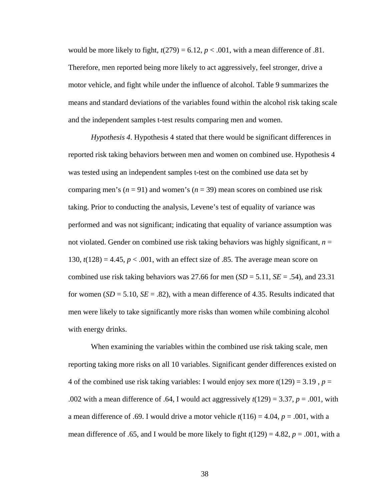would be more likely to fight,  $t(279) = 6.12$ ,  $p < .001$ , with a mean difference of .81. Therefore, men reported being more likely to act aggressively, feel stronger, drive a motor vehicle, and fight while under the influence of alcohol. Table 9 summarizes the means and standard deviations of the variables found within the alcohol risk taking scale and the independent samples t-test results comparing men and women.

*Hypothesis 4*. Hypothesis 4 stated that there would be significant differences in reported risk taking behaviors between men and women on combined use. Hypothesis 4 was tested using an independent samples t-test on the combined use data set by comparing men's ( $n = 91$ ) and women's ( $n = 39$ ) mean scores on combined use risk taking. Prior to conducting the analysis, Levene's test of equality of variance was performed and was not significant; indicating that equality of variance assumption was not violated. Gender on combined use risk taking behaviors was highly significant, *n* = 130,  $t(128) = 4.45$ ,  $p < .001$ , with an effect size of .85. The average mean score on combined use risk taking behaviors was 27.66 for men  $(SD = 5.11, SE = .54)$ , and 23.31 for women  $(SD = 5.10, SE = .82)$ , with a mean difference of 4.35. Results indicated that men were likely to take significantly more risks than women while combining alcohol with energy drinks.

 When examining the variables within the combined use risk taking scale, men reporting taking more risks on all 10 variables. Significant gender differences existed on 4 of the combined use risk taking variables: I would enjoy sex more *t*(129) = 3.19 , *p* = .002 with a mean difference of .64, I would act aggressively  $t(129) = 3.37$ ,  $p = .001$ , with a mean difference of .69. I would drive a motor vehicle  $t(116) = 4.04$ ,  $p = .001$ , with a mean difference of .65, and I would be more likely to fight  $t(129) = 4.82$ ,  $p = .001$ , with a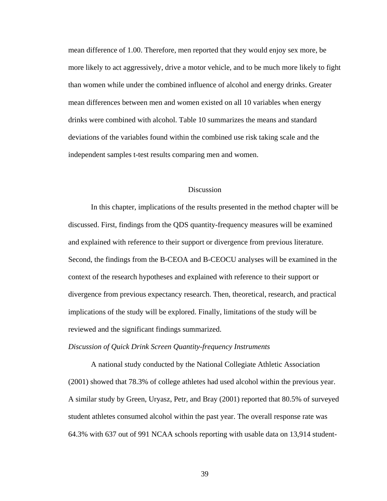mean difference of 1.00. Therefore, men reported that they would enjoy sex more, be more likely to act aggressively, drive a motor vehicle, and to be much more likely to fight than women while under the combined influence of alcohol and energy drinks. Greater mean differences between men and women existed on all 10 variables when energy drinks were combined with alcohol. Table 10 summarizes the means and standard deviations of the variables found within the combined use risk taking scale and the independent samples t-test results comparing men and women.

### **Discussion**

 In this chapter, implications of the results presented in the method chapter will be discussed. First, findings from the QDS quantity-frequency measures will be examined and explained with reference to their support or divergence from previous literature. Second, the findings from the B-CEOA and B-CEOCU analyses will be examined in the context of the research hypotheses and explained with reference to their support or divergence from previous expectancy research. Then, theoretical, research, and practical implications of the study will be explored. Finally, limitations of the study will be reviewed and the significant findings summarized.

#### *Discussion of Quick Drink Screen Quantity-frequency Instruments*

A national study conducted by the National Collegiate Athletic Association (2001) showed that 78.3% of college athletes had used alcohol within the previous year. A similar study by Green, Uryasz, Petr, and Bray (2001) reported that 80.5% of surveyed student athletes consumed alcohol within the past year. The overall response rate was 64.3% with 637 out of 991 NCAA schools reporting with usable data on 13,914 student-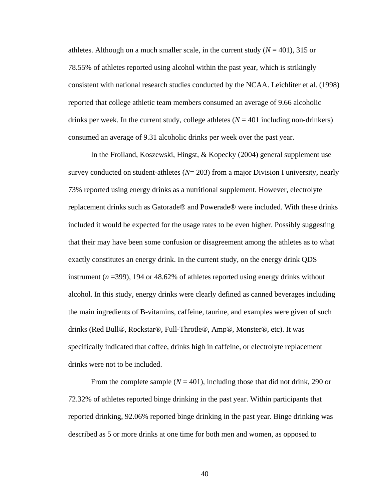athletes. Although on a much smaller scale, in the current study  $(N = 401)$ , 315 or 78.55% of athletes reported using alcohol within the past year, which is strikingly consistent with national research studies conducted by the NCAA. Leichliter et al. (1998) reported that college athletic team members consumed an average of 9.66 alcoholic drinks per week. In the current study, college athletes  $(N = 401$  including non-drinkers) consumed an average of 9.31 alcoholic drinks per week over the past year.

In the Froiland, Koszewski, Hingst, & Kopecky (2004) general supplement use survey conducted on student-athletes (*N*= 203) from a major Division I university, nearly 73% reported using energy drinks as a nutritional supplement. However, electrolyte replacement drinks such as Gatorade® and Powerade® were included. With these drinks included it would be expected for the usage rates to be even higher. Possibly suggesting that their may have been some confusion or disagreement among the athletes as to what exactly constitutes an energy drink. In the current study, on the energy drink QDS instrument (*n* =399), 194 or 48.62% of athletes reported using energy drinks without alcohol. In this study, energy drinks were clearly defined as canned beverages including the main ingredients of B-vitamins, caffeine, taurine, and examples were given of such drinks (Red Bull®, Rockstar®, Full-Throtle®, Amp®, Monster®, etc). It was specifically indicated that coffee, drinks high in caffeine, or electrolyte replacement drinks were not to be included.

From the complete sample  $(N = 401)$ , including those that did not drink, 290 or 72.32% of athletes reported binge drinking in the past year. Within participants that reported drinking, 92.06% reported binge drinking in the past year. Binge drinking was described as 5 or more drinks at one time for both men and women, as opposed to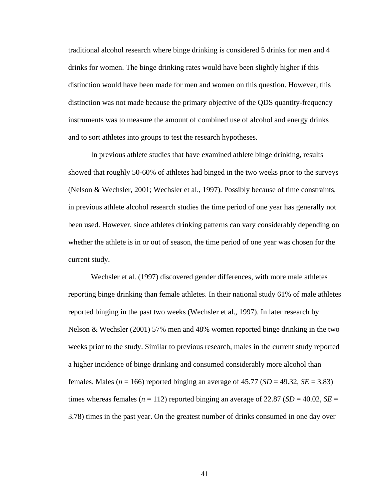traditional alcohol research where binge drinking is considered 5 drinks for men and 4 drinks for women. The binge drinking rates would have been slightly higher if this distinction would have been made for men and women on this question. However, this distinction was not made because the primary objective of the QDS quantity-frequency instruments was to measure the amount of combined use of alcohol and energy drinks and to sort athletes into groups to test the research hypotheses.

In previous athlete studies that have examined athlete binge drinking, results showed that roughly 50-60% of athletes had binged in the two weeks prior to the surveys (Nelson & Wechsler, 2001; Wechsler et al., 1997). Possibly because of time constraints, in previous athlete alcohol research studies the time period of one year has generally not been used. However, since athletes drinking patterns can vary considerably depending on whether the athlete is in or out of season, the time period of one year was chosen for the current study.

Wechsler et al. (1997) discovered gender differences, with more male athletes reporting binge drinking than female athletes. In their national study 61% of male athletes reported binging in the past two weeks (Wechsler et al., 1997). In later research by Nelson & Wechsler (2001) 57% men and 48% women reported binge drinking in the two weeks prior to the study. Similar to previous research, males in the current study reported a higher incidence of binge drinking and consumed considerably more alcohol than females. Males ( $n = 166$ ) reported binging an average of 45.77 ( $SD = 49.32$ ,  $SE = 3.83$ ) times whereas females ( $n = 112$ ) reported binging an average of 22.87 ( $SD = 40.02$ ,  $SE =$ 3.78) times in the past year. On the greatest number of drinks consumed in one day over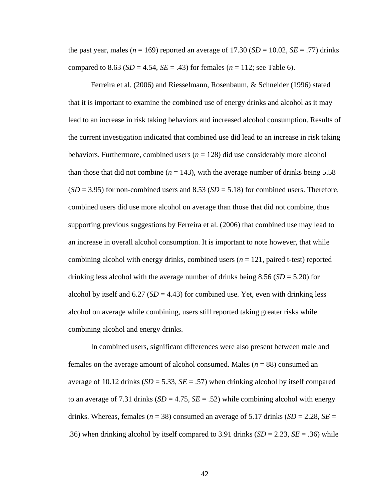the past year, males ( $n = 169$ ) reported an average of 17.30 ( $SD = 10.02$ ,  $SE = .77$ ) drinks compared to 8.63 ( $SD = 4.54$ ,  $SE = .43$ ) for females ( $n = 112$ ; see Table 6).

Ferreira et al. (2006) and Riesselmann, Rosenbaum, & Schneider (1996) stated that it is important to examine the combined use of energy drinks and alcohol as it may lead to an increase in risk taking behaviors and increased alcohol consumption. Results of the current investigation indicated that combined use did lead to an increase in risk taking behaviors. Furthermore, combined users (*n* = 128) did use considerably more alcohol than those that did not combine  $(n = 143)$ , with the average number of drinks being 5.58  $(SD = 3.95)$  for non-combined users and 8.53  $(SD = 5.18)$  for combined users. Therefore, combined users did use more alcohol on average than those that did not combine, thus supporting previous suggestions by Ferreira et al. (2006) that combined use may lead to an increase in overall alcohol consumption. It is important to note however, that while combining alcohol with energy drinks, combined users (*n* = 121, paired t-test) reported drinking less alcohol with the average number of drinks being 8.56 (*SD* = 5.20) for alcohol by itself and  $6.27$  ( $SD = 4.43$ ) for combined use. Yet, even with drinking less alcohol on average while combining, users still reported taking greater risks while combining alcohol and energy drinks.

In combined users, significant differences were also present between male and females on the average amount of alcohol consumed. Males (*n* = 88) consumed an average of 10.12 drinks  $(SD = 5.33, SE = .57)$  when drinking alcohol by itself compared to an average of 7.31 drinks  $(SD = 4.75, SE = .52)$  while combining alcohol with energy drinks. Whereas, females ( $n = 38$ ) consumed an average of 5.17 drinks ( $SD = 2.28$ ,  $SE =$ .36) when drinking alcohol by itself compared to 3.91 drinks  $(SD = 2.23, SE = .36)$  while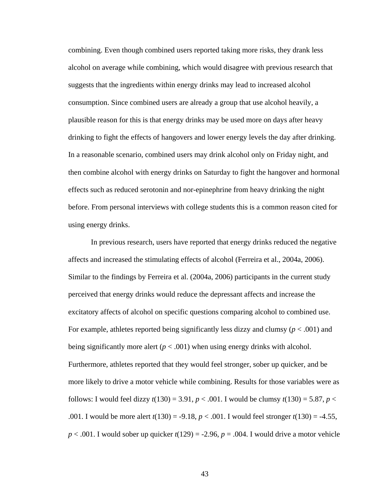combining. Even though combined users reported taking more risks, they drank less alcohol on average while combining, which would disagree with previous research that suggests that the ingredients within energy drinks may lead to increased alcohol consumption. Since combined users are already a group that use alcohol heavily, a plausible reason for this is that energy drinks may be used more on days after heavy drinking to fight the effects of hangovers and lower energy levels the day after drinking. In a reasonable scenario, combined users may drink alcohol only on Friday night, and then combine alcohol with energy drinks on Saturday to fight the hangover and hormonal effects such as reduced serotonin and nor-epinephrine from heavy drinking the night before. From personal interviews with college students this is a common reason cited for using energy drinks.

In previous research, users have reported that energy drinks reduced the negative affects and increased the stimulating effects of alcohol (Ferreira et al., 2004a, 2006). Similar to the findings by Ferreira et al. (2004a, 2006) participants in the current study perceived that energy drinks would reduce the depressant affects and increase the excitatory affects of alcohol on specific questions comparing alcohol to combined use. For example, athletes reported being significantly less dizzy and clumsy  $(p < .001)$  and being significantly more alert  $(p < .001)$  when using energy drinks with alcohol. Furthermore, athletes reported that they would feel stronger, sober up quicker, and be more likely to drive a motor vehicle while combining. Results for those variables were as follows: I would feel dizzy  $t(130) = 3.91$ ,  $p < .001$ . I would be clumsy  $t(130) = 5.87$ ,  $p <$ .001. I would be more alert *t*(130) = -9.18, *p* < .001. I would feel stronger *t*(130) = -4.55,  $p < .001$ . I would sober up quicker  $t(129) = -2.96$ ,  $p = .004$ . I would drive a motor vehicle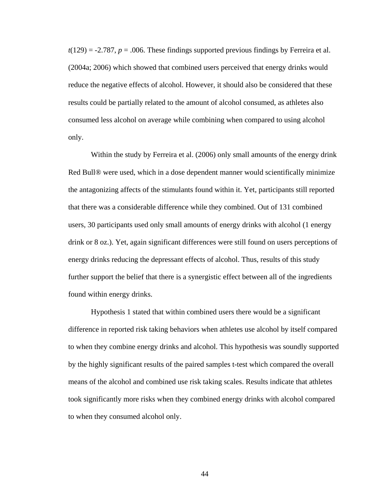$t(129) = -2.787$ ,  $p = .006$ . These findings supported previous findings by Ferreira et al. (2004a; 2006) which showed that combined users perceived that energy drinks would reduce the negative effects of alcohol. However, it should also be considered that these results could be partially related to the amount of alcohol consumed, as athletes also consumed less alcohol on average while combining when compared to using alcohol only.

 Within the study by Ferreira et al. (2006) only small amounts of the energy drink Red Bull® were used, which in a dose dependent manner would scientifically minimize the antagonizing affects of the stimulants found within it. Yet, participants still reported that there was a considerable difference while they combined. Out of 131 combined users, 30 participants used only small amounts of energy drinks with alcohol (1 energy drink or 8 oz.). Yet, again significant differences were still found on users perceptions of energy drinks reducing the depressant effects of alcohol. Thus, results of this study further support the belief that there is a synergistic effect between all of the ingredients found within energy drinks.

Hypothesis 1 stated that within combined users there would be a significant difference in reported risk taking behaviors when athletes use alcohol by itself compared to when they combine energy drinks and alcohol. This hypothesis was soundly supported by the highly significant results of the paired samples t-test which compared the overall means of the alcohol and combined use risk taking scales. Results indicate that athletes took significantly more risks when they combined energy drinks with alcohol compared to when they consumed alcohol only.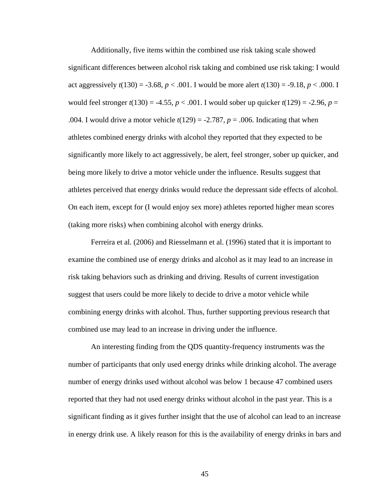Additionally, five items within the combined use risk taking scale showed significant differences between alcohol risk taking and combined use risk taking: I would act aggressively  $t(130) = -3.68$ ,  $p < .001$ . I would be more alert  $t(130) = -9.18$ ,  $p < .000$ . I would feel stronger  $t(130) = -4.55$ ,  $p < .001$ . I would sober up quicker  $t(129) = -2.96$ ,  $p =$ .004. I would drive a motor vehicle  $t(129) = -2.787$ ,  $p = .006$ . Indicating that when athletes combined energy drinks with alcohol they reported that they expected to be significantly more likely to act aggressively, be alert, feel stronger, sober up quicker, and being more likely to drive a motor vehicle under the influence. Results suggest that athletes perceived that energy drinks would reduce the depressant side effects of alcohol. On each item, except for (I would enjoy sex more) athletes reported higher mean scores (taking more risks) when combining alcohol with energy drinks.

Ferreira et al. (2006) and Riesselmann et al. (1996) stated that it is important to examine the combined use of energy drinks and alcohol as it may lead to an increase in risk taking behaviors such as drinking and driving. Results of current investigation suggest that users could be more likely to decide to drive a motor vehicle while combining energy drinks with alcohol. Thus, further supporting previous research that combined use may lead to an increase in driving under the influence.

An interesting finding from the QDS quantity-frequency instruments was the number of participants that only used energy drinks while drinking alcohol. The average number of energy drinks used without alcohol was below 1 because 47 combined users reported that they had not used energy drinks without alcohol in the past year. This is a significant finding as it gives further insight that the use of alcohol can lead to an increase in energy drink use. A likely reason for this is the availability of energy drinks in bars and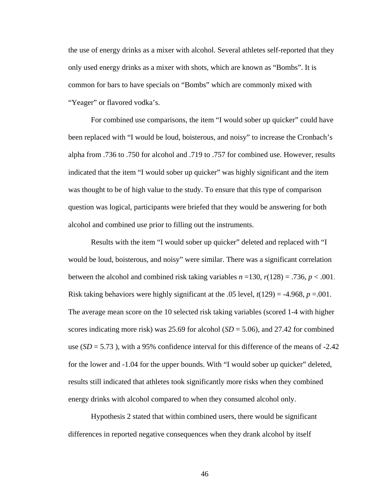the use of energy drinks as a mixer with alcohol. Several athletes self-reported that they only used energy drinks as a mixer with shots, which are known as "Bombs". It is common for bars to have specials on "Bombs" which are commonly mixed with "Yeager" or flavored vodka's.

For combined use comparisons, the item "I would sober up quicker" could have been replaced with "I would be loud, boisterous, and noisy" to increase the Cronbach's alpha from .736 to .750 for alcohol and .719 to .757 for combined use. However, results indicated that the item "I would sober up quicker" was highly significant and the item was thought to be of high value to the study. To ensure that this type of comparison question was logical, participants were briefed that they would be answering for both alcohol and combined use prior to filling out the instruments.

Results with the item "I would sober up quicker" deleted and replaced with "I would be loud, boisterous, and noisy" were similar. There was a significant correlation between the alcohol and combined risk taking variables  $n = 130$ ,  $r(128) = .736$ ,  $p < .001$ . Risk taking behaviors were highly significant at the .05 level,  $t(129) = -4.968$ ,  $p = .001$ . The average mean score on the 10 selected risk taking variables (scored 1-4 with higher scores indicating more risk) was 25.69 for alcohol (*SD* = 5.06), and 27.42 for combined use  $(SD = 5.73)$ , with a 95% confidence interval for this difference of the means of -2.42 for the lower and -1.04 for the upper bounds. With "I would sober up quicker" deleted, results still indicated that athletes took significantly more risks when they combined energy drinks with alcohol compared to when they consumed alcohol only.

Hypothesis 2 stated that within combined users, there would be significant differences in reported negative consequences when they drank alcohol by itself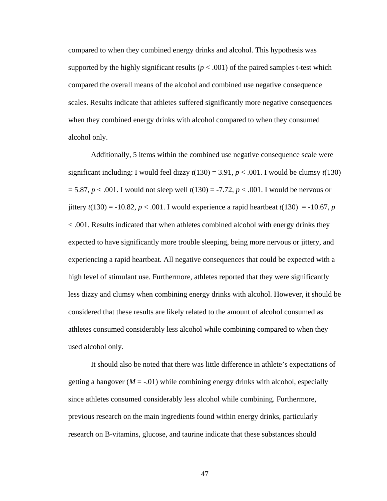compared to when they combined energy drinks and alcohol. This hypothesis was supported by the highly significant results ( $p < .001$ ) of the paired samples t-test which compared the overall means of the alcohol and combined use negative consequence scales. Results indicate that athletes suffered significantly more negative consequences when they combined energy drinks with alcohol compared to when they consumed alcohol only.

Additionally, 5 items within the combined use negative consequence scale were significant including: I would feel dizzy  $t(130) = 3.91$ ,  $p < .001$ . I would be clumsy  $t(130)$ = 5.87, *p* < .001. I would not sleep well *t*(130) = -7.72, *p* < .001. I would be nervous or jittery  $t(130) = -10.82$ ,  $p < .001$ . I would experience a rapid heartbeat  $t(130) = -10.67$ , p < .001. Results indicated that when athletes combined alcohol with energy drinks they expected to have significantly more trouble sleeping, being more nervous or jittery, and experiencing a rapid heartbeat. All negative consequences that could be expected with a high level of stimulant use. Furthermore, athletes reported that they were significantly less dizzy and clumsy when combining energy drinks with alcohol. However, it should be considered that these results are likely related to the amount of alcohol consumed as athletes consumed considerably less alcohol while combining compared to when they used alcohol only.

It should also be noted that there was little difference in athlete's expectations of getting a hangover  $(M = -0.01)$  while combining energy drinks with alcohol, especially since athletes consumed considerably less alcohol while combining. Furthermore, previous research on the main ingredients found within energy drinks, particularly research on B-vitamins, glucose, and taurine indicate that these substances should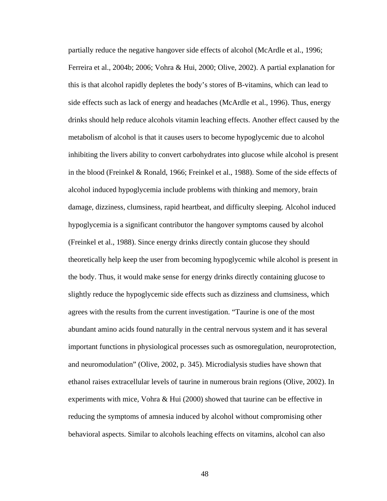partially reduce the negative hangover side effects of alcohol (McArdle et al., 1996; Ferreira et al., 2004b; 2006; Vohra & Hui, 2000; Olive, 2002). A partial explanation for this is that alcohol rapidly depletes the body's stores of B-vitamins, which can lead to side effects such as lack of energy and headaches (McArdle et al., 1996). Thus, energy drinks should help reduce alcohols vitamin leaching effects. Another effect caused by the metabolism of alcohol is that it causes users to become hypoglycemic due to alcohol inhibiting the livers ability to convert carbohydrates into glucose while alcohol is present in the blood (Freinkel & Ronald, 1966; Freinkel et al., 1988). Some of the side effects of alcohol induced hypoglycemia include problems with thinking and memory, brain damage, dizziness, clumsiness, rapid heartbeat, and difficulty sleeping. Alcohol induced hypoglycemia is a significant contributor the hangover symptoms caused by alcohol (Freinkel et al., 1988). Since energy drinks directly contain glucose they should theoretically help keep the user from becoming hypoglycemic while alcohol is present in the body. Thus, it would make sense for energy drinks directly containing glucose to slightly reduce the hypoglycemic side effects such as dizziness and clumsiness, which agrees with the results from the current investigation. "Taurine is one of the most abundant amino acids found naturally in the central nervous system and it has several important functions in physiological processes such as osmoregulation, neuroprotection, and neuromodulation" (Olive, 2002, p. 345). Microdialysis studies have shown that ethanol raises extracellular levels of taurine in numerous brain regions (Olive, 2002). In experiments with mice, Vohra & Hui (2000) showed that taurine can be effective in reducing the symptoms of amnesia induced by alcohol without compromising other behavioral aspects. Similar to alcohols leaching effects on vitamins, alcohol can also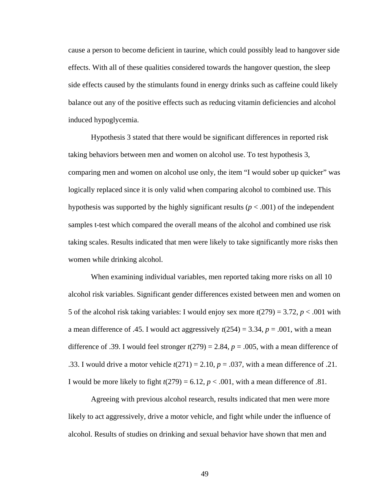cause a person to become deficient in taurine, which could possibly lead to hangover side effects. With all of these qualities considered towards the hangover question, the sleep side effects caused by the stimulants found in energy drinks such as caffeine could likely balance out any of the positive effects such as reducing vitamin deficiencies and alcohol induced hypoglycemia.

Hypothesis 3 stated that there would be significant differences in reported risk taking behaviors between men and women on alcohol use. To test hypothesis 3, comparing men and women on alcohol use only, the item "I would sober up quicker" was logically replaced since it is only valid when comparing alcohol to combined use. This hypothesis was supported by the highly significant results  $(p < .001)$  of the independent samples t-test which compared the overall means of the alcohol and combined use risk taking scales. Results indicated that men were likely to take significantly more risks then women while drinking alcohol.

When examining individual variables, men reported taking more risks on all 10 alcohol risk variables. Significant gender differences existed between men and women on 5 of the alcohol risk taking variables: I would enjoy sex more  $t(279) = 3.72$ ,  $p < .001$  with a mean difference of .45. I would act aggressively  $t(254) = 3.34$ ,  $p = .001$ , with a mean difference of .39. I would feel stronger  $t(279) = 2.84$ ,  $p = .005$ , with a mean difference of .33. I would drive a motor vehicle  $t(271) = 2.10$ ,  $p = .037$ , with a mean difference of .21. I would be more likely to fight  $t(279) = 6.12$ ,  $p < .001$ , with a mean difference of .81.

Agreeing with previous alcohol research, results indicated that men were more likely to act aggressively, drive a motor vehicle, and fight while under the influence of alcohol. Results of studies on drinking and sexual behavior have shown that men and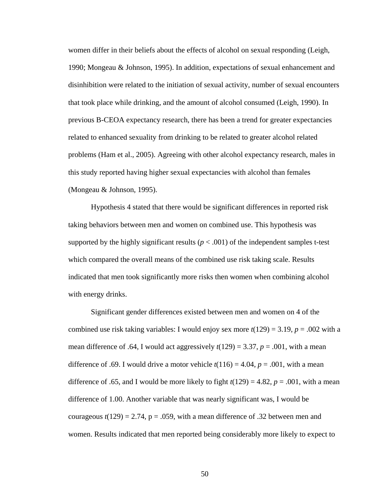women differ in their beliefs about the effects of alcohol on sexual responding (Leigh, 1990; Mongeau & Johnson, 1995). In addition, expectations of sexual enhancement and disinhibition were related to the initiation of sexual activity, number of sexual encounters that took place while drinking, and the amount of alcohol consumed (Leigh, 1990). In previous B-CEOA expectancy research, there has been a trend for greater expectancies related to enhanced sexuality from drinking to be related to greater alcohol related problems (Ham et al., 2005). Agreeing with other alcohol expectancy research, males in this study reported having higher sexual expectancies with alcohol than females (Mongeau & Johnson, 1995).

 Hypothesis 4 stated that there would be significant differences in reported risk taking behaviors between men and women on combined use. This hypothesis was supported by the highly significant results ( $p < .001$ ) of the independent samples t-test which compared the overall means of the combined use risk taking scale. Results indicated that men took significantly more risks then women when combining alcohol with energy drinks.

 Significant gender differences existed between men and women on 4 of the combined use risk taking variables: I would enjoy sex more  $t(129) = 3.19$ ,  $p = .002$  with a mean difference of .64, I would act aggressively  $t(129) = 3.37$ ,  $p = .001$ , with a mean difference of .69. I would drive a motor vehicle  $t(116) = 4.04$ ,  $p = .001$ , with a mean difference of .65, and I would be more likely to fight  $t(129) = 4.82$ ,  $p = .001$ , with a mean difference of 1.00. Another variable that was nearly significant was, I would be courageous  $t(129) = 2.74$ ,  $p = .059$ , with a mean difference of .32 between men and women. Results indicated that men reported being considerably more likely to expect to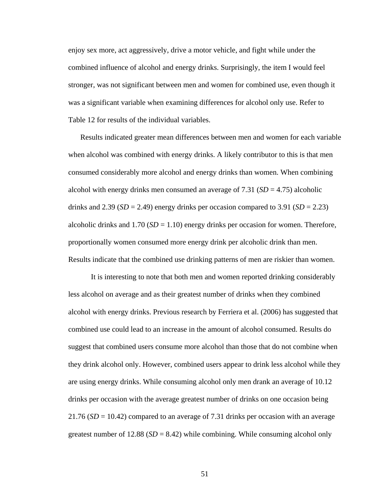enjoy sex more, act aggressively, drive a motor vehicle, and fight while under the combined influence of alcohol and energy drinks. Surprisingly, the item I would feel stronger, was not significant between men and women for combined use, even though it was a significant variable when examining differences for alcohol only use. Refer to Table 12 for results of the individual variables.

 Results indicated greater mean differences between men and women for each variable when alcohol was combined with energy drinks. A likely contributor to this is that men consumed considerably more alcohol and energy drinks than women. When combining alcohol with energy drinks men consumed an average of  $7.31$  ( $SD = 4.75$ ) alcoholic drinks and 2.39 ( $SD = 2.49$ ) energy drinks per occasion compared to 3.91 ( $SD = 2.23$ ) alcoholic drinks and  $1.70$  ( $SD = 1.10$ ) energy drinks per occasion for women. Therefore, proportionally women consumed more energy drink per alcoholic drink than men. Results indicate that the combined use drinking patterns of men are riskier than women.

 It is interesting to note that both men and women reported drinking considerably less alcohol on average and as their greatest number of drinks when they combined alcohol with energy drinks. Previous research by Ferriera et al. (2006) has suggested that combined use could lead to an increase in the amount of alcohol consumed. Results do suggest that combined users consume more alcohol than those that do not combine when they drink alcohol only. However, combined users appear to drink less alcohol while they are using energy drinks. While consuming alcohol only men drank an average of 10.12 drinks per occasion with the average greatest number of drinks on one occasion being  $21.76$  ( $SD = 10.42$ ) compared to an average of 7.31 drinks per occasion with an average greatest number of  $12.88$  ( $SD = 8.42$ ) while combining. While consuming alcohol only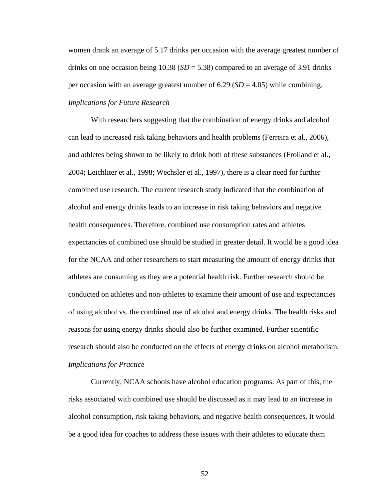women drank an average of 5.17 drinks per occasion with the average greatest number of drinks on one occasion being 10.38 (*SD* = 5.38) compared to an average of 3.91 drinks per occasion with an average greatest number of  $6.29$  (*SD* = 4.05) while combining. *Implications for Future Research*

 With researchers suggesting that the combination of energy drinks and alcohol can lead to increased risk taking behaviors and health problems (Ferreira et al., 2006), and athletes being shown to be likely to drink both of these substances (Froiland et al., 2004; Leichliter et al., 1998; Wechsler et al., 1997), there is a clear need for further combined use research. The current research study indicated that the combination of alcohol and energy drinks leads to an increase in risk taking behaviors and negative health consequences. Therefore, combined use consumption rates and athletes expectancies of combined use should be studied in greater detail. It would be a good idea for the NCAA and other researchers to start measuring the amount of energy drinks that athletes are consuming as they are a potential health risk. Further research should be conducted on athletes and non-athletes to examine their amount of use and expectancies of using alcohol vs. the combined use of alcohol and energy drinks. The health risks and reasons for using energy drinks should also be further examined. Further scientific research should also be conducted on the effects of energy drinks on alcohol metabolism. *Implications for Practice*

Currently, NCAA schools have alcohol education programs. As part of this, the risks associated with combined use should be discussed as it may lead to an increase in alcohol consumption, risk taking behaviors, and negative health consequences. It would be a good idea for coaches to address these issues with their athletes to educate them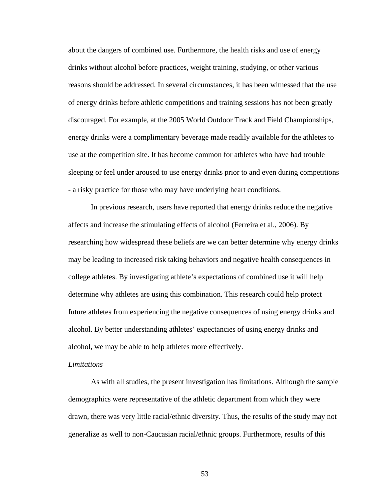about the dangers of combined use. Furthermore, the health risks and use of energy drinks without alcohol before practices, weight training, studying, or other various reasons should be addressed. In several circumstances, it has been witnessed that the use of energy drinks before athletic competitions and training sessions has not been greatly discouraged. For example, at the 2005 World Outdoor Track and Field Championships, energy drinks were a complimentary beverage made readily available for the athletes to use at the competition site. It has become common for athletes who have had trouble sleeping or feel under aroused to use energy drinks prior to and even during competitions - a risky practice for those who may have underlying heart conditions.

In previous research, users have reported that energy drinks reduce the negative affects and increase the stimulating effects of alcohol (Ferreira et al., 2006). By researching how widespread these beliefs are we can better determine why energy drinks may be leading to increased risk taking behaviors and negative health consequences in college athletes. By investigating athlete's expectations of combined use it will help determine why athletes are using this combination. This research could help protect future athletes from experiencing the negative consequences of using energy drinks and alcohol. By better understanding athletes' expectancies of using energy drinks and alcohol, we may be able to help athletes more effectively.

#### *Limitations*

 As with all studies, the present investigation has limitations. Although the sample demographics were representative of the athletic department from which they were drawn, there was very little racial/ethnic diversity. Thus, the results of the study may not generalize as well to non-Caucasian racial/ethnic groups. Furthermore, results of this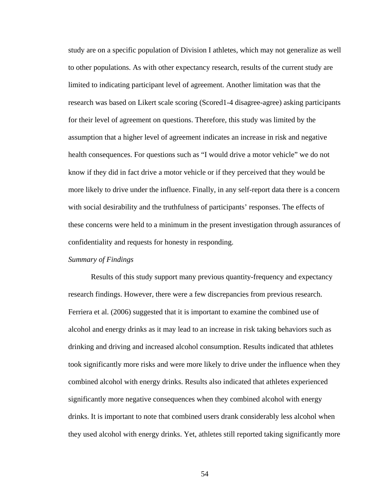study are on a specific population of Division I athletes, which may not generalize as well to other populations. As with other expectancy research, results of the current study are limited to indicating participant level of agreement. Another limitation was that the research was based on Likert scale scoring (Scored1-4 disagree-agree) asking participants for their level of agreement on questions. Therefore, this study was limited by the assumption that a higher level of agreement indicates an increase in risk and negative health consequences. For questions such as "I would drive a motor vehicle" we do not know if they did in fact drive a motor vehicle or if they perceived that they would be more likely to drive under the influence. Finally, in any self-report data there is a concern with social desirability and the truthfulness of participants' responses. The effects of these concerns were held to a minimum in the present investigation through assurances of confidentiality and requests for honesty in responding.

### *Summary of Findings*

Results of this study support many previous quantity-frequency and expectancy research findings. However, there were a few discrepancies from previous research. Ferriera et al. (2006) suggested that it is important to examine the combined use of alcohol and energy drinks as it may lead to an increase in risk taking behaviors such as drinking and driving and increased alcohol consumption. Results indicated that athletes took significantly more risks and were more likely to drive under the influence when they combined alcohol with energy drinks. Results also indicated that athletes experienced significantly more negative consequences when they combined alcohol with energy drinks. It is important to note that combined users drank considerably less alcohol when they used alcohol with energy drinks. Yet, athletes still reported taking significantly more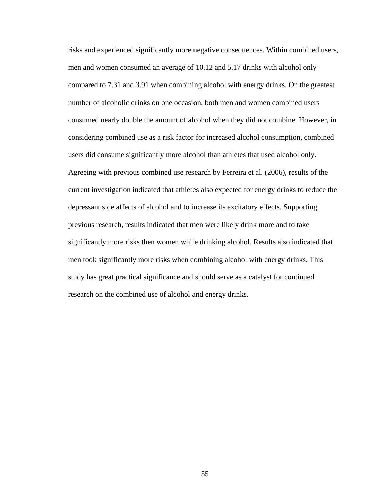risks and experienced significantly more negative consequences. Within combined users, men and women consumed an average of 10.12 and 5.17 drinks with alcohol only compared to 7.31 and 3.91 when combining alcohol with energy drinks. On the greatest number of alcoholic drinks on one occasion, both men and women combined users consumed nearly double the amount of alcohol when they did not combine. However, in considering combined use as a risk factor for increased alcohol consumption, combined users did consume significantly more alcohol than athletes that used alcohol only. Agreeing with previous combined use research by Ferreira et al. (2006), results of the current investigation indicated that athletes also expected for energy drinks to reduce the depressant side affects of alcohol and to increase its excitatory effects. Supporting previous research, results indicated that men were likely drink more and to take significantly more risks then women while drinking alcohol. Results also indicated that men took significantly more risks when combining alcohol with energy drinks. This study has great practical significance and should serve as a catalyst for continued research on the combined use of alcohol and energy drinks.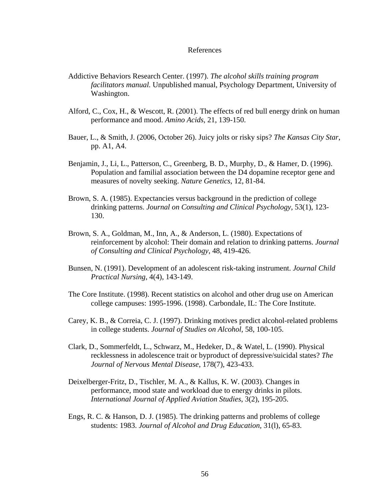#### References

- Addictive Behaviors Research Center. (1997). *The alcohol skills training program facilitators manual.* Unpublished manual, Psychology Department, University of Washington.
- Alford, C., Cox, H., & Wescott, R. (2001). The effects of red bull energy drink on human performance and mood. *Amino Acids*, 21, 139-150.
- Bauer, L., & Smith, J. (2006, October 26). Juicy jolts or risky sips? *The Kansas City Star*, pp. A1, A4.
- Benjamin, J., Li, L., Patterson, C., Greenberg, B. D., Murphy, D., & Hamer, D. (1996). Population and familial association between the D4 dopamine receptor gene and measures of novelty seeking. *Nature Genetics*, 12, 81-84.
- Brown, S. A. (1985). Expectancies versus background in the prediction of college drinking patterns. *Journal on Consulting and Clinical Psychology*, 53(1), 123- 130.
- Brown, S. A., Goldman, M., Inn, A., & Anderson, L. (1980). Expectations of reinforcement by alcohol: Their domain and relation to drinking patterns. *Journal of Consulting and Clinical Psychology*, 48, 419-426.
- Bunsen, N. (1991). Development of an adolescent risk-taking instrument. *Journal Child Practical Nursing*, 4(4), 143-149.
- The Core Institute. (1998). Recent statistics on alcohol and other drug use on American college campuses: 1995-1996. (1998). Carbondale, IL: The Core Institute.
- Carey, K. B., & Correia, C. J. (1997). Drinking motives predict alcohol-related problems in college students. *Journal of Studies on Alcohol*, 58, 100-105.
- Clark, D., Sommerfeldt, L., Schwarz, M., Hedeker, D., & Watel, L. (1990). Physical recklessness in adolescence trait or byproduct of depressive/suicidal states? *The Journal of Nervous Mental Disease*, 178(7), 423-433.
- Deixelberger-Fritz, D., Tischler, M. A., & Kallus, K. W. (2003). Changes in performance, mood state and workload due to energy drinks in pilots. *International Journal of Applied Aviation Studies*, 3(2), 195-205.
- Engs, R. C. & Hanson, D. J. (1985). The drinking patterns and problems of college students: 1983. *Journal of Alcohol and Drug Education,* 31(l), 65-83.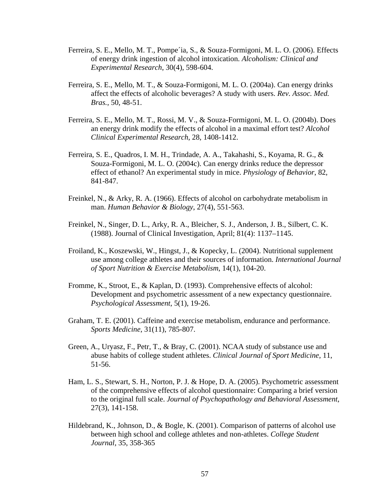- Ferreira, S. E., Mello, M. T., Pompe´ia, S., & Souza-Formigoni, M. L. O. (2006). Effects of energy drink ingestion of alcohol intoxication. *Alcoholism: Clinical and Experimental Research*, 30(4), 598-604.
- Ferreira, S. E., Mello, M. T., & Souza-Formigoni, M. L. O. (2004a). Can energy drinks affect the effects of alcoholic beverages? A study with users. *Rev. Assoc. Med. Bras.*, 50, 48-51.
- Ferreira, S. E., Mello, M. T., Rossi, M. V., & Souza-Formigoni, M. L. O. (2004b). Does an energy drink modify the effects of alcohol in a maximal effort test? *Alcohol Clinical Experimental Research*, 28, 1408-1412.
- Ferreira, S. E., Quadros, I. M. H., Trindade, A. A., Takahashi, S., Koyama, R. G., & Souza-Formigoni, M. L. O. (2004c). Can energy drinks reduce the depressor effect of ethanol? An experimental study in mice. *Physiology of Behavior*, 82, 841-847.
- Freinkel, N., & Arky, R. A. (1966). Effects of alcohol on carbohydrate metabolism in man. *Human Behavior & Biology*, 27(4), 551-563.
- Freinkel, N., Singer, D. L., Arky, R. A., Bleicher, S. J., Anderson, J. B., Silbert, C. K. (1988). Journal of Clinical Investigation, April; 81(4): 1137–1145.
- Froiland, K., Koszewski, W., Hingst, J., & Kopecky, L. (2004). Nutritional supplement use among college athletes and their sources of information. *International Journal of Sport Nutrition & Exercise Metabolism*, 14(1), 104-20.
- Fromme, K., Stroot, E., & Kaplan, D. (1993). Comprehensive effects of alcohol: Development and psychometric assessment of a new expectancy questionnaire. *Psychological Assessment*, 5(1), 19-26.
- Graham, T. E. (2001). Caffeine and exercise metabolism, endurance and performance. *Sports Medicine*, 31(11), 785-807.
- Green, A., Uryasz, F., Petr, T., & Bray, C. (2001). NCAA study of substance use and abuse habits of college student athletes. *Clinical Journal of Sport Medicine*, 11, 51-56.
- Ham, L. S., Stewart, S. H., Norton, P. J. & Hope, D. A. (2005). Psychometric assessment of the comprehensive effects of alcohol questionnaire: Comparing a brief version to the original full scale. *Journal of Psychopathology and Behavioral Assessment*, 27(3), 141-158.
- Hildebrand, K., Johnson, D., & Bogle, K. (2001). Comparison of patterns of alcohol use between high school and college athletes and non-athletes. *College Student Journal*, 35, 358-365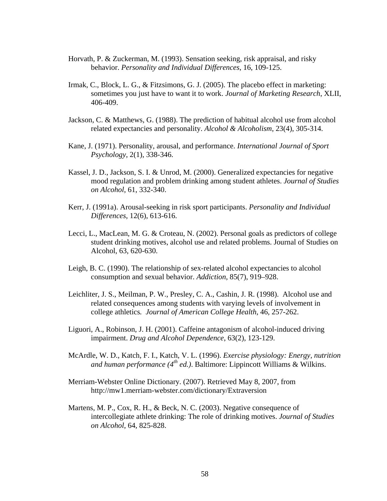- Horvath, P. & Zuckerman, M. (1993). Sensation seeking, risk appraisal, and risky behavior. *Personality and Individual Differences*, 16, 109-125.
- Irmak, C., Block, L. G., & Fitzsimons, G. J. (2005). The placebo effect in marketing: sometimes you just have to want it to work. *Journal of Marketing Research*, XLII, 406-409.
- Jackson, C. & Matthews, G. (1988). The prediction of habitual alcohol use from alcohol related expectancies and personality. *Alcohol & Alcoholism*, 23(4), 305-314.
- Kane, J. (1971). Personality, arousal, and performance. *International Journal of Sport Psychology*, 2(1), 338-346.
- Kassel, J. D., Jackson, S. I. & Unrod, M. (2000). Generalized expectancies for negative mood regulation and problem drinking among student athletes. *Journal of Studies on Alcohol*, 61, 332-340.
- Kerr, J. (1991a). Arousal-seeking in risk sport participants. *Personality and Individual Differences*, 12(6), 613-616.
- Lecci, L., MacLean, M. G. & Croteau, N. (2002). Personal goals as predictors of college student drinking motives, alcohol use and related problems. Journal of Studies on Alcohol, 63, 620-630.
- Leigh, B. C. (1990). The relationship of sex-related alcohol expectancies to alcohol consumption and sexual behavior. *Addiction*, 85(7), 919–928.
- Leichliter, J. S., Meilman, P. W., Presley, C. A., Cashin, J. R. (1998). Alcohol use and related consequences among students with varying levels of involvement in college athletics*. Journal of American College Health*, 46*,* 257-262.
- Liguori, A., Robinson, J. H. (2001). Caffeine antagonism of alcohol-induced driving impairment. *Drug and Alcohol Dependence*, 63(2), 123-129.
- McArdle, W. D., Katch, F. I., Katch, V. L. (1996). *Exercise physiology: Energy, nutrition and human performance (4th ed.)*. Baltimore: Lippincott Williams & Wilkins.
- Merriam-Webster Online Dictionary. (2007). Retrieved May 8, 2007, from http://mw1.merriam-webster.com/dictionary/Extraversion
- Martens, M. P., Cox, R. H., & Beck, N. C. (2003). Negative consequence of intercollegiate athlete drinking: The role of drinking motives. *Journal of Studies on Alcohol*, 64, 825-828.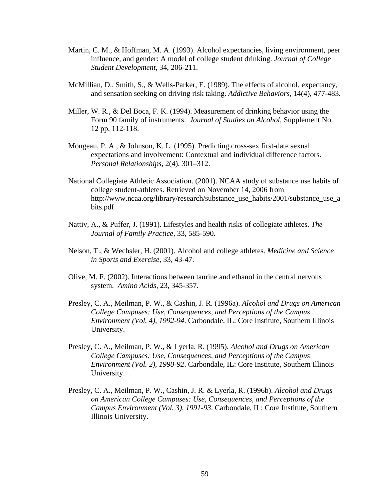- Martin, C. M., & Hoffman, M. A. (1993). Alcohol expectancies, living environment, peer influence, and gender: A model of college student drinking. *Journal of College Student Development*, 34, 206-211.
- McMillian, D., Smith, S., & Wells-Parker, E. (1989). The effects of alcohol, expectancy, and sensation seeking on driving risk taking. *Addictive Behaviors*, 14(4), 477-483.
- Miller, W. R., & Del Boca, F. K. (1994). Measurement of drinking behavior using the Form 90 family of instruments. *Journal of Studies on Alcohol*, Supplement No. 12 pp. 112-118.
- Mongeau, P. A., & Johnson, K. L. (1995). Predicting cross-sex first-date sexual expectations and involvement: Contextual and individual difference factors. *Personal Relationships*, 2(4), 301–312.
- National Collegiate Athletic Association. (2001). NCAA study of substance use habits of college student-athletes. Retrieved on November 14, 2006 from http://www.ncaa.org/library/research/substance\_use\_habits/2001/substance\_use\_a bits.pdf
- Nattiv, A., & Puffer, J. (1991). Lifestyles and health risks of collegiate athletes. *The Journal of Family Practice*, 33, 585-590.
- Nelson, T., & Wechsler, H. (2001). Alcohol and college athletes. *Medicine and Science in Sports and Exercise*, 33, 43-47.
- Olive, M. F. (2002). Interactions between taurine and ethanol in the central nervous system. *Amino Acids*, 23, 345-357.
- Presley, C. A., Meilman, P. W., & Cashin, J. R. (1996a). *Alcohol and Drugs on American College Campuses: Use, Consequences, and Perceptions of the Campus Environment (Vol. 4), 1992-94*. Carbondale, IL: Core Institute, Southern Illinois University.
- Presley, C. A., Meilman, P. W., & Lyerla, R. (1995). *Alcohol and Drugs on American College Campuses: Use, Consequences, and Perceptions of the Campus Environment (Vol. 2), 1990-92*. Carbondale, IL: Core Institute, Southern Illinois University.
- Presley, C. A., Meilman, P. W., Cashin, J. R. & Lyerla, R. (1996b). *Alcohol and Drugs on American College Campuses: Use, Consequences, and Perceptions of the Campus Environment (Vol. 3), 1991-93*. Carbondale, IL: Core Institute, Southern Illinois University.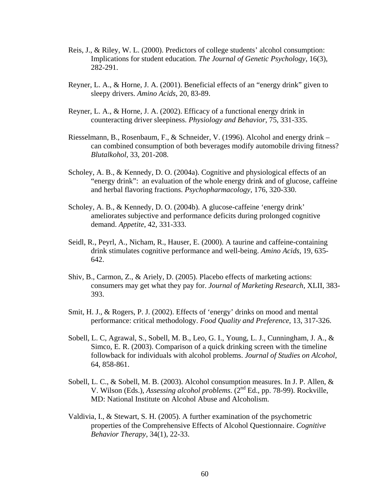- Reis, J., & Riley, W. L. (2000). Predictors of college students' alcohol consumption: Implications for student education. *The Journal of Genetic Psychology*, 16(3), 282-291.
- Reyner, L. A., & Horne, J. A. (2001). Beneficial effects of an "energy drink" given to sleepy drivers. *Amino Acids*, 20, 83-89.
- Reyner, L. A., & Horne, J. A. (2002). Efficacy of a functional energy drink in counteracting driver sleepiness. *Physiology and Behavior*, 75, 331-335.
- Riesselmann, B., Rosenbaum, F., & Schneider, V. (1996). Alcohol and energy drink can combined consumption of both beverages modify automobile driving fitness? *Blutalkohol*, 33, 201-208.
- Scholey, A. B., & Kennedy, D. O. (2004a). Cognitive and physiological effects of an "energy drink": an evaluation of the whole energy drink and of glucose, caffeine and herbal flavoring fractions. *Psychopharmacology*, 176, 320-330.
- Scholey, A. B., & Kennedy, D. O. (2004b). A glucose-caffeine 'energy drink' ameliorates subjective and performance deficits during prolonged cognitive demand. *Appetite*, 42, 331-333.
- Seidl, R., Peyrl, A., Nicham, R., Hauser, E. (2000). A taurine and caffeine-containing drink stimulates cognitive performance and well-being. *Amino Acids*, 19, 635- 642.
- Shiv, B., Carmon, Z., & Ariely, D. (2005). Placebo effects of marketing actions: consumers may get what they pay for. *Journal of Marketing Research*, XLII, 383- 393.
- Smit, H. J., & Rogers, P. J. (2002). Effects of 'energy' drinks on mood and mental performance: critical methodology. *Food Quality and Preference*, 13, 317-326.
- Sobell, L. C, Agrawal, S., Sobell, M. B., Leo, G. I., Young, L. J., Cunningham, J. A., & Simco, E. R. (2003). Comparison of a quick drinking screen with the timeline followback for individuals with alcohol problems. *Journal of Studies on Alcohol*, 64, 858-861.
- Sobell, L. C., & Sobell, M. B. (2003). Alcohol consumption measures. In J. P. Allen, & V. Wilson (Eds.), *Assessing alcohol problems*. (2nd Ed., pp. 78-99). Rockville, MD: National Institute on Alcohol Abuse and Alcoholism.
- Valdivia, I., & Stewart, S. H. (2005). A further examination of the psychometric properties of the Comprehensive Effects of Alcohol Questionnaire. *Cognitive Behavior Therapy*, 34(1), 22-33.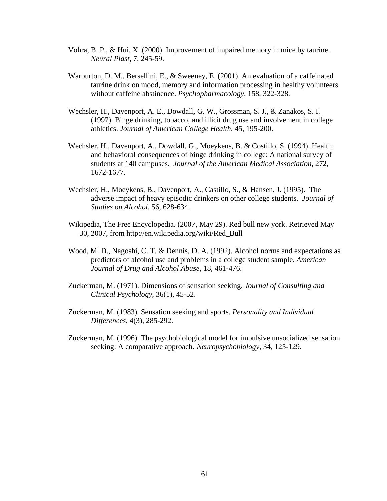- Vohra, B. P., & Hui, X. (2000). Improvement of impaired memory in mice by taurine. *Neural Plast*, 7, 245-59.
- Warburton, D. M., Bersellini, E., & Sweeney, E. (2001). An evaluation of a caffeinated taurine drink on mood, memory and information processing in healthy volunteers without caffeine abstinence. *Psychopharmacology*, 158, 322-328.
- Wechsler, H., Davenport, A. E., Dowdall, G. W., Grossman, S. J., & Zanakos, S. I. (1997). Binge drinking, tobacco, and illicit drug use and involvement in college athletics. *Journal of American College Health*, 45, 195-200.
- Wechsler, H., Davenport, A., Dowdall, G., Moeykens, B. & Costillo, S. (1994). Health and behavioral consequences of binge drinking in college: A national survey of students at 140 campuses. *Journal of the American Medical Association*, 272, 1672-1677.
- Wechsler, H., Moeykens, B., Davenport, A., Castillo, S., & Hansen, J. (1995). The adverse impact of heavy episodic drinkers on other college students. *Journal of Studies on Alcohol*, 56, 628-634.
- Wikipedia, The Free Encyclopedia. (2007, May 29). Red bull new york. Retrieved May 30, 2007, from http://en.wikipedia.org/wiki/Red\_Bull
- Wood, M. D., Nagoshi, C. T. & Dennis, D. A. (1992). Alcohol norms and expectations as predictors of alcohol use and problems in a college student sample. *American Journal of Drug and Alcohol Abuse*, 18, 461-476.
- Zuckerman, M. (1971). Dimensions of sensation seeking. *Journal of Consulting and Clinical Psychology*, 36(1), 45-52*.*
- Zuckerman, M. (1983). Sensation seeking and sports. *Personality and Individual Differences*, 4(3), 285-292.
- Zuckerman, M. (1996). The psychobiological model for impulsive unsocialized sensation seeking: A comparative approach. *Neuropsychobiology*, 34, 125-129.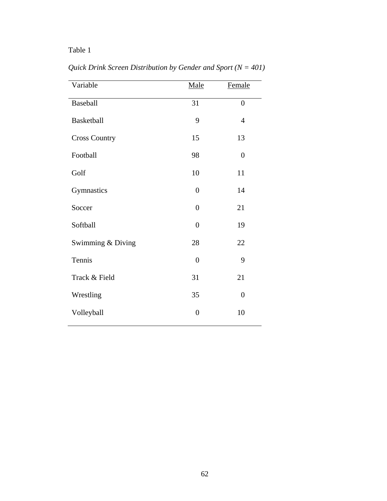| Variable             | Male           | Female         |
|----------------------|----------------|----------------|
| Baseball             | 31             | $\overline{0}$ |
| <b>Basketball</b>    | 9              | $\overline{4}$ |
| <b>Cross Country</b> | 15             | 13             |
| Football             | 98             | $\overline{0}$ |
| Golf                 | 10             | 11             |
| Gymnastics           | $\overline{0}$ | 14             |
| Soccer               | $\overline{0}$ | 21             |
| Softball             | $\overline{0}$ | 19             |
| Swimming & Diving    | 28             | 22             |
| Tennis               | $\overline{0}$ | 9              |
| Track & Field        | 31             | 21             |
| Wrestling            | 35             | $\overline{0}$ |
| Volleyball           | $\overline{0}$ | 10             |

*Quick Drink Screen Distribution by Gender and Sport (N = 401)*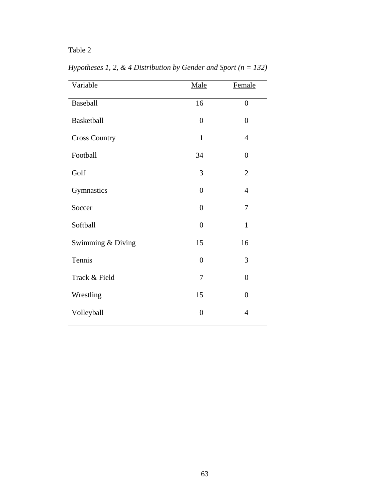| Variable             | Male           | Female         |
|----------------------|----------------|----------------|
| Baseball             | 16             | $\overline{0}$ |
| <b>Basketball</b>    | $\overline{0}$ | $\overline{0}$ |
| <b>Cross Country</b> | $\mathbf{1}$   | $\overline{4}$ |
| Football             | 34             | $\overline{0}$ |
| Golf                 | 3              | $\overline{2}$ |
| Gymnastics           | $\overline{0}$ | $\overline{4}$ |
| Soccer               | $\overline{0}$ | 7              |
| Softball             | $\overline{0}$ | 1              |
| Swimming & Diving    | 15             | 16             |
| Tennis               | $\overline{0}$ | 3              |
| Track & Field        | 7              | $\overline{0}$ |
| Wrestling            | 15             | $\theta$       |
| Volleyball           | $\overline{0}$ | $\overline{4}$ |

*Hypotheses 1, 2, & 4 Distribution by Gender and Sport (n = 132)*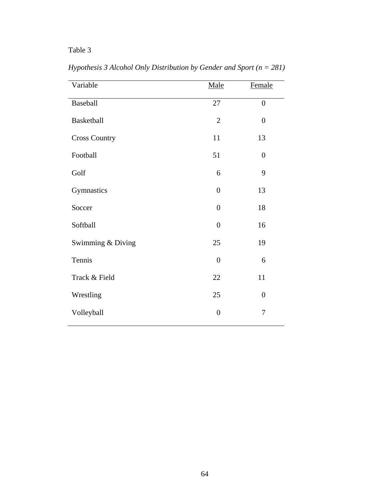| Variable             | Male             | Female         |
|----------------------|------------------|----------------|
| Baseball             | 27               | $\overline{0}$ |
| <b>Basketball</b>    | $\mathbf{2}$     | $\overline{0}$ |
| <b>Cross Country</b> | 11               | 13             |
| Football             | 51               | $\overline{0}$ |
| Golf                 | 6                | 9              |
| Gymnastics           | $\overline{0}$   | 13             |
| Soccer               | $\overline{0}$   | 18             |
| Softball             | $\overline{0}$   | 16             |
| Swimming & Diving    | 25               | 19             |
| Tennis               | $\overline{0}$   | 6              |
| Track & Field        | 22               | 11             |
| Wrestling            | 25               | $\overline{0}$ |
| Volleyball           | $\boldsymbol{0}$ | $\overline{7}$ |

*Hypothesis 3 Alcohol Only Distribution by Gender and Sport (n = 281)*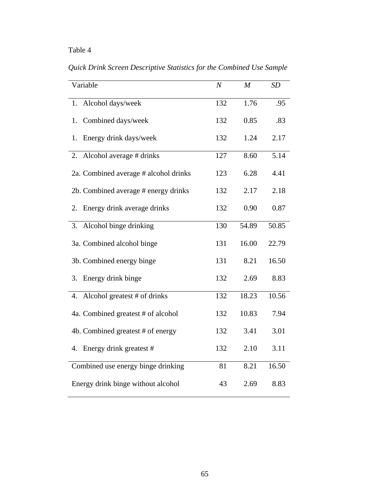| Variable                              | $\boldsymbol{N}$ | M     | SD    |
|---------------------------------------|------------------|-------|-------|
| Alcohol days/week<br>1.               | 132              | 1.76  | .95   |
| Combined days/week<br>1.              | 132              | 0.85  | .83   |
| Energy drink days/week<br>1.          | 132              | 1.24  | 2.17  |
| Alcohol average # drinks<br>2.        | 127              | 8.60  | 5.14  |
| 2a. Combined average # alcohol drinks | 123              | 6.28  | 4.41  |
| 2b. Combined average # energy drinks  | 132              | 2.17  | 2.18  |
| Energy drink average drinks<br>2.     | 132              | 0.90  | 0.87  |
| Alcohol binge drinking<br>3.          | 130              | 54.89 | 50.85 |
| 3a. Combined alcohol binge            | 131              | 16.00 | 22.79 |
| 3b. Combined energy binge             | 131              | 8.21  | 16.50 |
| Energy drink binge<br>3.              | 132              | 2.69  | 8.83  |
| Alcohol greatest # of drinks<br>4.    | 132              | 18.23 | 10.56 |
| 4a. Combined greatest # of alcohol    | 132              | 10.83 | 7.94  |
| 4b. Combined greatest # of energy     | 132              | 3.41  | 3.01  |
| Energy drink greatest #<br>4.         | 132              | 2.10  | 3.11  |
| Combined use energy binge drinking    | 81               | 8.21  | 16.50 |
| Energy drink binge without alcohol    | 43               | 2.69  | 8.83  |

*Quick Drink Screen Descriptive Statistics for the Combined Use Sample*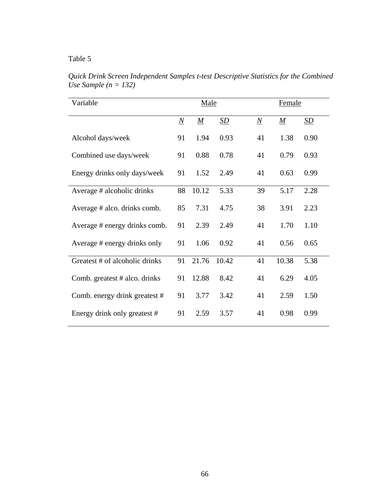| Variable                       |                 | Male            | Female           |                 |                  |                  |
|--------------------------------|-----------------|-----------------|------------------|-----------------|------------------|------------------|
|                                | $\underline{N}$ | $\underline{M}$ | $\underline{SD}$ | $\underline{N}$ | $\boldsymbol{M}$ | $\underline{SD}$ |
| Alcohol days/week              | 91              | 1.94            | 0.93             | 41              | 1.38             | 0.90             |
| Combined use days/week         | 91              | 0.88            | 0.78             | 41              | 0.79             | 0.93             |
| Energy drinks only days/week   | 91              | 1.52            | 2.49             | 41              | 0.63             | 0.99             |
| Average # alcoholic drinks     | 88              | 10.12           | 5.33             | 39              | 5.17             | 2.28             |
| Average # alco. drinks comb.   | 85              | 7.31            | 4.75             | 38              | 3.91             | 2.23             |
| Average # energy drinks comb.  | 91              | 2.39            | 2.49             | 41              | 1.70             | 1.10             |
| Average # energy drinks only   | 91              | 1.06            | 0.92             | 41              | 0.56             | 0.65             |
| Greatest # of alcoholic drinks | 91              | 21.76           | 10.42            | 41              | 10.38            | 5.38             |
| Comb. greatest # alco. drinks  | 91              | 12.88           | 8.42             | 41              | 6.29             | 4.05             |
| Comb. energy drink greatest #  | 91              | 3.77            | 3.42             | 41              | 2.59             | 1.50             |
| Energy drink only greatest #   | 91              | 2.59            | 3.57             | 41              | 0.98             | 0.99             |

*Quick Drink Screen Independent Samples t-test Descriptive Statistics for the Combined Use Sample (n = 132)*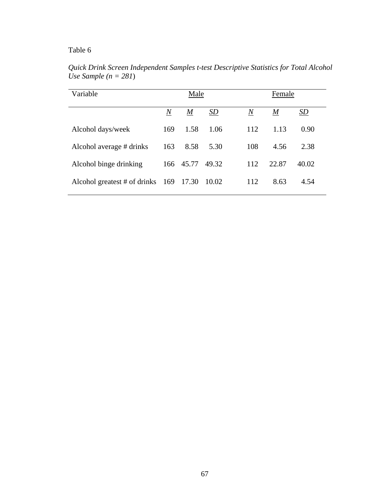| Variable                           |                | Male             |       | Female  |                  |       |
|------------------------------------|----------------|------------------|-------|---------|------------------|-------|
|                                    | $\overline{N}$ | $\boldsymbol{M}$ | SD    | $\it N$ | $\boldsymbol{M}$ | SD    |
| Alcohol days/week                  | 169            | 1.58             | 1.06  | 112     | 1.13             | 0.90  |
| Alcohol average # drinks           | 163            | 8.58             | 5.30  | 108     | 4.56             | 2.38  |
| Alcohol binge drinking             |                | 166 45.77        | 49.32 | 112     | 22.87            | 40.02 |
| Alcohol greatest $#$ of drinks 169 |                | 17.30            | 10.02 | 112     | 8.63             | 4.54  |

*Quick Drink Screen Independent Samples t-test Descriptive Statistics for Total Alcohol Use Sample (n = 281*)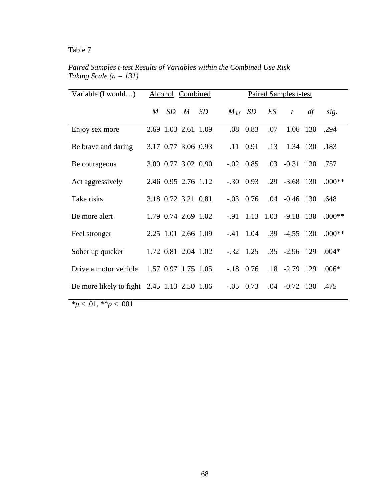| Variable (I would)                          | Alcohol Combined    |   |    |         | Paired Samples t-test |     |                               |    |          |
|---------------------------------------------|---------------------|---|----|---------|-----------------------|-----|-------------------------------|----|----------|
|                                             | M<br>SD.            | M | SD |         | $M_{dif}$ SD          | ES  | $\boldsymbol{t}$              | df | sig.     |
| Enjoy sex more                              | 2.69 1.03 2.61 1.09 |   |    | $.08\,$ | 0.83                  | .07 | 1.06 130                      |    | .294     |
| Be brave and daring                         | 3.17 0.77 3.06 0.93 |   |    |         | $.11 \quad 0.91$      | .13 | 1.34 130                      |    | .183     |
| Be courageous                               | 3.00 0.77 3.02 0.90 |   |    |         | $-.02 \quad 0.85$     | .03 | $-0.31$ 130                   |    | .757     |
| Act aggressively                            | 2.46 0.95 2.76 1.12 |   |    |         | $-.30 \quad 0.93$     |     | $.29 - 3.68$ 130              |    | $.000**$ |
| Take risks                                  | 3.18 0.72 3.21 0.81 |   |    |         | $-.03 \quad 0.76$     |     | $.04 - 0.46$ 130              |    | .648     |
| Be more alert                               | 1.79 0.74 2.69 1.02 |   |    |         |                       |     | $-0.91$ 1.13 1.03 $-9.18$ 130 |    | $.000**$ |
| Feel stronger                               | 2.25 1.01 2.66 1.09 |   |    | $-.41$  | 1.04                  |     | $.39 -4.55$ 130               |    | $.000**$ |
| Sober up quicker                            | 1.72 0.81 2.04 1.02 |   |    |         | $-.32 \quad 1.25$     |     | $.35 - 2.96$ 129              |    | $.004*$  |
| Drive a motor vehicle                       | 1.57 0.97 1.75 1.05 |   |    |         | $-.18$ 0.76           |     | $.18 - 2.79$ 129              |    | $.006*$  |
| Be more likely to fight 2.45 1.13 2.50 1.86 |                     |   |    | $-.05$  | 0.73                  | .04 | $-0.72$ 130                   |    | .475     |

*Paired Samples t-test Results of Variables within the Combined Use Risk Taking Scale (n = 131)* 

\**p* < .01, \*\**p* < .001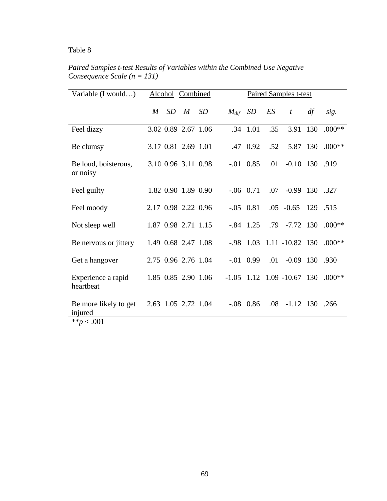| Variable (I would)                                |   |    | Alcohol Combined    |           |           |                   |                  | <b>Paired Samples t-test</b>   |    |          |
|---------------------------------------------------|---|----|---------------------|-----------|-----------|-------------------|------------------|--------------------------------|----|----------|
|                                                   | M | SD | $\boldsymbol{M}$    | <i>SD</i> | $M_{dif}$ | SD                | ES               | $\mathfrak{t}$                 | df | sig.     |
| Feel dizzy                                        |   |    | 3.02 0.89 2.67 1.06 |           | .34       | 1.01              | .35              | 3.91 130                       |    | $.000**$ |
| Be clumsy                                         |   |    | 3.17 0.81 2.69 1.01 |           |           | .47 0.92          | .52              | 5.87 130                       |    | $.000**$ |
| Be loud, boisterous,<br>or noisy                  |   |    | 3.10 0.96 3.11 0.98 |           |           | $-.01 \quad 0.85$ | .01              | $-0.10$ 130 .919               |    |          |
| Feel guilty                                       |   |    | 1.82 0.90 1.89 0.90 |           |           | $-.06$ 0.71       | .07              | $-0.99$ 130 .327               |    |          |
| Feel moody                                        |   |    | 2.17 0.98 2.22 0.96 |           |           | $-.05 \quad 0.81$ |                  | $.05 -0.65$ 129 .515           |    |          |
| Not sleep well                                    |   |    | 1.87 0.98 2.71 1.15 |           |           | $-.84$ 1.25       |                  | $.79$ $-7.72$ 130              |    | $.000**$ |
| Be nervous or jittery                             |   |    | 1.49 0.68 2.47 1.08 |           | -.98      |                   |                  | $1.03$ $1.11$ $-10.82$ $130$   |    | $.000**$ |
| Get a hangover                                    |   |    | 2.75 0.96 2.76 1.04 |           |           | $-.01 \quad 0.99$ | .01              | $-0.09$ 130 .930               |    |          |
| Experience a rapid<br>heartbeat                   |   |    | 1.85 0.85 2.90 1.06 |           |           |                   |                  | $-1.05$ 1.12 1.09 $-10.67$ 130 |    | $.000**$ |
| Be more likely to get<br>injured<br>** $p < .001$ |   |    | 2.63 1.05 2.72 1.04 |           |           | $-.08$ 0.86       | .08 <sub>1</sub> | $-1.12$ 130 .266               |    |          |

*P Consequence Scale (n = 131) aired Samples t-test Results of Variables within the Combined Use Negative*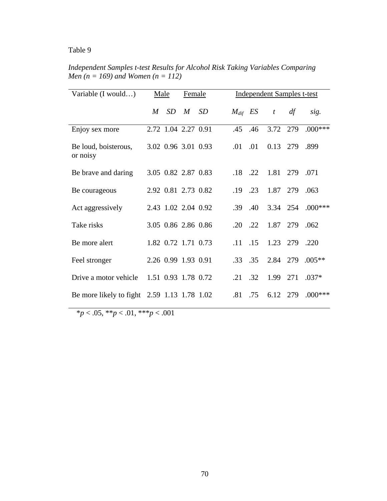| Variable (I would)                          | Male |                     | Female      |           | <b>Independent Samples t-test</b> |     |              |          |           |
|---------------------------------------------|------|---------------------|-------------|-----------|-----------------------------------|-----|--------------|----------|-----------|
|                                             | M    | SD                  | $M_{\odot}$ | <i>SD</i> | $M_{dif}$ ES                      |     | $\mathbf{t}$ | df       | sig.      |
| Enjoy sex more                              |      | 2.72 1.04 2.27 0.91 |             |           | $.45$ $.46$                       |     | 3.72         | 279      | $.000***$ |
| Be loud, boisterous,<br>or noisy            |      | 3.02 0.96 3.01 0.93 |             |           | .01                               | .01 | $0.13$ 279   |          | .899      |
| Be brave and daring                         |      | 3.05 0.82 2.87 0.83 |             |           | $\overline{18}$                   | .22 |              | 1.81 279 | .071      |
| Be courageous                               |      | 2.92 0.81 2.73 0.82 |             |           | .19                               | .23 | 1.87 279     |          | .063      |
| Act aggressively                            |      | 2.43 1.02 2.04 0.92 |             |           | .39                               | .40 | 3.34 254     |          | $.000***$ |
| Take risks                                  |      | 3.05 0.86 2.86 0.86 |             |           | $.20 \t .22$                      |     | 1.87         | 279      | .062      |
| Be more alert                               |      | 1.82 0.72 1.71 0.73 |             |           | .11                               | .15 |              | 1.23 279 | .220      |
| Feel stronger                               |      | 2.26 0.99 1.93 0.91 |             |           | .33                               | .35 | 2.84         | 279      | $.005**$  |
| Drive a motor vehicle                       |      | 1.51 0.93 1.78 0.72 |             |           | $.21 \quad .32$                   |     | 1.99         | 271      | $.037*$   |
| Be more likely to fight 2.59 1.13 1.78 1.02 |      |                     |             |           | .81                               | .75 | 6.12         | 279      | $.000***$ |

Independent Samples t-test Results for Alcohol Risk Taking Variables Comparing *Men (n = 169) and Women (n = 112)* 

 $* p < .05, ** p < .01, ** p < .001$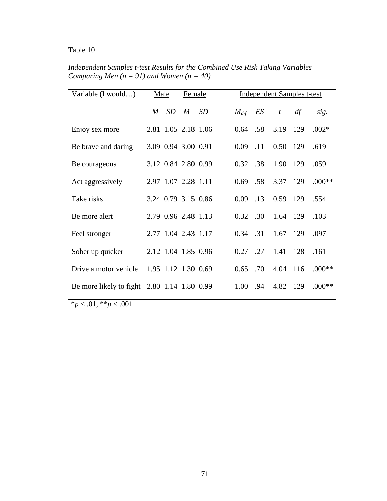| Variable (I would)                          |             | Male                | Female      |           | <b>Independent Samples t-test</b> |     |          |     |          |
|---------------------------------------------|-------------|---------------------|-------------|-----------|-----------------------------------|-----|----------|-----|----------|
|                                             | $M_{\odot}$ | SD                  | $M_{\odot}$ | <i>SD</i> | $M_{dif}$                         | ES  | t        | df  | sig.     |
| Enjoy sex more                              |             | 2.81 1.05 2.18 1.06 |             |           | 0.64                              | .58 | 3.19     | 129 | $.002*$  |
| Be brave and daring                         |             | 3.09 0.94 3.00 0.91 |             |           | 0.09                              | .11 | 0.50 129 |     | .619     |
| Be courageous                               |             | 3.12 0.84 2.80 0.99 |             |           | 0.32                              | .38 | 1.90 129 |     | .059     |
| Act aggressively                            |             | 2.97 1.07 2.28 1.11 |             |           | 0.69                              | .58 | 3.37     | 129 | $.000**$ |
| Take risks                                  |             | 3.24 0.79 3.15 0.86 |             |           | 0.09                              | .13 | 0.59     | 129 | .554     |
| Be more alert                               |             | 2.79 0.96 2.48 1.13 |             |           | 0.32                              | .30 | 1.64 129 |     | .103     |
| Feel stronger                               |             | 2.77 1.04 2.43 1.17 |             |           | 0.34                              | .31 | 1.67 129 |     | .097     |
| Sober up quicker                            |             | 2.12 1.04 1.85 0.96 |             |           | 0.27                              | .27 | 1.41     | 128 | .161     |
| Drive a motor vehicle                       |             | 1.95 1.12 1.30 0.69 |             |           | 0.65                              | .70 | 4.04     | 116 | $.000**$ |
| Be more likely to fight 2.80 1.14 1.80 0.99 |             |                     |             |           | 1.00                              | .94 | 4.82     | 129 | $.000**$ |

*Independent Samples t-test Results for the Combined Use Risk Taking Variables Comparing Men*  $(n = 91)$  *and Women*  $(n = 40)$ 

\**p* < .01, \*\**p* < .001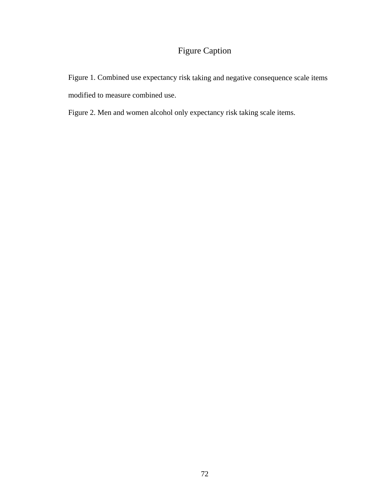# Figure Caption

Figure 1. Combined use expectancy risk taking and negative consequence scale items modified to measure combined use.

Figure 2. Men and women alcohol only expectancy risk taking scale items.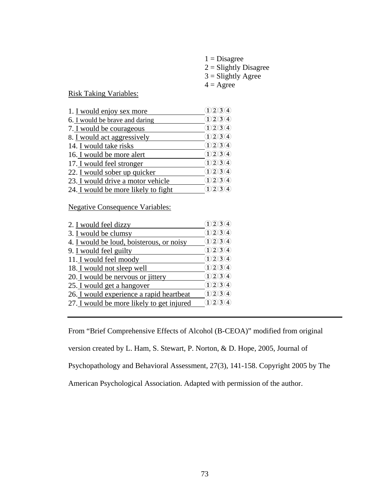| $1 = Disagree$          |
|-------------------------|
| $2 =$ Slightly Disagree |
| $3 =$ Slightly Agree    |
| $4 = \text{Agree}$      |

Risk Taking Variables:

| 1. I would enjoy sex more           |                                     |
|-------------------------------------|-------------------------------------|
| 6. I would be brave and daring      | 1/2/3/4                             |
| 7. I would be courageous            | 1/2/3/4                             |
| 8. I would act aggressively         | $\Omega$ $\Omega$ $\Omega$ $\Omega$ |
| 14. I would take risks              | $\Omega$ $\Omega$ $\Omega$ $\Omega$ |
| 16. I would be more alert           | (1)2)3(4)                           |
| 17. I would feel stronger           | 1234                                |
| 22. I would sober up quicker        | 1/2/3/4                             |
| 23. I would drive a motor vehicle   | 1/2/3/4                             |
| 24. I would be more likely to fight |                                     |

Negative Consequence Variables:

| 2. I would feel dizzy                     | 1(2)(3)(4)                           |
|-------------------------------------------|--------------------------------------|
| 3. I would be clumsy                      | 1234                                 |
| 4. I would be loud, boisterous, or noisy  | 1/2/3/4                              |
| 9. I would feel guilty                    | $\Omega$ $\Omega$ $\Omega$ $\Omega$  |
| 11. I would feel moody                    | (1)2)3(4)                            |
| 18. I would not sleep well                | (1)2)3(4)                            |
| 20. I would be nervous or jittery         | $\Omega$ (2) (3) (4)                 |
| 25. I would get a hangover                | 1234                                 |
| 26. I would experience a rapid heartbeat  | 1234                                 |
| 27. I would be more likely to get injured | $\Omega$ $\Omega$ $\Omega$ $\lambda$ |
|                                           |                                      |

From "Brief Comprehensive Effects of Alcohol (B-CEOA)" modified from original version created by L. Ham, S. Stewart, P. Norton, & D. Hope, 2005, Journal of Psychopathology and Behavioral Assessment, 27(3), 141-158. Copyright 2005 by The American Psychological Association. Adapted with permission of the author.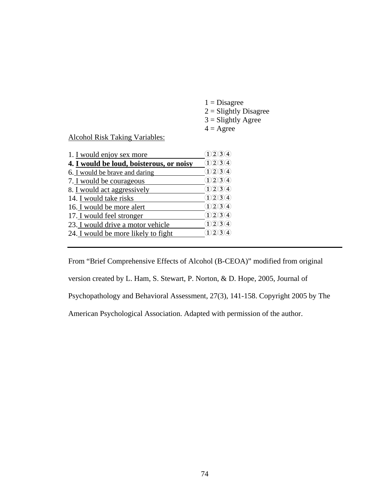$1 = Disagree$  $2 =$ Slightly Disagree  $3 =$ Slightly Agree  $4 = \text{Agree}$ 

Alcohol Risk Taking Variables:

| 1. I would enjoy sex more                | $3\lambda$ 4)                                  |
|------------------------------------------|------------------------------------------------|
| 4. I would be loud, boisterous, or noisy | 1/2/3/4                                        |
| 6. I would be brave and daring           | (1)2)3(4)                                      |
| 7. I would be courageous                 | (1)2)3(4)                                      |
| 8. I would act aggressively              | (1)(2)(3)(4)                                   |
| 14. I would take risks                   | (1)2)3(4)                                      |
| 16. I would be more alert                | 1234                                           |
| 17. I would feel stronger                | 1/2/3/4                                        |
| 23. I would drive a motor vehicle        | 1/2/3/4                                        |
| 24. I would be more likely to fight      | $\widehat{1}\widehat{2}\widehat{3}\widehat{4}$ |
|                                          |                                                |

From "Brief Comprehensive Effects of Alcohol (B-CEOA)" modified from original version created by L. Ham, S. Stewart, P. Norton, & D. Hope, 2005, Journal of Psychopathology and Behavioral Assessment, 27(3), 141-158. Copyright 2005 by The American Psychological Association. Adapted with permission of the author.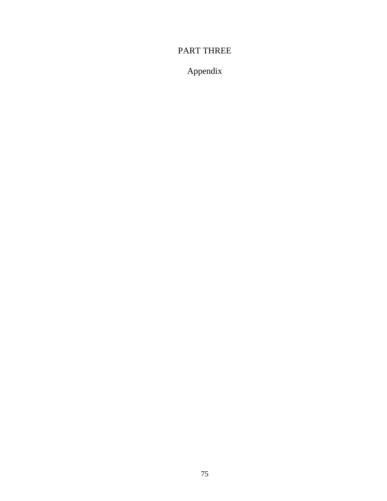## PART THREE

# Appendix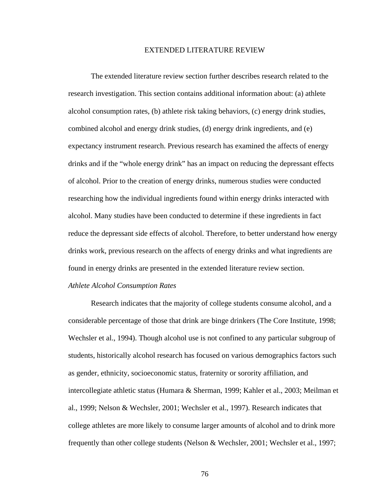### EXTENDED LITERATURE REVIEW

research investigation. This section contains additional information about: (a) athlete alcohol consumption rates, (b) athlete risk taking behaviors, (c) energy drink studies, combined alcohol and energy drink studies, (d) energy drink ingredients, and (e) expectancy instrument research. Previous research has examined the affects of energy drinks and if the "whole energy drink" has an impact on reducing the depressant effects of alcohol. Prior to the creation of energy drinks, numerous studies were conducted researching how the individual ingredients found within energy drinks interacted with alcohol. Many studies have been conducted to determine if these ingredients in fact reduce the depressant side effects of alcohol. Therefore, to better understand how energy drinks work, previous research on the affects of energy drinks and what ingredients are found in energy drinks are presented in the extended literature review section. The extended literature review section further describes research related to the

### *Athlete Alcohol Consumption Rates*

Research indicates that the majority of college students consume alcohol, and a considerable percentage of those that drink are binge drinkers (The Core Institute, 1998; Wechsler et al., 1994). Though alcohol use is not confined to any particular subgroup of students, historically alcohol research has focused on various demographics factors such as gender, ethnicity, socioeconomic status, fraternity or sorority affiliation, and intercollegiate athletic status (Humara & Sherman, 1999; Kahler et al., 2003; Meilman et al., 1999; Nelson & Wechsler, 2001; Wechsler et al., 1997). Research indicates that college athletes are more likely to consume larger amounts of alcohol and to drink more frequently than other college students (Nelson & Wechsler, 2001; Wechsler et al., 1997;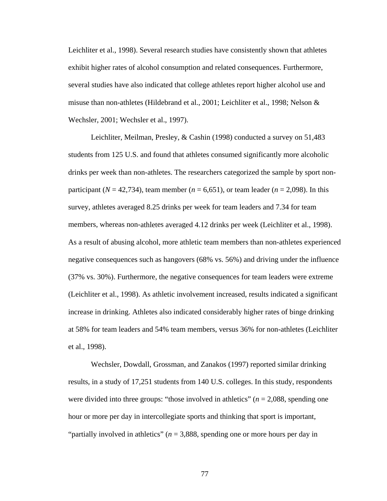Leichliter et al., 1998). Several research studies have consistently shown that athletes exhibit higher rates of alcohol consumption and related consequences. Furthermore, several studies have also indicated that college athletes report higher alcohol use and misuse than non-athletes (Hildebrand et al., 2001; Leichliter et al., 1998; Nelson & Wechsler, 2001; Wechsler et al., 1997).

Leichliter, Meilman, Presley, & Cashin (1998) conducted a survey on 51,483 students from 125 U.S. and found that athletes consumed significantly more alcoholic drinks per week than non-athletes. The researchers categorized the sample by sport nonparticipant ( $N = 42,734$ ), team member ( $n = 6,651$ ), or team leader ( $n = 2,098$ ). In this survey, athletes averaged 8.25 drinks per week for team leaders and 7.34 for team members, whereas non-athletes averaged 4.12 drinks per week (Leichliter et al., 1998). As a result of abusing alcohol, more athletic team members than non-athletes experienced negative consequences such as hangovers (68% vs. 56%) and driving under the influence (37% vs. 30%). Furthermore, the negative consequences for team leaders were extreme (Leichliter et al., 1998). As athletic involvement increased, results indicated a significant increase in drinking. Athletes also indicated considerably higher rates of binge drinking at 58% for team leaders and 54% team members, versus 36% for non-athletes (Leichliter et al., 1998).

results, in a study of 17,251 students from 140 U.S. colleges. In this study, respondents were divided into three groups: "those involved in athletics"  $(n = 2,088,$  spending one hour or more per day in intercollegiate sports and thinking that sport is important, "partially involved in athletics" (*n* = 3,888, spending one or more hours per day in Wechsler, Dowdall, Grossman, and Zanakos (1997) reported similar drinking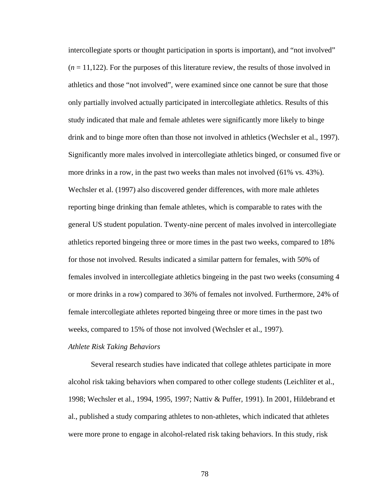intercollegiate sports or thought participation in sports is important), and "not involved"  $(n = 11,122)$ . For the purposes of this literature review, the results of those involved in athletics and those "not involved", were exam ined since one cannot be sure that those only partially involved actually participated in intercollegiate athletics. Results of this study indicated that male and female athletes were significantly more likely to binge drink and to binge more often than those not involved in athletics (Wechsler et al., 1997). Significantly more males involved in intercollegiate athletics binged, or consumed five or more drinks in a row, in the past two weeks than males not involved  $(61\% \text{ vs. } 43\%).$ Wechsler et al. (1997) also discovered gender differences, with more male athletes reporting binge drinking than female athletes, which is comparable to rates with the general US student population. Twenty-nine percent of males involved in intercollegiate athletics reported bingeing three or more times in the past two weeks, compared to 18% females involved in intercollegiate athletics bingeing in the past two weeks (consuming 4 or more drinks in a row) compared to 36% of females not involved. Furthermore, 24% of female intercollegiate athletes reported bingeing three or more times in the past two weeks, compared to 15% of those not involved (Wechsler et al., 1997). for those not involved. Results indicated a similar pattern for females, with 50% of

### *thlete Risk Taking Behaviors A*

Several research studies have indicated that college athletes participate in more alcohol risk taking behaviors when compared to other college students (Leichliter et al., 998; Wechsler et al., 1994, 1995, 1997; Nattiv & Puffer, 1991). In 2001, Hildebrand et 1 al., published a study comparing athletes to non-athletes, which indicated that athletes were more prone to engage in alcohol-related risk taking behaviors. In this study, risk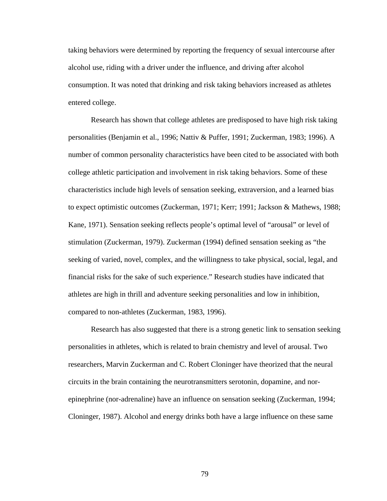taking behaviors were determined by reporting the frequency of sexual intercourse after alcohol use, riding with a driver under the influence, and driving after alcohol consumption. It was noted that drinking and risk taking behaviors increased as athletes entered college.

Research has shown that college athletes are predisposed to have high risk taking personalities (Benjamin et al., 1996; Nattiv & Puffer, 1991; Zuckerman, 1983; 1996). A number of common personality characteristics have been cited to be associated with both college athletic participation and involvement in risk taking behaviors. Some of these characteristics include high levels of sensation seeking, extraversion, and a learned bias to expect optimistic outcomes (Zuckerman, 1971; Kerr; 1991; Jackson & Mathews, 1988; Kane, 1971). Sensation seeking reflects people's optimal level of "arousal" or level of stimulation (Zuckerman, 1979). Zuckerman (1994) defined sensation seeking as "the seeking of varied, novel, complex, and the willingness to take physical, social, legal, and financial risks for the sake of such experience." Research studies have indicated that athletes are high in thrill and adventure seeking personalities and low in inhibition, compared to non-athletes (Zuckerman, 1983, 1996).

Research has also suggested that there is a strong genetic link to sensation seeking personalities in athletes, which is related to brain chemistry and level of arousal. Two researchers, Marvin Zuckerman and C. Robert Cloninger have theorized that the neural circuits in the brain containing the neurotransmitters serotonin, dopamine, and norepinephrine (nor-adrenaline) have an influence on sensation seeking (Zuckerman, 1994; Cloninger, 1987). Alcohol and energy drinks both have a large influence on these same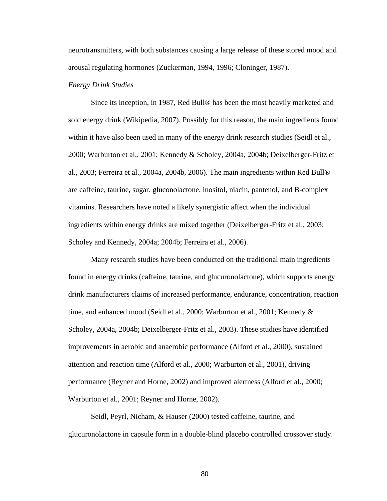neurotransmitters, with both substances causing a large release of these stored mood and arousal regulating hormones (Zuckerman, 1994, 1996; Cloninger, 1987).

#### *Energy Drink Studies*

Since its inception, in 1987, Red Bull® has been the most heavily marketed and sold energy drink (Wikipedia, 2007). Possibly for this reason, the main ingredients found within it have also been used in many of the energy drink research studies (Seidl et al., 2000; Warburton et al., 2001; Kennedy & Scholey, 2004a, 2004b; Deixelberger-Fritz et al., 2003; Ferreira et al., 2004a, 2004b, 2006). The main ingredients within Red Bull® are caffeine, taurine, sugar, gluconolactone, inositol, niacin, pantenol, and B-complex vitamins. Researchers have noted a likely synergistic affect when the individual ingredients within energy drinks are mixed together (Deixelberger-Fritz et al., 2003; Scholey and Kennedy, 2004a; 2004b; Ferreira et al., 2006).

Many research studies have been conducted on the traditional main ingredients found in energy drinks (caffeine, taurine, and glucuronolactone), which supports energy drink manufacturers claims of increased performance, endurance, concentration, reaction time, and enhanced mood (Seidl et al., 2000; Warburton et al., 2001; Kennedy & Scholey, 2004a, 2004b; Deixelberger-Fritz et al., 2003). These studies have identified improvements in aerobic and anaerobic performance (Alford et al., 2000), sustained attention and reaction time (Alford et al., 2000; Warburton et al., 2001), driving performance (Reyner and Horne, 2002) and improved alertness (Alford et al., 2000; Warburton et al., 2001; Reyner and Horne, 2002).

Seidl, Peyrl, Nicham, & Hauser (2000) tested caffeine, taurine, and glucuronolactone in capsule form in a double-blind placebo controlled crossover study.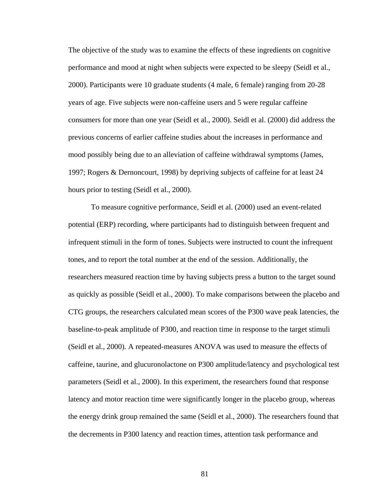The objective of the study was to examine the effects of these ingredients on cognitive performance and mood at night when subjects were expected to be sleepy (Seidl et al., 2000). Participants were 10 graduate students (4 male, 6 female) ranging from 20-28 years of age. Five subjects were non-caffeine users and 5 were regular caffeine consumers for more than one year (Seidl et al., 2000). Seidl et al. (2000) did address the previou s concerns of earlier caffeine studies about the increases in performance and mood possibly being due to an alleviation of caffeine withdrawal symptoms (James, 1997; Rogers & Dernoncourt, 1998) by depriving subjects of caffeine for at least 24 hours prior to testing (Seidl et al., 2000).

(Seidl et al., 2000). A repeated-measures ANOVA was used to measure the effects of caffeine, taurine, and glucuronolactone on P300 amplitude/latency and psychological test latency and motor reaction time were significantly longer in the placebo group, whereas the energy drink group remained the same (Seidl et al., 2000). The researchers found that To measure cognitive performance, Seidl et al. (2000) used an event-related potential (ERP) recording, where participants had to distinguish between frequent and infrequent stimuli in the form of tones. Subjects were instructed to count the infrequent tones, and to report the total number at the end of the session. Additionally, the researchers measured reaction time by having subjects press a button to the target sound as quickly as possible (Seidl et al., 2000). To make comparisons between the placebo and CTG groups, the researchers calculated mean scores of the P300 wave peak latencies, the baseline-to-peak amplitude of P300, and reaction time in response to the target stimuli parameters (Seidl et al., 2000). In this experiment, the researchers found that response the decrements in P300 latency and reaction times, attention task performance and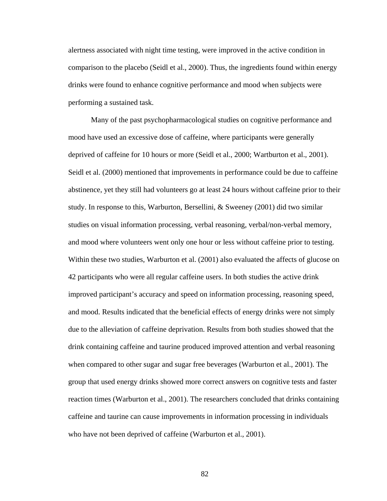alertness associated with night time testing, were improved in the active condition in comparison to the placebo (Seidl et al., 2000). Thus, the ingredients found within energ y drinks were found to enhance cognitive performance and mood when subjects were performing a sustained task.

Many of the past psychopharmacological studies on cognitive performance an d mood have used an excessive dose of caffeine, where participants were generally deprived of caffeine for 10 hours or more (Seidl et al., 2000; Wartburton et al., 2001). Seidl et al. (2000) mentioned that improvements in performance could be due to caffe ine abstinence, yet they still had volunteers go at least 24 hours without caffeine prior to their study. In response to this, Warburton, Bersellini, & Sweeney (2001) did two similar studies on visual information processing, verbal reasoning, verbal/non-verbal memory, and mood where volunteers went only one hour or less without caffeine prior to testing. Within these two studies, Warburton et al. (2001) also evaluated the affects of glucose on 42 participants who were all regular caffeine users. In both studies the active drink improved participant's accuracy and speed on information processing, reasoning speed, and mood. Results indicated that the beneficial effects of energy drinks were not sim ply due to the alleviation of caffeine deprivation. Results from both studies s howed that the drink containing caffeine and taurine produced improved attention and verbal reasoning when c ompared to other sugar and sugar free beverages (Warburton et al., 2001). The group that used energy drinks showed more correct answers on cognitive tests and faster reaction times (Warburton et al., 2001). The researchers concluded that drinks containing caffeine and taurine can cause improvements in information processing in individuals who have not been deprived of caffeine (Warburton et al., 2001).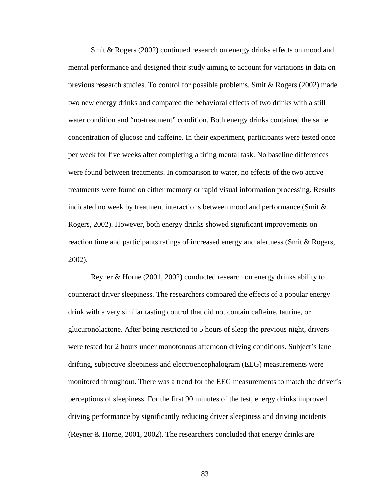Smit & Rogers (2002) continued research on energy drinks effects on mood and mental performance and designed their study aiming to account for variations i n data on previous research studies. To control for possible problems, Smit & Rogers (2002) made two new energy d rinks and compared the behavioral effects of two drinks with a still water c ondition and "no-treatment" condition. Both energy drinks contained the same reaction time and participants ratings of increased energy and alertness (Smit & Rogers, concentration of glucose and caffeine. In their experiment, participants were tested once per week for five weeks after completing a tiring mental task. No baseline differences were found between treatments. In comparison to water, no effects of the two active treatments were found on either memory or rapid visual information processing. Results indicated no week by treatment interactions between mood and performance (Smit & Rogers, 2002). However, both energy drinks showed significant improvements on 2002).

counteract driver sleepiness. The researchers compared the effects of a popular energy drink with a very similar tasting control that did not contain caffeine, taurine, or glucuro nolactone. After being restricted to 5 hours of sleep the previous night, drivers monitored throughout. There was a trend for the EEG measurements to match the driver's (Reyner & Horne, 2001, 2002). The researchers concluded that energy drinks are Reyner & Horne (2001, 2002) conducted research on energy drinks ability to were tested for 2 hours under monotonous afternoon driving conditions. Subject's lane drifting, subjective sleepiness and electroencephalogram (EEG) measurements were perceptions of sleepiness. For the first 90 minutes of the test, energy drinks improved driving performance by significantly reducing driver sleepiness and driving incidents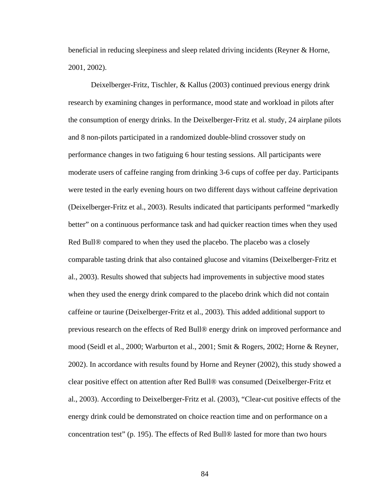beneficial in reducing sleepiness and sleep related driving incidents (Reyner & Horne, 2001, 2002).

Deixelberger-Fritz, Tischler, & Kallus (2003) continued previous energy drink researc h by examining changes in performance, mood state and workload in pilots after moderate users of caffeine ranging from drinking 3-6 cups of coffee per day. Participants were tested in the early evening hours on two different days without caffeine deprivation (Deixelberger-Fritz et al., 2003). Results indicated that participants performed "markedly better" on a continuous performance task and had quicker reaction times when they used Red Bull® compared to when they used the placebo. The placebo was a closely comparable tasting drink that also contained glucose and vitamins (Deixelberger-Fritz et caffeine or taurine (Deixelberger-Fritz et al., 2003). This added additional support to previous research on the effects of Red Bull® energy drink on improved performance and mood (Seidl et al., 2000; Warburton et al., 2001; Smit & Rogers, 2002; Horne & Reyner, 2002). In accordance with results found by Horne and Reyner (2002), this study showed a clear positive effect on attention after Red Bull® was consumed (Deixelberger-Fritz et al., 2003). According to Deixelberger-Fritz et al. (2003), "Clear-cut positive effects of the energy drink could be demonstrated on choice reaction time and on performance on a the consumption of energy drinks. In the Deixelberger-Fritz et al. study, 24 airplane pilots and 8 non-pilots participated in a randomized double-blind crossover study on performance changes in two fatiguing 6 hour testing sessions. All participants were al., 2003). Results showed that subjects had improvements in subjective mood states when they used the energy drink compared to the placebo drink which did not contain concentration test" (p. 195). The effects of Red Bull® lasted for more than two hours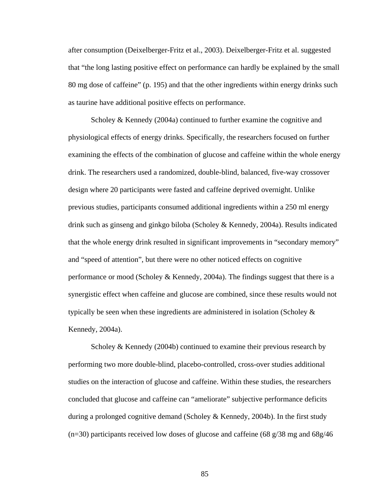after consumption (Deixelberger-Fritz et al., 2003). Deixelberger-Fritz et al. suggested that "the long lasting positive effect on performance can hardly be explained by the small 80 mg dose of caffeine" (p. 195) and that the other ingredients within energy drinks su ch as taurine have additional positive effects on performance.

Scholey & Kennedy (2004a) continued to further examine the cognitive and physiological effects of energy drinks. Specifically, the researchers focused on furthe r examining the effects of the combination of glucose and caffeine within the whole en ergy drink. The researchers used a randomized, double-blind, balanced, five-way crossove r design where 20 participants were fasted an d caffeine deprived overnight. Unlike previous studies, participants consumed additional ingredients within a 250 ml energy drink such as ginseng and ginkgo biloba (Scholey & Kennedy, 2004a). Results indicated that the whole energy drink resulted in significant improvements in "secondary memory" and "speed of attention", but there were no other noticed effects on cognitive performance or mood (Scholey & Kennedy, 2004a). The findings suggest that there is a synergistic effect when caffeine and glucose are combined, since these results would not typically be seen when these ingredients are administered in isolation (Scholey  $\&$ Kennedy, 2004a).

 $(n=30)$  participants received low doses of glucose and caffeine (68 g/38 mg and 68g/46 Scholey & Kennedy (2004b) continued to examine their previous research by performing two more double-blind, placebo-controlled, cross-over studies additional studies on the interaction of glucose and caffeine. Within these studies, the researchers concluded that glucose and caffeine can "ameliorate" subjective performance deficits during a prolonged cognitive demand (Scholey & Kennedy, 2004b). In the first study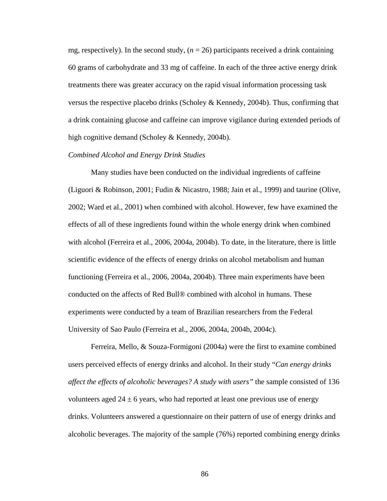mg, respectively). In the second study,  $(n = 26)$  participants received a drink containing 60 grams of carbohydrate and 33 mg of caffeine. In each of the three active energy drink treatments there was greater accuracy on the rapid visual information processing task versus the respective placebo drinks (Scholey & Kennedy, 2004b). Thus, confirming that a drink containing glucose and caffeine can improve vigilance during extended periods of high cognitive demand (Scholey & Kennedy, 2004b).

### *Combined Alcohol and Energy Drink Studies*

2002; Ward et al., 2001) when combined with alcohol. However, few have examined the Many studies have been conducted on the individual ingredients of caffeine (Liguori & Robinson, 2001; Fudin & Nicastro, 1988; Jain et al., 1999) and taurine (Olive, effects of all of these ingredients found within the whole energy drink when combined with alcohol (Ferreira et al., 2006, 2004a, 2004b). To date, in the literature, there is little scientific evidence of the effects of energy drinks on alcohol metabolism and human functioning (Ferreira et al., 2006, 2004a, 2004b). Three main experiments have been conducted on the affects of Red Bull® combined with alcohol in humans. These experiments were conducted by a team of Brazilian researchers from the Federal University of Sao Paulo (Ferreira et al., 2006, 2004a, 2004b, 2004c).

drinks. Volunteers answered a questionnaire on their pattern of use of energy drinks and alcoholic beverages. The majority of the sample (76%) reported combining energy drinks Ferreira, Mello, & Souza-Formigoni (2004a) were the first to examine combined users perceived effects of energy drinks and alcohol. In their study "*Can energy drinks affect the effects of alcoholic beverages? A study with users"* the sample consisted of 136 volunteers aged  $24 \pm 6$  years, who had reported at least one previous use of energy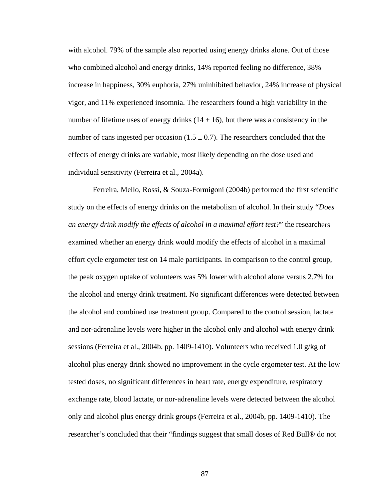with al cohol. 79% of the sample also reported using energy drinks alone. Out of those who combined alcohol and energy drinks, 14% reported feeling no difference, 38% increase in happiness, 30% euphoria, 27% uninhibited behavior, 24% increase of physical vigor, and 11% experienced insomnia. The researchers found a high variability in the number of lifetime uses of energy drinks  $(14 \pm 16)$ , but there was a consistency in the number of cans ingested per occasion  $(1.5 \pm 0.7)$ . The researchers concluded that the effects of energy drinks are variable, most likely depending on the dose used and individual sensitivity (Ferreira et al., 2004a).

*s* study on the effects of energy drinks on the metabolism of alcohol. In their study "*Doe* an energy drink modify the effects of alcohol in a maximal effort test?" the researchers effort cycle ergometer test on 14 male participants. In comparison to the control group, the peak oxygen uptake of volunteers was 5% lower with alcohol alone versus 2.7% for the alcohol and energy drink treatment. No significant differences were detected between the alcohol and combined use treatment group. Compared to the control session, lactate alcohol plus energy drink showed no improvement in the cycle ergometer test. At the low exchange rate, blood lactate, or nor-adrenaline levels were detected between the alcohol researcher's concluded that their "findings suggest that small doses of Red Bull® do not Ferreira, Mello, Rossi, & Souza-Formigoni (2004b) performed the first scientific examined whether an energy drink would modify the effects of alcohol in a maximal and nor-adrenaline levels were higher in the alcohol only and alcohol with energy drink sessions (Ferreira et al., 2004b, pp. 1409-1410). Volunteers who received 1.0 g/kg of tested doses, no significant differences in heart rate, energy expenditure, respiratory only and alcohol plus energy drink groups (Ferreira et al., 2004b, pp. 1409-1410). The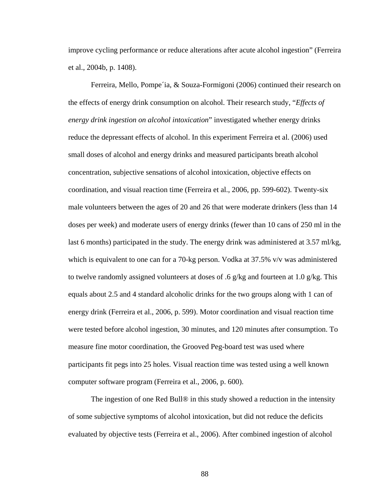improve cycling performance or reduce alterations after acute alcohol ingestion" (Ferre ira et al., 2004b, p . 1408).

Ferreira, Mello, Pompe'ia, & Souza-Formigoni (2006) continued their research on reduce the depressant effects of alcohol. In this experiment Ferreira et al. (2006) used last 6 months) participated in the study. The energy drink was administered at 3.57 ml/kg, to twelve randomly assigned volunteers at doses of .6  $g/kg$  and fourteen at 1.0  $g/kg$ . This energy drink (Ferreira et al., 2006, p. 599). Motor coordination and visual reaction time the effects of energy drink consumption on alcohol. Their research study, "*Effects of energy drink ingestion on alcohol intoxication*" investigated whether energy drinks small doses of alcohol and energy drinks and measured participants breath alcohol concentration, subjective sensations of alcohol intoxication, objective effects on coordination, and visual reaction time (Ferreira et al., 2006, pp. 599-602). Twenty-six male volunteers between the ages of 20 and 26 that were moderate drinkers (less than 14 doses per week) and moderate users of energy drinks (fewer than 10 cans of 250 ml in the which is equivalent to one can for a 70-kg person. Vodka at 37.5% v/v was administered equals about 2.5 and 4 standard alcoholic drinks for the two groups along with 1 can of were tested before alcohol ingestion, 30 minutes, and 120 minutes after consumption. To measure fine motor coordination, the Grooved Peg-board test was used where participants fit pegs into 25 holes. Visual reaction time was tested using a well known computer software program (Ferreira et al., 2006, p. 600).

evaluated by objective tests (Ferreira et al., 2006). After combined ingestion of alcohol The ingestion of one Red Bull® in this study showed a reduction in the intensity of some subjective symptoms of alcohol intoxication, but did not reduce the deficits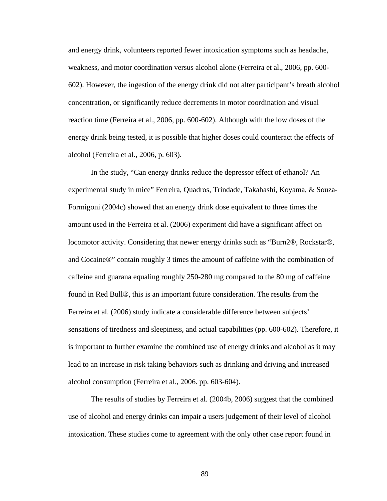and energy drink, volunteers reported fewer intoxication symptoms such as headache, weakness, and motor coordination versus alcohol alone (Ferreira et al., 2006, pp. 600- 602). However, the ingestion of the energy drink did not alter participant's breath alcohol concentration, or significantly reduce decrements in motor coordination and visual reaction time (Ferreira et al., 2006, pp. 600-602). Although with the low doses of the energy drink being tested, it is possible that higher doses could counteract the effects of alcohol (Ferreira et al., 2006, p. 603).

experimental study in mice" Ferreira, Quadros, Trindade, Takahashi, Koyama, & Souzasensations of tiredness and sleepiness, and actual capabilities (pp. 600-602). Therefore, it is important to further examine the combined use of energy drinks and alcohol as it may In the study, "Can energy drinks reduce the depressor effect of ethanol? An Formigoni (2004c) showed that an energy drink dose equivalent to three times the amount used in the Ferreira et al. (2006) experiment did have a significant affect on locomotor activity. Considering that newer energy drinks such as "Burn2®, Rockstar®, and Cocaine®" contain roughly 3 times the amount of caffeine with the combination of caffeine and guarana equaling roughly 250-280 mg compared to the 80 mg of caffeine found in Red Bull®, this is an important future consideration. The results from the Ferreira et al. (2006) study indicate a considerable difference between subjects' lead to an increase in risk taking behaviors such as drinking and driving and increased alcohol consumption (Ferreira et al., 2006. pp. 603-604).

The results of studies by Ferreira et al. (2004b, 2006) suggest that the combined use of alcohol and energy drinks can impair a users judgement of their level of alcohol intoxication. These studies come to agreement with the only other case report found in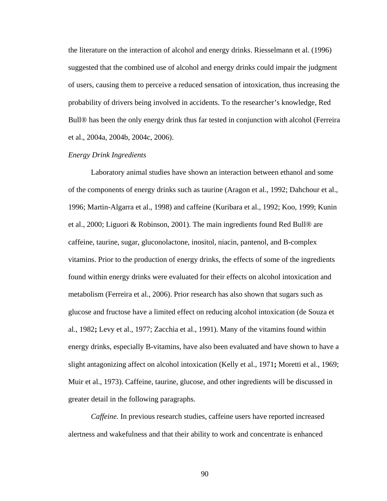the literature on the interaction of alcohol and energy drinks. Riesselmann et al. (1996) suggested that the combined use of alcohol and energy drinks could impair the judgment of users, causing them to perceive a reduced sensation of intoxication, thus increasing the probability of drivers being involved in accidents. To the researcher's knowledge, Red Bull® has been the only energy drink thus far tested in conjunction with alcohol (Ferreira et al., 2004a, 2004b, 2004c, 2006).

### *Energy Drink Ingredients*

Laboratory animal studies have shown an interaction between ethanol and some vitamins. Prior to the production of energy drinks, the effects of some of the ingredients found within energy drinks were evaluated for their effects on alcohol intoxication and metabolism (Ferreira et al., 2006). Prior research has also shown that sugars such as glucose and fructose have a limited effect on reducing alcohol intoxication (de Souza et al., 1982; Levy et al., 1977; Zacchia et al., 1991). Many of the vitamins found within energy drinks, especially B-vitamins, have also been evaluated and have shown to have a ; slight antagonizing affect on alcohol intoxication (Kelly et al., 1971**;** Moretti et al., 1969 of the components of energy drinks such as taurine (Aragon et al., 1992; Dahchour et al., 1996; Martin-Algarra et al., 1998) and caffeine (Kuribara et al., 1992; Koo, 1999; Kunin et al., 2000; Liguori & Robinson, 2001). The main ingredients found Red Bull® are caffeine, taurine, sugar, gluconolactone, inositol, niacin, pantenol, and B-complex Muir et al., 1973). Caffeine, taurine, glucose, and other ingredients will be discussed in greater detail in the following paragraphs.

*Caffeine*. In previous research studies, caffeine users have reported increased alertness and wakefulness and that their ability to work and concentrate is enhanced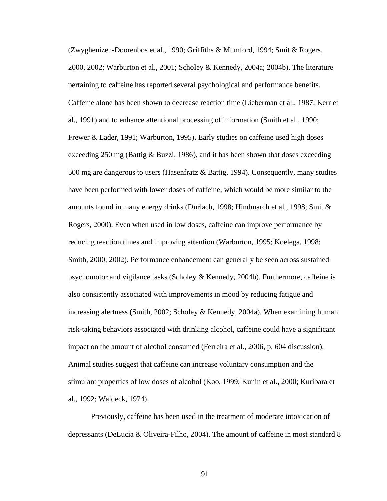(Zwygheuizen-Doorenbos et al., 1990; Griffiths & Mumford, 1994; Smit & Rogers, 2000, 2002; Warburton et al., 2001; Scholey & Kennedy, 2004a; 2004b). The literatu re pertaining to caffeine has reported several psychological and performance benefits. Caffeine alone has been shown to decrease reaction time (Lieberman et al., 1987; Kerr et al., 1991) and to enhance attentional processing of information (Smith et al., 1990; Frewer & Lader, 1991; Warburton, 1995). Early studies on caffeine used high doses exceeding 250 mg (Battig & Buzzi, 1986), and it has been shown that doses excee ding 500 mg are dangerous to users (Hasenfratz & B attig, 1994). Consequently, many studies have be en performed with lower doses of caffeine, which would be more similar to the stimulant properties of low doses of alcohol (Koo, 1999; Kunin et al., 2000; Kuribara et amounts found in many energy drinks (Durlach, 1998; Hindmarch et al., 1998; Smit & Rogers, 2000). Even when used in low doses, caffeine can improve performance by reducing reaction times and improving attention (Warburton, 1995; Koelega, 1998; Smith, 2000, 2002). Performance enhancement can generally be seen across sustained psychomotor and vigilance tasks (Scholey & Kennedy, 2004b). Furthermore, caffeine is also consistently associated with improvements in mood by reducing fatigue and increasing alertness (Smith, 2002; Scholey & Kennedy, 2004a). When examining human risk-taking behaviors associated with drinking alcohol, caffeine could have a significant impact on the amount of alcohol consumed (Ferreira et al., 2006, p. 604 discussion). Animal studies suggest that caffeine can increase voluntary consumption and the al., 1992; Waldeck, 1974).

Previously, caffeine has been used in the treatment of moderate intoxication of depressants (DeLucia & Oliveira-Filho, 2004). The amount of caffeine in most standard 8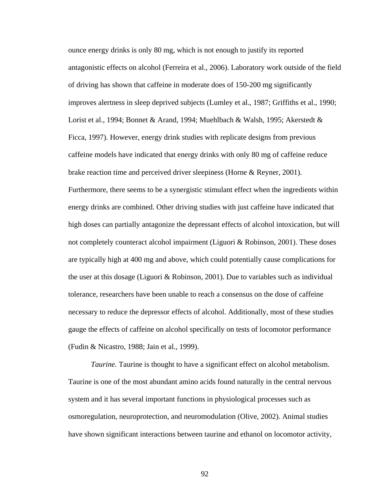ounce energy drinks is only 80 mg, which is not enough to justify its reported antagonistic effects on alcohol (Ferreira et al., 2006). Laboratory work outside of the field of drivi ng has shown that caffeine in moderate does of 150-200 mg significantly improves alertness in sleep deprived subjects (Lumley et al., 1987; Griffiths et al., 1990; caffeine models have indicated that energy drinks with only 80 mg of caffeine reduce Furthermore, there seems to be a synergistic stimulant effect when the ingredients within Lorist et al., 1994; Bonnet & Arand, 1994; Muehlbach & Walsh, 1995; Akerstedt & Ficca, 1997). However, energy drink studies with replicate designs from previous brake reaction time and perceived driver sleepiness (Horne & Reyner, 2001). energy drinks are combined. Other driving studies with just caffeine have indicated that high doses can partially antagonize the depressant effects of alcohol intoxication, but will not completely counteract alcohol impairment (Liguori & Robinson, 2001). These doses are typically high at 400 mg and above, which could potentially cause complications for the user at this dosage (Liguori & Robinson, 2001). Due to variables such as individual tolerance, researchers have been unable to reach a consensus on the dose of caffeine necessary to reduce the depressor effects of alcohol. Additionally, most of these studies gauge the effects of caffeine on alcohol specifically on tests of locomotor performance (Fudin & Nicastro, 1988; Jain et al., 1999).

Taurine is one of the most abundant amino acids found naturally in the central nervous system and it has several important functions in physiological processes such as *Taurine.* Taurine is thought to have a significant effect on alcohol metabolism. osmoregulation, neuroprotection, and neuromodulation (Olive, 2002). Animal studies have shown significant interactions between taurine and ethanol on locomotor activity,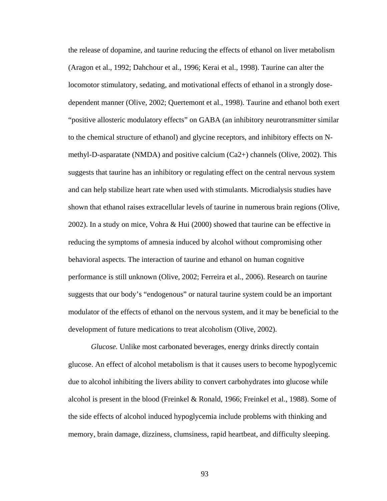the release of dopamine, and taurine reducing the effects of ethanol on liver metabolism (Aragon et al., 1992; Dahchour et al., 1996; Kerai et al., 1998). Taurine can alter the locomotor stimulatory, sedating, and motivational effects of ethanol in a strongly dosedependent manner (Olive, 2002; Quertemont et al., 1998). Taurine and ethanol both exert "positive allosteric modulatory effects" on GABA (an inhibitory neurotransmitter sim ilar to the chemical structure of ethanol) and glycine receptors, and inhibitory effects on Nmethyl-D-asparatate (NMDA) and posi tive calcium (Ca2+) channels (Olive, 2002). This suggests that taurine has an inhibitory or regulating effect on the central nervous system shown that ethanol raises extracellular levels of taurine in numerous brain regions (Olive, 2002). In a study on mice, Vohra  $& Hui (2000)$  showed that taurine can be effective in suggests that our body's "endogenous" or natural taurine system could be an important modulator of the effects of ethanol on the nervous system, and it may be beneficial to the and can help stabilize heart rate when used with stimulants. Microdialysis studies have reducing the symptoms of amnesia induced by alcohol without compromising other behavioral aspects. The interaction of taurine and ethanol on human cognitive performance is still unknown (Olive, 2002; Ferreira et al., 2006). Research on taurine development of future medications to treat alcoholism (Olive, 2002).

glucose. An effect of alcohol metabolism is that it causes users to become hypoglycemic due to alcohol inhibiting the livers ability to convert carbohydrates into glucose while alcohol is present in the blood (Freinkel & Ronald, 1966; Freinkel et al., 1988). Some of *Glucose.* Unlike most carbonated beverages, energy drinks directly contain the side effects of alcohol induced hypoglycemia include problems with thinking and memory, brain damage, dizziness, clumsiness, rapid heartbeat, and difficulty sleeping.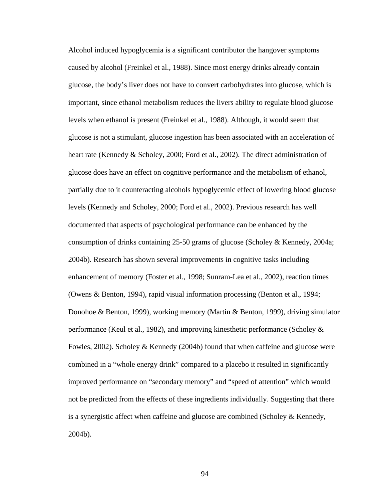Alcohol induced hypoglycemia is a significant contributor the hangover symptoms caused by alcohol (Freinkel et al., 1988). Since most energy drinks already contain glucose, the body's liver does not have to convert carbohydrates into glucose, which is important, since ethanol metabolism reduces the livers ability to regulate blood glucose levels when ethanol is present (Freinkel et al., 1988). Although, it would seem that glucose is not a stimulant, glucose ingestion has been associated with an acceleration of heart rate (Kennedy & Scholey, 2000; Ford et al., 2002). The direct administration of glucose does have an effect on cognitive performance and the metabolism of ethanol, consumption of drinks containing 25-50 grams of glucose (Scholey & Kennedy, 2004a; Donohoe & Benton, 1999), working memory (Martin & Benton, 1999), driving simulator not be predicted from the effects of these ingredients individually. Suggesting that there is a syn ergistic affect when caffeine and glucose are combined (Scholey & Kennedy, partially due to it counteracting alcohols hypoglycemic effect of lowering blood glucose levels (Kennedy and Scholey, 2000; Ford et al., 2002). Previous research has well documented that aspects of psychological performance can be enhanced by the 2004b). Research has shown several improvements in cognitive tasks including enhancement of memory (Foster et al., 1998; Sunram-Lea et al., 2002), reaction times (Owens & Benton, 1994), rapid visual information processing (Benton et al., 1994; performance (Keul et al., 1982), and improving kinesthetic performance (Scholey & Fowles, 2002). Scholey & Kennedy (2004b) found that when caffeine and glucose were combined in a "whole energy drink" compared to a placebo it resulted in significantly improved performance on "secondary memory" and "speed of attention" which would 2004b).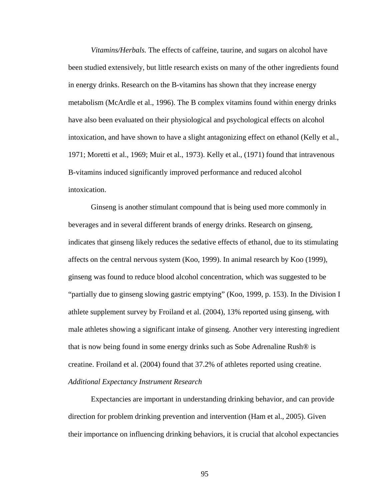*Vitamins/Herbals.* The effects of caffeine, taurine, and sugars on alcohol have been studied extensively, but little research exists on many of the other ingredients found in energy drinks. Research on the B-vitamins has shown that they increase energy metabolism (McArdle et al., 1996). The B complex vitamins found within energy drinks have also been evaluated on their physiological and psychological effects on alcoho l intoxication, and have shown to have a slight antagonizing effect on ethanol (Kelly et al., 1971; Moretti et al., 1969; Muir et al., 1973). Kelly et al., (1971) found that intravenous B-vitamins induced significantly improved performance and reduced alcohol intoxication.

Ginseng is another stimulant compound that is being used more commonly in beverages and in several different brands of energy drinks. Research on ginseng, indicates that ginseng likely reduces the sedative effects of ethanol, due to its stimulating affects on the central nervous system (Koo, 1999). In animal research by Koo (1999), ginseng was found to reduce blood alcohol concentration, which was suggested to be "partially due to ginseng slowing gastric emptying" (Koo, 1999, p. 153). In the Division I athlete supplement survey by Froiland et al. (2004), 13% reported using ginseng, with male athletes showing a significant intake of ginseng. Another very interesting ingredient that is now being found in some energy drinks such as Sobe Adrenaline Rush® is creatine. Froiland et al. (2004) found that 37.2% of athletes reported using creatin e. *Additional Expectancy Instrument Research* 

Expectancies are im portant in understanding drinking behavior, and can provide direction for problem drinking prevention and intervention (Ham et al., 2005). Given their importance on influencing drinking behaviors, it is crucial that alcohol expectancies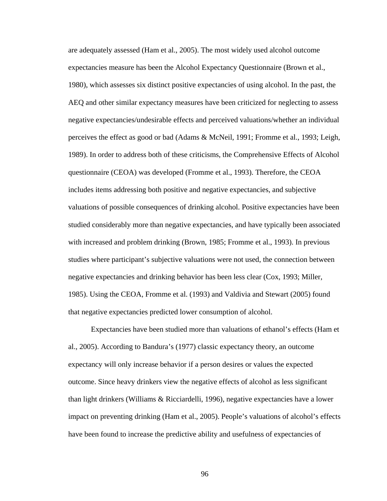are adequately assessed (Ham et al., 2005). The most widely used alcohol outc ome expectancies measure has been the Alcohol Expectancy Questionnaire (Brown et al., 1980), which assesses six distinct positive expectancies of using alcohol. In the past, the AEQ and other similar expectancy measures have been criticized for neglecting to assess negative expectancies/undesirable effects and perceived valuations/whether an indivi dual perceives the effect as good or bad (Adams & McNeil, 1991; Fromme et al., 1993; Leigh, 1989). In order to address both of these criticisms, the Comprehensive Effects of Alcoh ol questionnaire (CEOA) was developed (Fromme et al., 1993). Therefore, the C EOA includes items addressing both positive and negative expectancies, and subjective valuations of possible consequences of drinking alcohol. Positive expectancies have been studied considerably more than negative expectancies, and have typically been associated with increased and problem drinking (Brown, 1985; Fromme et al., 1993). In previous studies where participant's subjective valuations were not used, the connection between negative expectancies and drinking behavior has been less clear (Cox, 1993; Miller, 1985). Using the CEOA, Fromme et al. (1993) and Valdivia and Stewart (2005) foun d that negative expectancies predicted lower consumption of alcohol.

Expectancies have been studied more than valuations of ethanol's effects (Ham et al., 2005). According to Bandura's (1977) classic expectancy theory, an outcom e expecta ncy will only increase behavior if a person desires or values the expected than light drinkers (Williams & Ricciardelli, 1996), negative expectancies have a lower impact on preventing drinking (Ham et al., 2005). People's valuations of alcohol's effects outcome. Since heavy drinkers view the negative effects of alcohol as less significant have been found to increase the predictive ability and usefulness of expectancies of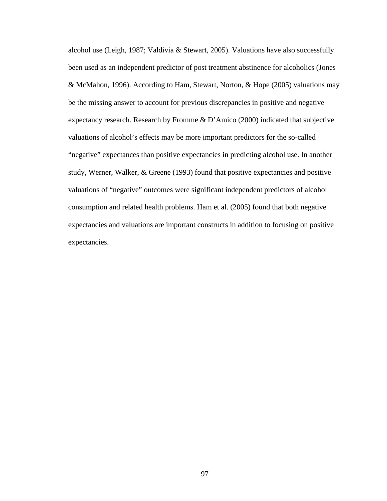alcohol use (Leigh, 1987; Valdivia & Stewart, 2005). Valuations have also successfully been used as an independent predictor of post treatment abstinence for alcoholics (Jon es & McMahon, 1996). According to Ham, Stewart, Norton, & Hope (2005) valuations ma y be the missing answer to account for previous discrepancies in positive and negative expectancy research. Research by Fromme & D'Amico (2000) indicated that subjective valuations of alcohol's effects may be more important predictors for the so-called "negative" expectances than positive expectancies in predicting alcohol use. In another study, Werner, Walker, & Greene (1993) found that positive expectancies and positive valuations of "negative" outcomes were significant independent predictors of alcohol consumption and related health problems. Ham et al. (2005) found that both negative expectancies and valuations are important constructs in addition to focusing on positive expectancies.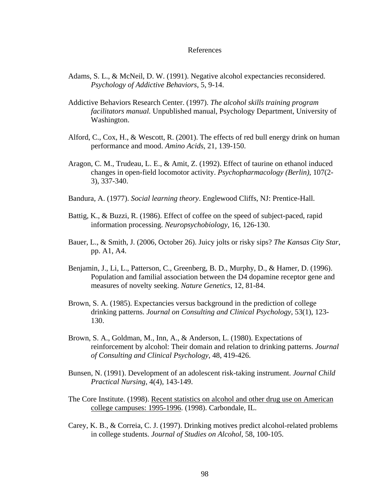### References

- *Psychology of Addictive Behaviors*, 5, 9-14. Adams, S. L., & McNeil, D. W. (1991). Negative alcohol expectancies reconsidered.
- Addictive Behaviors Research Center. (1997). *The alcohol skills training program*  Washington. *facilitators manual.* Unpublished manual, Psychology Department, University of
- Alford, C., Cox, H., & Wescott, R. (2001). The effects of red bull energy drink on human performance and mood. *Amino Acids*, 21, 139-150.
- changes in open-field locomotor activity. *Psychopharmacology (Berlin)*, 107(2 Aragon, C. M., Trudeau, L. E., & Amit, Z. (1992). Effect of taurine on ethanol induced 3), 337-340.
- Bandura, A. (1977). *Social learning theory*. Englewood Cliffs, NJ: Prentice-Hall.
- information processing. *Neuropsychobiology*, 16, 126-130. Battig, K., & Buzzi, R. (1986). Effect of coffee on the speed of subject-paced, rapid
- Bauer, L., & Smith, J. (2006, October 26). Juicy jolts or risky sips? *The Kansas City Star* , pp. A1, A4.
- Population and familial association between the D4 dopamine receptor gene and Benjamin, J., Li, L., Patterson, C., Greenberg, B. D., Murphy, D., & Hamer, D. (1996). measures of novelty seeking. *Nature Genetics*, 12, 81-84.
- drinking patterns. *Journal on Consulting and Clinical Psychology*, 53(1), 123- Brown, S. A. (1985). Expectancies versus background in the prediction of college 130.
- reinforcement by alcohol: Their domain and relation to drinking patterns. *Journal* Brown, S. A., Goldman, M., Inn, A., & Anderson, L. (1980). Expectations of *of Consulting and Clinical Psychology*, 48, 419-426.
- *Practical Nursing*, 4(4), 143-149. Bunsen, N. (1991). Development of an adolescent risk-taking instrument. *Journal Child*
- The Core Institute. (1998). Recent statistics on alcohol and other drug use on American college campuses: 1995-1996. (1998). Carbondale, IL.
- Carey, K. B., & Correia, C. J. (1997). Drinking motives predict alcohol-related problems in college students. *Journal of Studies on Alcohol*, 58, 100-105.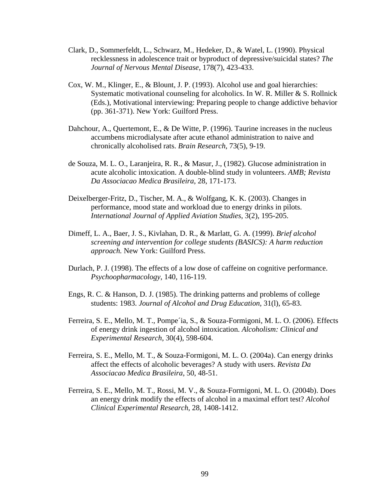- Clark, D ., Sommerfeldt, L., Schwarz, M., Hedeker, D., & Watel, L. (1990). Physical recklessness in adolescence trait or byproduct of depressive/suicidal states? *The Journal of Nervous Mental Disease*, 178(7), 423-433.
- Systematic motivational counseling for alcoholics. In W. R. Miller & S. Rollnick (pp. 361-371). New York: Guilford Press. Cox, W. M., Klinger, E., & Blount, J. P. (1993). Alcohol use and goal hierarchies: (Eds.), Motivational interviewing: Preparing people to change addictive behavior
- Dahchour, A., Quertemont, E., & De Witte, P. (1996). Taurine increases in the nucleus chronically alcoholised rats. *Brain Research*, 73(5), 9-19. accumbens microdialysate after acute ethanol administration to naive and
- de Souza, M. L. O., Laranjeira, R. R., & Masur, J., (1982). Glucose administration in acute alcoholic intoxication. A double-blind study in volunteers. *AMB*; Revista *Da Associacao Medica Brasileira*, 28, 171-173.
- Deixelberger-Fritz, D., Tischer, M. A., & Wolfgang, K. K. (2003). Changes in *International Journal of Applied Aviation Studies*, 3(2), 195-205. performance, mood state and workload due to energy drinks in pilots.
- Dimeff, L. A., Baer, J. S., Kivlahan, D. R., & Marlatt, G. A. (1999). *Brief alcohol approach.* New York: Guilford Press. *screening and intervention for college students (BASICS): A harm reduction*
- Durlach, P. J. (1998). The effects of a low dose of caffeine on cognitive performance. *Psychoopharmacology*, 140, 116-119.
- students: 1983. *Journal of Alcohol and Drug Education,* 31(l), 65-83. Engs, R. C. & Hanson, D. J. (1985). The drinking patterns and problems of college
- Ferreira, S. E., Mello, M. T., Pompe´ia, S., & Souza-Formigoni, M. L. O. (2006). Effects *Experimental Research*, 30(4), 598-604. of energy drink ingestion of alcohol intoxication. *Alcoholism: Clinical and*
- Ferreira, S. E., Mello, M. T., & Souza-Formigoni, M. L. O. (2004a). Can energy drinks *Associacao Medica Brasileira*, 50, 48-51. affect the effects of alcoholic beverages? A study with users. *Revista Da*
- Ferreira, S. E., Mello, M. T., Rossi, M. V., & Souza-Formigoni, M. L. O. (2004b). Does *Clinical Experimental Research*, 28, 1408-1412. an energy drink modify the effects of alcohol in a maximal effort test? *Alcohol*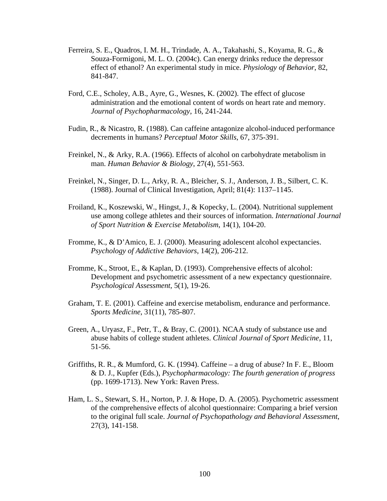- Ferreira, S. E., Quadros, I. M. H., Trindade, A. A., Takahashi, S., Koyama, R. G., & effect of ethanol? An experimental study in mice. *Physiology of Behavior*, 82, Souza-Formigoni, M. L. O. (2004c). Can energy drinks reduce the depressor 841-847.
- administration and the emotional content of words on heart rate and memory. Ford, C.E., Scholey, A.B., Ayre, G., Wesnes, K. (2002). The effect of glucose *Journal of Psychopharmacology*, 16, 241-244.
- decrements in humans? *Perceptual Motor Skills*, 67, 375-391. Fudin, R., & Nicastro, R. (1988). Can caffeine antagonize alcohol-induced performance
- Freinkel, N., & Arky, R.A. (1966). Effects of alcohol on carbohydrate metabolism in man. *Human Behavior & Biology*, 27(4), 551-563.
- (1988). Journal of Clinical Investigation, April; 81(4): 1137–1145. Freinkel, N., Singer, D. L., Arky, R. A., Bleicher, S. J., Anderson, J. B., Silbert, C. K.
- Froiland, K., Koszewski, W., Hingst, J., & Kopecky, L. (2004). Nutritional supplement *of Sport Nutrition & Exercise Metabolism*, 14(1), 104-20. use among college athletes and their sources of information. *International Journal*
- Fromme, K., & D'Amico, E. J. (2000). Measuring adolescent alcohol expectancies. *Psychology of Addictive Behaviors*, 14(2), 206-212.
- Development and psychometric assessment of a new expectancy questionnair e. Fromme, K., Stroot, E., & Kaplan, D. (1993). Comprehensive effects of alcohol: *Psychological Assessment*, 5(1), 19-26.
- *Sports Medicine*, 31(11), 785-807. Graham, T. E. (2001). Caffeine and exercise metabolism, endurance and performance.
- Green, A., Uryasz, F., Petr, T., & Bray, C. (2001). NCAA study of substance use and abuse habits of college student athletes. *Clinical Journal of Sport Medicine*, 11, 51-56.
- Griffiths, R. R., & Mumford, G. K. (1994). Caffeine a drug of abuse? In F. E., Bloom & D. J., Kupfer (Eds.), *Psychopharmacology: The fourth generation of progress*  (pp. 1699-1713). New York: Raven Press.
- Ham, L. S., Stewart, S. H., Norton, P. J. & Hope, D. A. (2005). Psychometric assessment of the comprehensive effects of alcohol questionnaire: Comparing a brief version 27(3), 141-158. to the original full scale. *Journal of Psychopathology and Behavioral Assessment*,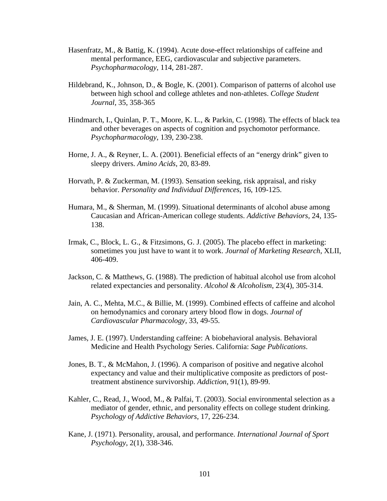- Hasenfratz, M., & Battig, K. (1994). Acute dose-effect relationships of caffeine and *Psychopharmacology*, 114, 281-287. mental performance, EEG, cardiovascular and subjective parameters.
- Hildebrand, K., Johnson, D., & Bogle, K. (2001). Comparison of patterns of alcohol use *Journal*, 35, 358-365 between high school and college athletes and non-athletes. *College Student*
- Hindmarch, I., Quinlan, P. T., Moore, K. L., & Parkin, C. (1998). The effects of black tea *Psychopharmacology*, 139, 230-238. and other beverages on aspects of cognition and psychomotor performance.
- Horne, J. A., & Reyner, L. A. (2001). Beneficial effects of an "energy drink" given to sleepy drivers. *Amino Acids*, 20, 83-89.
- behavior. *Personality and Individual Differences*, 16, 109-125. Horvath, P. & Zuckerman, M. (1993). Sensation seeking, risk appraisal, and risky
- Humara, M., & Sherman, M. (1999). Situational determinants of alcohol abuse among 138. Caucasian and African-American college students. *Addictive Behaviors*, 24, 135-
- Irmak, C., Block, L. G., & Fitzsimons, G. J. (2005). The placebo effect in marketing: sometimes you just have to want it to work. *Journal of Marketing Research*, XLII, 406-409.
- Jackson, C. & Matthews, G. (1988). The prediction of habitual alcohol use from alcohol related expectancies and personality. *Alcohol & Alcoholism*, 23(4), 305-314.
- Jain, A. C., Mehta, M.C., & Billie, M. (1999). Combined effects of caffeine and alcohol on hemodynamics and coronary artery blood flow in dogs. *Journal of Cardiovascular Pharmacology*, 33, 49-55.
- James, J. E. (1997). Understanding caffeine: A biobehavioral analysis. Behavioral Medicine and Health Psychology Series. California: Sage Publications.
- Jones, B. T., & McMahon, J. (1996). A comparison of positive and negative alcohol expectancy and value and their multiplicative composite as predictors of posttreatment abstinence survivorship. *Addiction*, 91(1), 89-99.
- Kahler, C., Read, J., Wood, M., & Palfai, T. (2003). Social environmental selection as a mediator of gender, ethnic, and personality effects on college student drinking. *sychology of Addictive Behaviors*, 17, 226-234. *P*
- Kane, J. (1971). Personality, arousal, and performance. *International Journal of Sport Psychology*, 2(1), 338-346.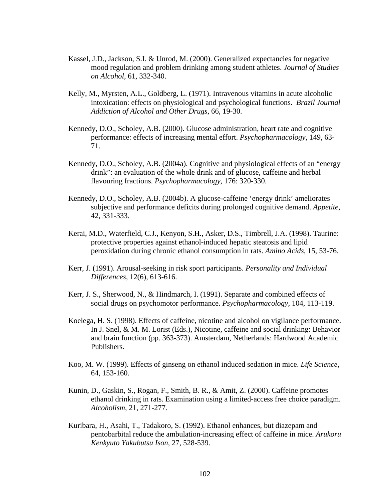- Kassel, J.D., Jackson, S.I. & Unrod, M. (2000). Generalized expectancies for negative mood regulation and problem drinking among student athletes. *Journal of Studies on Alcohol*, 61, 332-340.
- Kelly, M., Myrsten, A.L., Goldberg, L. (1971). Intravenous vitamins in acute alcoholic intoxication: effects on physiological and psychological functions. *Brazil Journal Addiction of Alcohol and Other Drugs*, 66, 19-30.
- Kennedy, D.O., Scholey, A.B. (2000). Glucose administration, heart rate and cognitive performance: effects of increasing mental effort. *Psychopharmacology*, 149, 63- 71.
- Kennedy, D.O., Scholey, A.B. (2004a). Cognitive and physiological effects of an "energy flavouring fractions. *Psychopharmacology*, 176: 320-330. drink": an evaluation of the whole drink and of glucose, caffeine and herbal
- Kennedy, D.O., Scholey, A.B. (2004b). A glucose-caffeine 'energy drink' ameliorates subjective and performance deficits during prolonged cognitive demand. *Appetite*, 42, 331-333.
- Kerai, M.D., Waterfield, C.J., Kenyon, S.H., Asker, D.S., Timbrell, J.A. (1998). Taurine: peroxidation during chronic ethanol consumption in rats. Amino Acids, 15, 53-76. protective properties against ethanol-induced hepatic steatosis and lipid
- Kerr, J. (1991). Arousal-seeking in risk sport participants. *Personality and Individual Differences*, 12(6), 613-616.
- Kerr, J. S., Sherwood, N., & Hindmarch, I. (1991). Separate and combined effects of social drugs on psychomotor performance. *Psychopharmacology*, 104, 113-119.
- Koelega, H. S. (1998). Effects of caffeine, nicotine and alcohol on vigilance performance. In J. Snel, & M. M. Lorist (Eds.), Nicotine, caffeine and social drinking: Behavior and brain function (pp. 363-373). Amsterdam, Netherlands: Hardwood Academic Publishers.
- Koo, M. W. (1999). Effects of ginseng on ethanol induced sedation in mice. Life Science, 64, 153-160.
- Kunin, D., Gaskin, S., Rogan, F., Smith, B. R., & Amit, Z. (2000). Caffeine promotes . ethanol drinking in rats. Examination using a limited-access free choice paradigm *Alcoholism*, 21, 271-277.
- pentobarbital reduce the ambulation-increasing effect of caffeine in mice. Arukoru *Kenkyuto Yakubutsu Ison*, 27, 528-539. Kuribara, H., Asahi, T., Tadakoro, S. (1992). Ethanol enhances, but diazepam and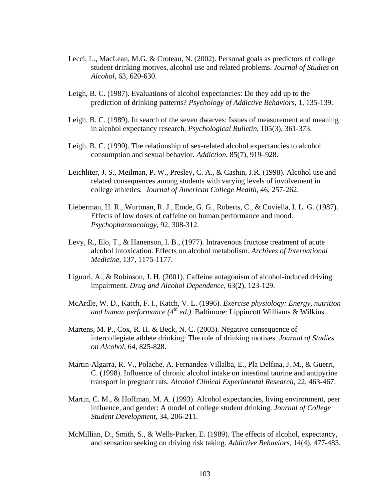- Lecci, L., MacLean, M.G. & Croteau, N. (2002). Personal goals as predictors of college student drinking motives, alcohol use and related probl ems. *Journal of Studies on Alcohol*, 63, 620-630.
- Leigh, B. C. (1987). Evaluations of alcohol expectancies: Do they add up to the prediction of drinking patterns? *Psychology of Addictive Behaviors*, 1, 135-139.
- Leigh, B. C. (1989). In search of the seven dwarves: Issues of measurement and meaning in alcohol expectancy research. *Psychological Bulletin*, 105(3), 361-373.
- Leigh, B. C. (1990). The relationship of sex-related alcohol expectancies to alcohol consumption and sexual behavior. *Addiction*, 85(7), 919–928.
- Leichliter, J. S., Meilman, P. W., Presley, C. A., & Cashin, J.R. (1998). Alcohol use and related consequences among students with varying levels of involvement in college athletics*. Journal of American College Health*, 46*,* 257-262.
- Lieberman, H. R., Wurtman, R. J., Emde, G. G., Roberts, C., & Coviella, I. L. G. (1987). . Effects of low doses of caffeine on human performance and mood *Psychopharmacology*, 92, 308-312.
- Levy, R ., Elo, T., & Hanenson, I. B., (1977). Intravenous fructose treatment of acute alcohol intoxication. Effects on alcohol metabolism. Archives of International *Medicine*, 137, 1175-1177.
- Liguori, A., & Robinson, J. H. (2001). Caffeine antagonism of alcohol-induced driving impairment. *Drug and Alcohol Dependence*, 63(2), 123-129.
- McArdle, W. D., Katch, F. I., Katch, V. L. (1996). *Exercise physiology: Energy, nutrition* and human performance (4<sup>th</sup> ed.). Baltimore: Lippincott Williams & Wilkins.
- Marten s, M. P., Cox, R. H. & Beck, N. C. (2003). Negative consequence of intercollegiate athlete drinking: The role of drinking motives. *Journal of Studies on Alcohol*, 64, 825-828.
- Martin-Algarra, R. V., Polache, A. Fernandez-Villalba, E., Pla Delfina, J. M., & Guerri, C. (1998). Influence of chronic alcohol intake on intestinal taurine and antipyrine transport in pregnant rats. *Alcohol Clinical Experimental Research*, 22, 463-467.
- Martin, C. M., & Hoffman, M. A. (1993). Alcohol expectancies, living environment, peer influence, and gender: A model of college student drinking. Journal of College *Student Development*, 34, 206-211.
- McMillian, D., Smith, S., & Wells-Parker, E. (1989). The effects of alcohol, expectancy, and sensation seeking on driving risk taking. *Addictive Behaviors*, 14(4), 477-483.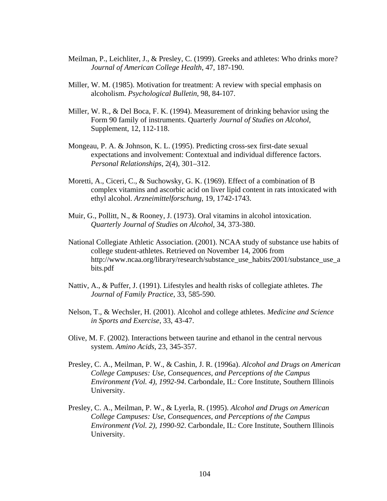- Meilman, P., Leichliter, J., & Presley, C. (1999). Greeks and athletes: Who drinks more? *Journal of American College Health*, 47, 187-190.
- Miller, W. M. (1985). Motivation for treatment: A review with special emphasis on alcoholism. *Psychological Bulletin*, 98, 84-107.
- Miller, W. R., & Del Boca, F. K. (1994). Measurement of drinking behavior using the Form 90 family of instruments. Quarterly *Journal of Studies on Alcohol*, Supplement, 12, 112-118.
- Mongeau, P. A. & Johnson, K. L. (1995). Predicting cross-sex first-date sexual expectations and involvement: Contextual and individual difference factors. *Personal Relationships*, 2(4), 301–312.
- complex vitamins and ascorbic acid on liver lipid content in rats intoxicated with ethyl alcohol. *Arzneimittelforschung*, 19, 1742-1743. Moretti, A., Ciceri, C., & Suchowsky, G. K. (1969). Effect of a combination of B
- Muir, G., Pollitt, N., & Rooney, J. (1973). Oral vitamins in alcohol intoxication. *Quarterly Journal of Studies on Alcohol*, 34, 373-380.
- National Collegiate Athletic Association. (2001). NCAA study of substance use habits of college student-athletes. Retrieved on November 14, 2006 from http://www.ncaa.org/library/research/substance\_use\_habits/2001/substance\_use\_a bits.pdf
- Nattiv, A., & Puffer, J. (1991). Lifestyles and health risks of collegiate athletes. *The Journal of Family Practice*, 33, 585-590.
- Nelson, T., & Wechsler, H. (2001). Alcohol and college athletes. *Medicine and Science in Sports and Exercise*, 33, 43-47.
- Olive, M . F. (2002). Interactions between taurine and ethanol in the central nervous *Amino Acids*, 23, 345-357. system.
- Presley, C. A., Meilman, P. W., & Cashin, J. R. (1996a). *Alcohol and Drugs on American* Environment (Vol. 4), 1992-94. Carbondale, IL: Core Institute, Southern Illinois University. *College Campuses: Use, Consequences, and Perceptions of the Campus*
- Presley , C. A., Meilman, P. W., & Lyerla, R. (1995). *Alcohol and Drugs on American l. 2), 1990-92*. Carbondale, IL: Core Institute, Southern Illinois *Environment (Vo* University. *College Campuses: Use, Consequences, and Perceptions of the Campus*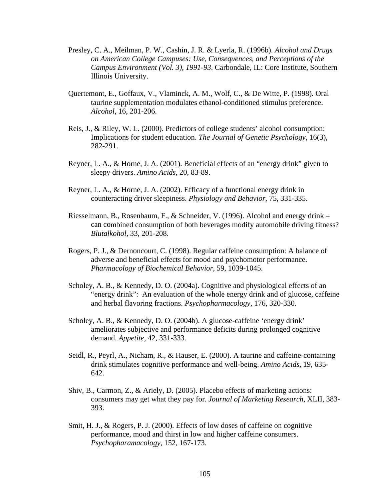- Presley, C. A., Meilman, P. W., Cashin, J. R. & Lyerla, R. (1996b). *Alcohol and Drugs on American College Campuses: Use, Consequences, and Perceptions of the Campus Environment (Vol. 3), 1991-93* . Carbondale, IL: Core Institute, Southern Illinois University.
- Quertemont, E., Goffaux, V., Vlaminck, A. M., Wolf, C., & De Witte, P. (1998). Oral taurine supplementation modulates ethanol-conditioned stimulus preference. *Alcohol*, 16, 201-206.
- Reis, J. , & Riley, W. L. (2000). Predictors of college students' alcohol consumption: Implications for student education. *The Journal of Genetic Psychology*, 16(3), 282-291.
- Reyner, L. A., & Horne, J. A. (2001). Beneficial effects of an "energy drink" given to sleepy drivers. *Amino Acids*, 20, 83-89.
- Reyner, L. A., & Horne, J. A. (2002). Efficacy of a functional energy drink in counteracting driver sleepiness. *Physiology and Behavior*, 75, 331-335.
- Riessel mann, B., Rosenbaum, F., & Schneider, V. (1996). Alcohol and energy drink can combined consumption of both beverages modify automobile driving fitness? *Blutalkohol*, 33, 201-208.
- Rogers , P. J., & Dernoncourt, C. (1998). Regular caffeine consumption: A balance of adverse and beneficial effects for mood and psychomotor performance. *Pharmacology of Biochemical Behavior*, 59, 1039-1045.
- Scholey , A. B., & Kennedy, D. O. (2004a). Cognitive and physiological effects of an "energy drink": An evaluation of the whole energy drink and of glucose, caffeine and herbal flavoring fractions. *Psychopharmacology*, 176, 320-330.
- Scholey, A. B., & Kennedy, D. O. (2004b). A glucose-caffeine 'energy drink' ameliorates subjective and performance deficits during prolonged cognitive demand. *Appetite*, 42, 331-333.
- Seidl, R., Peyrl, A., Nicham, R., & Hauser, E. (2000). A taurine and caffeine-containing drink stimulates cognitive performance and well-being. *Amino Acids*, 19, 635- 642.
- Shiv, B., Carmon, Z., & Ariely, D. (2005). Placebo effects of marketing actions: - consumers may get what they pay for. *Journal of Marketing Research*, XLII, 383 393.
- Smit, H. J., & Rogers, P. J. (2000). Effects of low doses of caffeine on cognitive 167-173. *Psychopharamacology*, 152, performance, mood and thirst in low and higher caffeine consumers.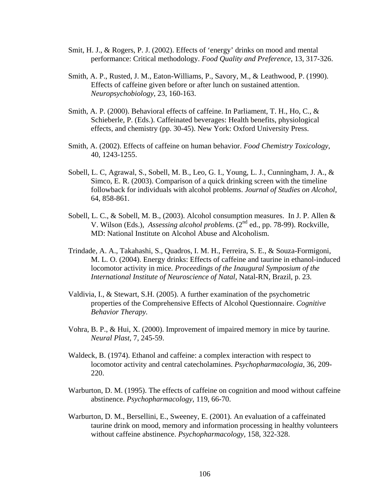- Smit, H. J., & Rogers, P. J. (2002). Effects of 'energy' drinks on mood and mental performance: Critical methodology. *Food Quality and Preference*, 13, 317-326.
- Smith, A. P., Rusted, J. M., Eaton-Williams, P., Savory, M., & Leathwood, P. (1990). Effects of caffeine given before or after lunch on sustained attention. *Neuropsychobiology*, 23, 160-163.
- Smith, A. P. (2000). Behavioral effects of caffeine. In Parliament, T. H., Ho, C., & Schieberle, P. (Eds.). Caffeinated beverages: Health benefits, physiological effects, and chemistry (pp. 30-45). New York: Oxford University Press.
- Smith, A. (2002). Effects of caffeine on human behavior. *Food Chemistry Toxicology*, 40, 1243-1255.
- Sobell, L. C, Agrawal, S., Sobell, M. B., Leo, G. I., Young, L. J., Cunningham, J. A., & Simco, E. R. (2003). Comparison of a quick drinking screen with the timeline followback for individuals with alcohol problems. *Journal of Studies on Alcohol*, 64, 858-861.
- Sobell, L. C., & Sobell, M. B., (2003). Alcohol consumption measures. In J. P. Allen & V. Wilson (Eds.), *Assessing alcohol problems*. (2nd ed., pp. 78-99). Rockville, MD: National Institute on Alcohol Abuse and Alcoholism.
- Trindad e, A. A., Takahashi, S., Quadros, I. M. H., Ferreira, S. E., & Souza-Formigoni, M. L. O. (2004). Energy drinks: Effects of caffeine and taurine in ethanol-induced *International Institute of Neuroscience of Natal*, Natal-RN, Brazil, p. 23. locomotor activity in mice*. Proceedings of the Inaugural Symposium of the*
- *Behavior Therapy.*  Valdivia, I., & Stewart, S.H. (2005). A further examination of the psychometric properties of the Comprehensive Effects of Alcohol Questionnaire. *Cognitive*
- Vohra, B. P., & Hui, X. (2000). Improvement of impaired memory in mice by taurine. *Neural Plast*, 7, 245-59.
- Waldeck, B. (1974). Ethanol and caffeine: a complex interaction with respect to locomotor activity and central catecholamines. *Psychopharmacologia*, 36, 209- 220.
- Warburton, D. M. (1995). The effects of caffeine on cognition and mood without caffeine abstinence. *Psychopharmacology*, 119, 66-70.
- Warburton, D. M., Bersellini, E., Sweeney, E. (2001). An evaluation of a caffeinated taurine drink on mood, memory and information processing in healthy volunteers without caffeine abstinence. *Psychopharmacology*, 158, 322-328.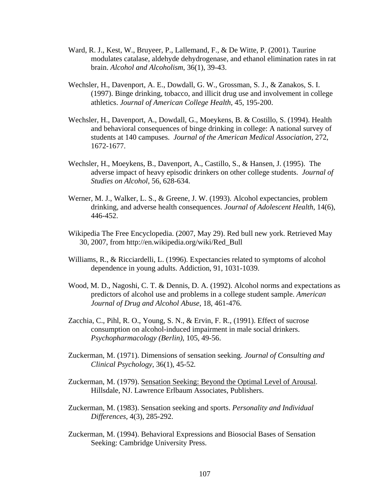- Ward, R. J., Kest, W., Bruyeer, P., Lallemand, F., & De Witte, P. (2001). Taurine modulates catalase, aldehyde dehydrogenase, and ethanol elimination rates in rat brain. *Alcohol and Alcoholism*, 36(1), 39-43.
- Wechsler, H., Davenport, A. E., Dowdall, G. W., Grossman, S. J., & Zanakos, S. I. (1997). Binge drinking, tobacco, and illicit drug use and involvement in college athletics. *Journal of American College Health*, 45, 195-200.
- and behavioral consequences of binge drinking in college: A national survey of students at 140 campuses. *Journal of the American Medical Association*, 272, Wechsler, H., Davenport, A., Dowdall, G., Moeykens, B. & Costillo, S. (1994). Health 1672-1677.
- Wechsler, H., Moeykens, B., Davenport, A., Castillo, S., & Hansen, J. (1995). The adverse impact of heavy episodic drinkers on other college students. *Journal of Studies on Alcohol*, 56, 628-634.
- Werner, M. J., Walker, L. S., & Greene, J. W. (1993). Alcohol expectancies, problem drinking, and adverse health consequences. *Journal of Adolescent Health*, 14(6), 446-452.
- Wikipedia The Free Encyclopedia. (2007, May 29). Red bull new york. Retrieved May 30, 2007, from http://en.wikipedia.org/wiki/Red\_Bull
- Williams, R., & Ricciardelli, L. (1996). Expectancies related to symptoms of alcohol dependence in young adults. Addiction, 91, 1031-1039.
- Wood, M. D., Nagoshi, C. T. & Dennis, D. A. (1992). Alcohol norms and expectations as predictors of alcohol use and problems in a college student sample. *American Journal of Drug and Alcohol Abuse*, 18, 461-476.
- Zacchia, C., Pihl, R. O., Young, S. N., & Ervin, F. R., (1991). Effect of sucrose consumption on alcohol-induced impairment in male social drinkers. *Psychopharmacology (Berlin)*, 105, 49-56.
- Zuckerman, M. (1971). Dimensions of sensation seeking. *Journal of Consulting and Clinical Psychology*, 36(1), 45-52*.*
- Zuckerman, M. (1979). Sensation Seeking: Beyond the Optimal Level of Arousal. Hillsdale, NJ. Lawrence Erlbaum Associates, Publishers.
- Zuckerman, M. (1983). Sensation seeking and sports. *Personality and Individual Differences*, 4(3), 285-292.
- Zuckerman, M. (1994). Behavioral Expressions and Biosocial Bases of Sensation Seeking: Cambridge University Press.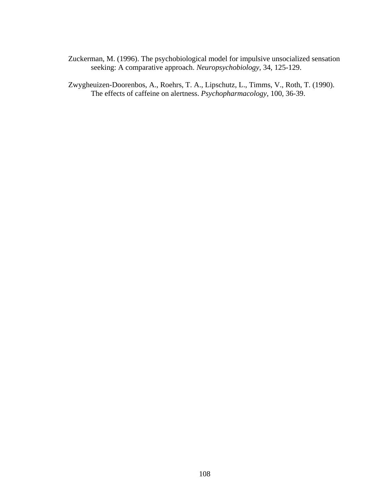Zuckerman, M. (1996). The psychobiological model for impulsive unsocialized sensation seeking: A comparative approach. *Neuropsychobiology*, 34, 125-129.

Zwygheuizen-Doorenbos, A., Roehrs, T. A., Lipschutz, L., Timms, V., Roth, T. (1990). The effects of caffeine on alertness. *Psychopharmacology*, 100, 36-39.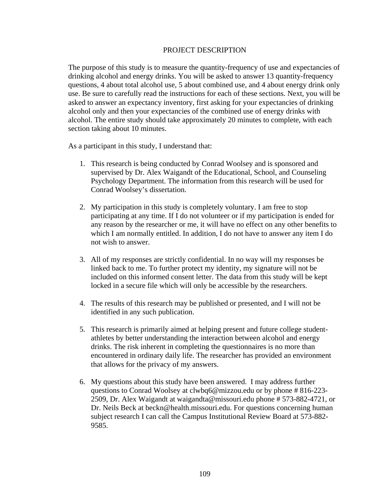#### PROJECT DESCRIPTION

The purpose of this study is to measure the quantity-frequency of use and expectancies of drinking alcohol and energy drinks. You will be asked to answer 13 quantity-frequency questions, 4 about total alcohol use, 5 about combined use, and 4 about energy drink only use. Be sure to carefully read the instructions for each of these sections. Next, you will be asked to answer an expectancy inventory, first asking for your expectancies of drinking alcohol only and then your expectancies of the combined use of energy drinks with alcohol. The entire study should take approximately 20 minutes to complete, with each section taking about 10 minutes.

As a participant in this study, I understand that:

- supervised by Dr. Alex Waigandt of the Educational, School, and Counseling Psychology Department. The information from this research will be used for 1. This research is being conducted by Conrad Woolsey and is sponsored and Conrad Woolsey's dissertation.
- 2. My participation in this study is completely voluntary. I am free to stop which I am normally entitled. In addition, I do not have to answer any item I do not wish to answer. participating at any time. If I do not volunteer or if my participation is ended for any reason by the researcher or me, it will have no effect on any other benefits to
- 3. All of my responses are strictly confidential. In no way will my responses be linked back to me. To further protect my identity, my signature will not be included on this informed consent letter. The data from this study will be kept locked in a secure file which will only be accessible by the researchers.
- 4. The results of this research may be published or presented, and I will not be identified in any such publication.
- 5. This research is primarily aimed at helping present and future college studentathletes by better understanding the interaction between alcohol and energy drinks. The risk inherent in completing the questionnaires is no more than encountered in ordinary daily life. The researcher has provided an environment that allows for the privacy of my answers.
- 6. My questions about this study have been answered. I may address further questions to Conrad Woolsey at clwbq6@mizzou.edu or by phone #816-223-Dr. Neils Beck at beckn@health.missouri.edu. For questions concerning human subject research I can call the Campus Institutional Review Board at 573-882- 2509, Dr. Alex Waigandt at waigandta@missouri.edu phone # 573-882-4721, or 9585.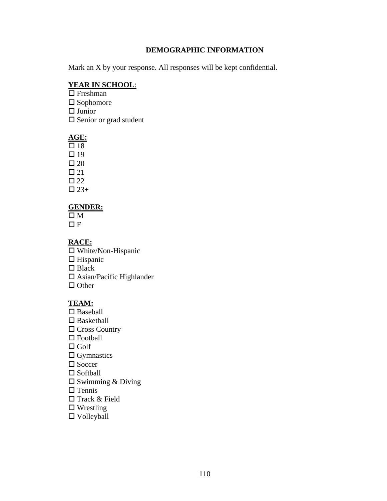#### **DEMOGRAPHIC INFORMATION**

Mark an X by your response. All responses will be kept confidential.

### **YEAR IN SCHOOL**:

 $\Box$  Freshman  $\square$  Sophomore □ Senior or grad student □ Junior

### **GE: A**

 $\Box$  19  $\Box$  20  $\square$  22  $\Box$  23+  $\Box$  18  $\Box$  21

### **ENDER: G**

 $\Box F$  $\square$  M

### **ACE: R**

 $\Box$  Hispanic Blac k □ Asian/Pacific Highlander □ Other White/Non-Hispanic

### **TEAM :**

□ Baseball □ Basketball □ Football  $\Box$  Golf Socc er □ Softball  $\square$  Swimming & Diving □ Track & Field  $\square$  Wrestling □ Cross Country  $\Box$  Gymnastics  $\Box$  Tennis Volleyball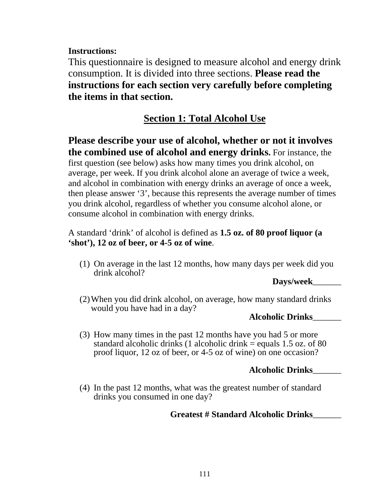**Instructions:** 

This questionnaire is designed to measure alcohol and energy drink consumption. It is divided into three sections. Please read the instructions for each section very carefully before completing **the it ems in that section.** 

# **Section 1: Total Alcohol Use**

Please describe your use of alcohol, whether or not it involves **the combined use of alcohol and energy drinks.** For instance, the

averag e, per week. If you drink alcohol alone an average of twice a week, and alcohol in combination with energy drinks an average of once a week, then please answer '3', because this represents the average number of times consum e alcohol in combination with energy drinks. first question (see below) asks how many times you drink alcohol, on you drink alcohol, regardless of whether you consume alcohol alone, or

**'sh ot'), 12 oz of beer, or 4-5 oz of wine**. A standard 'drink' of alcohol is defined as **1.5 oz. of 80 proof liquor (a** 

(1) On average in the last 12 months, how many days per week did you drink alcohol?

**Days/week\_\_\_\_\_\_\_\_\_** 

(2) When you did drink alcohol, on average, how many standard drinks would you have had in a day?

**\_\_\_\_\_\_\_\_\_ Alcoholic Drinks**

 $(3)$  How many times in the past 12 months have you had 5 or more standard alcoholic drinks (1 alcoholic drink  $=$  equals 1.5 oz. of 80 proof liquor, 12 oz of beer, or 4-5 oz of wine) on one occasion?

# **Alcoholic Drinks\_\_\_\_\_\_\_\_\_**

(4) In the past 12 months, what was the greatest number of standard drinks you consumed in one day?

# **\_\_\_\_\_\_\_\_\_ Greatest # Standard Alcoholic Drinks**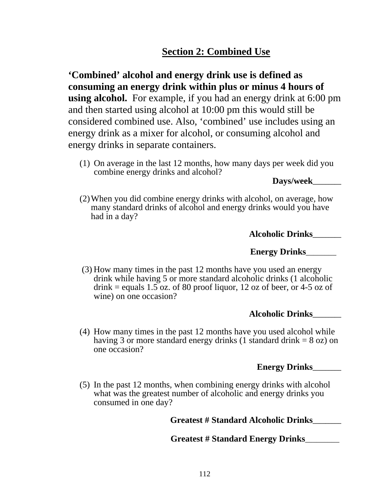# **Section 2: Combined Use**

**Combined' alcohol and energy drink use is defined as '** using alcohol. For example, if you had an energy drink at 6:00 pm and then started using alcohol at 10:00 pm this would still be considered combined use. Also, 'combined' use includes using an energy drink as a mixer for alcohol, or consuming alcohol and energy drinks in separate containers. **consuming an energy drink within plus or minus 4 hours of** 

(1) On average in the last 12 months, how many days per week did you combine energy drinks and alcohol?

**Days/week\_\_\_\_\_\_\_\_\_** 

(2)When you did combine energy drinks with alcohol, on average, how many standard drinks of alcohol and energy drinks would you have had in a day?

**Alcoholic Drinks\_\_\_\_\_\_\_\_\_**

**Energy Drinks**\_\_\_\_\_\_\_\_

 (3) How many times in the past 12 months have you used an energy drink while having 5 or more standard alcoholic drinks (1 alcoholic drink = equals  $1.5$  oz. of 80 proof liquor, 12 oz of beer, or 4-5 oz of wine) on one occasion?

# **Alcoholic Drinks\_\_\_\_\_\_\_\_\_**

(4) How many times in the past 12 months have you used alcohol while having 3 or more standard energy drinks (1 standard drink  $= 8$  oz) on one occasion?

**Energy Drinks\_\_\_\_\_\_\_\_\_**

(5) In the past 12 months, when combining energy drinks with alcohol what was the greatest number of alcoholic and energy drinks you consumed in one day?

 **Greatest # Standard Alcoholic Drinks\_\_\_\_\_\_\_\_\_**

 **Greatest # Standard Energy Drinks**\_\_\_\_\_\_\_\_\_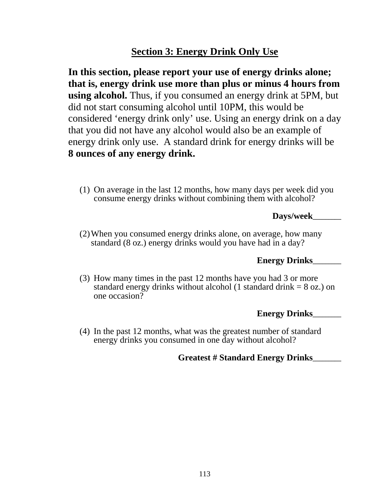# **Section 3: Energy Drink Only Use**

considered 'energy drink only' use. Using an energy drink on a day that you did not have any alcohol would also be an example of energy drink only use. A standard drink for energy drinks will be  **ounces of any energy drink. 8 In this section, please report your use of energy drinks alone; that is, energy drink use more than plus or minus 4 hours from using alcohol.** Thus, if you consumed an energy drink at 5PM, but did not start consuming alcohol until 10PM, this would be

(1) On average in the last  $12$  months, how many days per week did you consume energy drinks without combining them with alcohol?

## **Days/week\_\_\_\_\_\_\_\_**

standard (8 oz.) energy drinks would you have had in a day? (2)When you consumed energy drinks alone, on average, how many

# **\_\_\_\_ Energy Drinks\_\_\_\_\_**

standard energy drinks without alcohol  $(1 \text{ standard drink} = 8 \text{ oz.})$  on one occasion? (3) How many times in the past 12 months have you had 3 or more

## **Energy Drinks\_\_\_\_\_\_\_\_\_**

**\_\_**

(4) In the past 12 months, what was the greatest number of standard energy drinks you consumed in one day without alcohol?

# **Greatest # Standard Energy Drinks\_\_\_\_\_\_\_**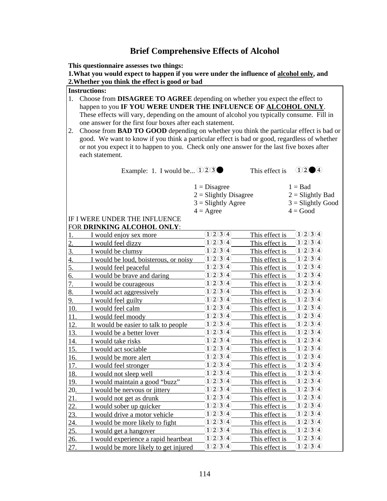## **Brief Comprehensive Effects of Alcohol**

**This questionnaire assesses two things:** 

**1.What you would expect to happen if you were under the influence of alcohol only, and 2.Whether you think the effect is good or bad**

#### **Instructions:**

- 1. Choose from **DISAGREE TO AGREE** depending on whether you expect the effect to happen to you **IF YOU WERE UNDER THE INFLUENCE OF ALCOHOL ONLY**. These effects will vary, depending on the amount of alcohol you typically consume. Fill in one answer for the first four boxes after each statement.
- 2. Choose from **BAD TO GOOD** depending on whether you think the particular effect is bad or good. We want to know if you think a particular effect is bad or good, regardless of whether or not you expect it to happen to you. Check only one answer for the last five boxes after each statement.

Example: 1. I would be...  $\widehat{1233}$  This effect is  $\widehat{12244}$ 

 $1 = Disagree$   $1 = Bad$ 

 $2 =$  Slightly Disagree 2 = Slightly Bad

 $3 =$  Slightly Agree  $3 =$  Slightly Good  $4 = \text{Agree}$   $4 = \text{Good}$ 

#### IF I WERE UNDER THE INFLUENCE FOR **DRINKING ALCOHOL ONLY**:

|            | on bimanno alleonol ordi.             |                                                                                                                                                                                                                                                                                                                                                                                                                                                                                                                |                |                         |
|------------|---------------------------------------|----------------------------------------------------------------------------------------------------------------------------------------------------------------------------------------------------------------------------------------------------------------------------------------------------------------------------------------------------------------------------------------------------------------------------------------------------------------------------------------------------------------|----------------|-------------------------|
|            | I would enjoy sex more                | 1/2/3/4                                                                                                                                                                                                                                                                                                                                                                                                                                                                                                        | This effect is | $\Omega$ 234            |
| 2.         | I would feel dizzy                    | 1234                                                                                                                                                                                                                                                                                                                                                                                                                                                                                                           | This effect is | 1234                    |
| 3.         | I would be clumsy                     | <u> DQ3A</u>                                                                                                                                                                                                                                                                                                                                                                                                                                                                                                   | This effect is | <u> DQ3A</u>            |
| 4.         | I would be loud, boisterous, or noisy | <u> DQ3A</u>                                                                                                                                                                                                                                                                                                                                                                                                                                                                                                   | This effect is | <u> DQ3A</u>            |
| 5.         | I would feel peaceful                 | <u> D234</u>                                                                                                                                                                                                                                                                                                                                                                                                                                                                                                   | This effect is | 1234                    |
| 6.         | I would be brave and daring           | <u> DQ3A</u>                                                                                                                                                                                                                                                                                                                                                                                                                                                                                                   | This effect is | <u> D234</u>            |
| 7.         | I would be courageous                 | <u> DQ3A</u>                                                                                                                                                                                                                                                                                                                                                                                                                                                                                                   | This effect is | 1234                    |
| 8.         | I would act aggressively              | <u> DQ3A</u>                                                                                                                                                                                                                                                                                                                                                                                                                                                                                                   | This effect is | <u> D234</u>            |
| 9.         | I would feel guilty                   | <u> D234</u>                                                                                                                                                                                                                                                                                                                                                                                                                                                                                                   | This effect is | $1\!\!1\!\!2\!\!3\!\!4$ |
| 10.        | I would feel calm                     | $\Omega$ 2030                                                                                                                                                                                                                                                                                                                                                                                                                                                                                                  | This effect is | <u> DQ3A</u>            |
| 11.        | I would feel moody                    | D23A                                                                                                                                                                                                                                                                                                                                                                                                                                                                                                           | This effect is | <u> DQ3O</u>            |
| <u>12.</u> | It would be easier to talk to people  | $\bigcirc \!\! \! \bigcirc \!\! \! \bigcirc \!\! \! \bigcirc \!\! \! \bigcirc \!\! \! \bigcirc \!\! \! \bigcirc \!\! \! \bigcirc \!\! \! \bigcirc \!\! \! \bigcirc \!\! \! \bigcirc \!\! \! \bigcirc \!\! \! \bigcirc \!\! \! \bigcirc \!\! \bigcirc \!\! \bigcirc \!\! \! \bigcirc \!\! \! \bigcirc \!\! \! \bigcirc \!\! \! \bigcirc \!\! \! \bigcirc \!\! \bigcirc \!\! \bigcirc \!\! \! \bigcirc \!\! \bigcirc \!\! \bigcirc \!\! \bigcirc \!\! \bigcirc \!\! \bigcirc \!\! \bigcirc \!\! \big$<br>$\bf 1$ | This effect is | <u> D234</u>            |
| 13.        | I would be a better lover             | (2)3)4)<br>$\mathbf{1}$                                                                                                                                                                                                                                                                                                                                                                                                                                                                                        | This effect is | <u> D234</u>            |
| 14.        | I would take risks                    | 1234                                                                                                                                                                                                                                                                                                                                                                                                                                                                                                           | This effect is | 1234                    |
| 15.        | I would act sociable                  | (2)3)4)                                                                                                                                                                                                                                                                                                                                                                                                                                                                                                        | This effect is | <u> DQ3A</u>            |
| 16.        | I would be more alert                 | 1234                                                                                                                                                                                                                                                                                                                                                                                                                                                                                                           | This effect is | <u> DQ3A</u>            |
| 17.        | I would feel stronger                 | 1/2/3/4                                                                                                                                                                                                                                                                                                                                                                                                                                                                                                        | This effect is | 1234                    |
| 18.        | I would not sleep well                | <u> DQ3A</u>                                                                                                                                                                                                                                                                                                                                                                                                                                                                                                   | This effect is | 1239                    |
| 19.        | I would maintain a good "buzz"        | $\bigcirc \!\! \! \bigcirc \!\! \! \bigcirc \!\! \! \bigcirc \!\! \! \bigcirc \!\! \! \bigcirc \!\! \! \! \bigcirc \!\! \! \bigcirc \!\! \! \bigcirc \!\! \! \bigcirc \!\! \! \bigcirc \!\! \! \bigcirc \!\! \! \bigcirc \!\! \! \bigcirc \!\! \! \bigcirc \!\! \! \bigcirc \!\! \! \bigcirc \!\! \! \bigcirc \!\! \! \bigcirc \!\! \! \bigcirc \!\! \! \bigcirc \!\! \! \bigcirc \!\! \! \bigcirc \!\! \! \bigcirc \!\! \! \bigcirc \!\! \! \bigcirc \!\! \! \bigcirc \!\! \! \big$                           | This effect is | <u> D234</u>            |
| 20.        | I would be nervous or jittery         | <u> 1234</u>                                                                                                                                                                                                                                                                                                                                                                                                                                                                                                   | This effect is | $1\!\!1\!\!2\!\!3\!\!4$ |
| 21.        | I would not get as drunk              | $\mathfrak{D} \mathfrak{D} \mathfrak{D} \mathfrak{A}$                                                                                                                                                                                                                                                                                                                                                                                                                                                          | This effect is | <u> D234</u>            |
| <u>22.</u> | I would sober up quicker              | 1239                                                                                                                                                                                                                                                                                                                                                                                                                                                                                                           | This effect is | 1234                    |
| 23.        | I would drive a motor vehicle         | 1234                                                                                                                                                                                                                                                                                                                                                                                                                                                                                                           | This effect is | 1234                    |
| 24.        | I would be more likely to fight       | (2)3(4)                                                                                                                                                                                                                                                                                                                                                                                                                                                                                                        | This effect is | 1234                    |
| <u>25.</u> | I would get a hangover                | 1234                                                                                                                                                                                                                                                                                                                                                                                                                                                                                                           | This effect is | 1234                    |
| 26.        | I would experience a rapid heartbeat  | $\bigcirc \!\! \! \! 2 \, \! 3 \! 4 \! 0$<br>$\bf 1$                                                                                                                                                                                                                                                                                                                                                                                                                                                           | This effect is | <u> D234</u>            |
| 27.        | I would be more likely to get injured | 1234                                                                                                                                                                                                                                                                                                                                                                                                                                                                                                           | This effect is | 1234                    |